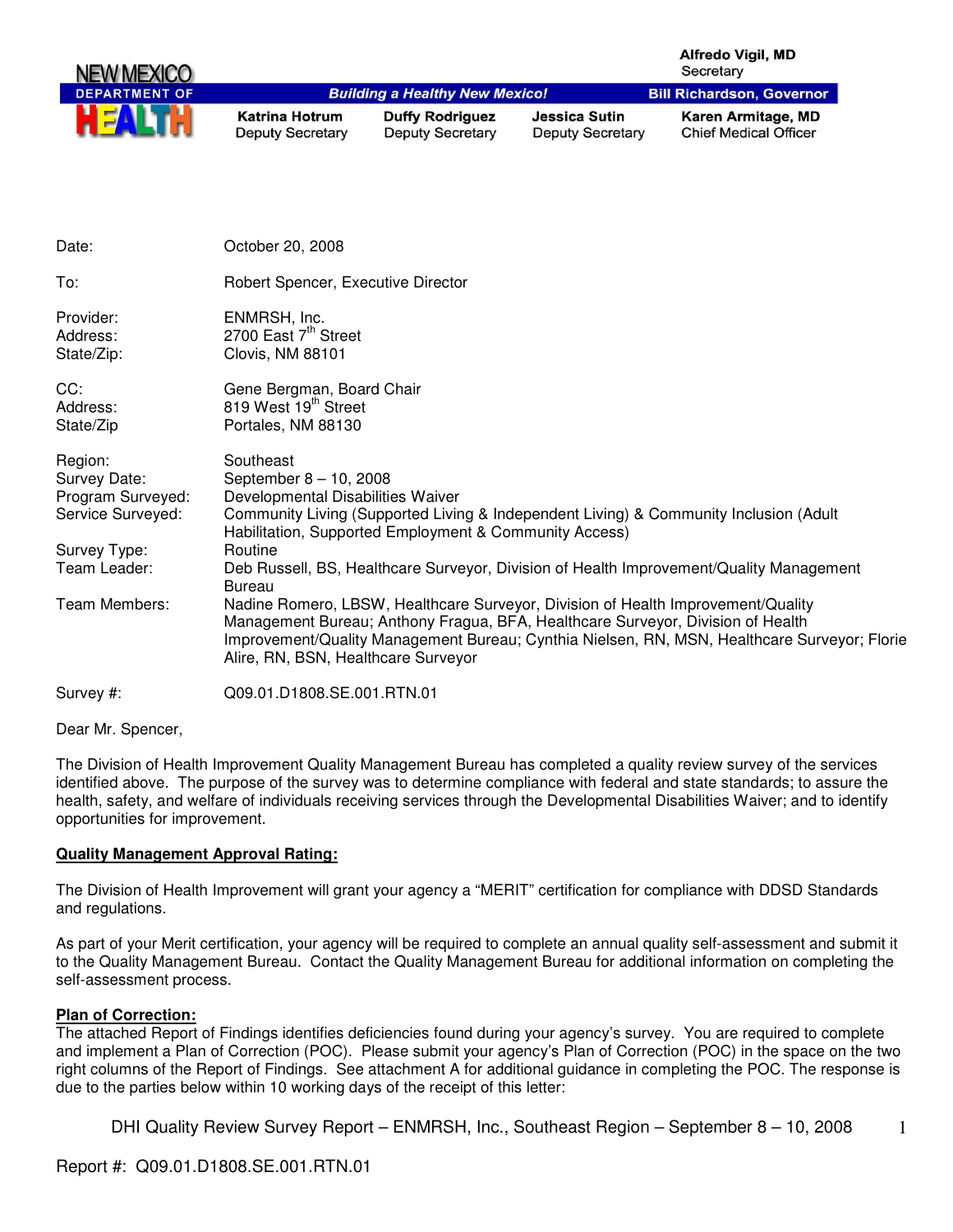|                                                                   |                                                                                     |                                                        |                                                                                 | <b>Alfredo Vigil, MD</b><br>Secretary                                                                                                                                            |
|-------------------------------------------------------------------|-------------------------------------------------------------------------------------|--------------------------------------------------------|---------------------------------------------------------------------------------|----------------------------------------------------------------------------------------------------------------------------------------------------------------------------------|
| <b>PARTMENT OF</b>                                                |                                                                                     | <b>Building a Healthy New Mexico!</b>                  |                                                                                 | <b>Bill Richardson, Governor</b>                                                                                                                                                 |
|                                                                   | <b>Katrina Hotrum</b><br><b>Deputy Secretary</b>                                    | <b>Duffy Rodriguez</b><br><b>Deputy Secretary</b>      | <b>Jessica Sutin</b><br><b>Deputy Secretary</b>                                 | Karen Armitage, MD<br><b>Chief Medical Officer</b>                                                                                                                               |
|                                                                   |                                                                                     |                                                        |                                                                                 |                                                                                                                                                                                  |
| Date:                                                             | October 20, 2008                                                                    |                                                        |                                                                                 |                                                                                                                                                                                  |
| To:                                                               | Robert Spencer, Executive Director                                                  |                                                        |                                                                                 |                                                                                                                                                                                  |
| Provider:<br>Address:<br>State/Zip:                               | ENMRSH, Inc.<br>2700 East 7 <sup>th</sup> Street<br>Clovis, NM 88101                |                                                        |                                                                                 |                                                                                                                                                                                  |
| CC:<br>Address:<br>State/Zip                                      | Gene Bergman, Board Chair<br>819 West 19 <sup>th</sup> Street<br>Portales, NM 88130 |                                                        |                                                                                 |                                                                                                                                                                                  |
| Region:<br>Survey Date:<br>Program Surveyed:<br>Service Surveyed: | Southeast<br>September 8 - 10, 2008<br>Developmental Disabilities Waiver            | Habilitation, Supported Employment & Community Access) |                                                                                 | Community Living (Supported Living & Independent Living) & Community Inclusion (Adult                                                                                            |
| Survey Type:<br>Team Leader:                                      | Routine<br><b>Bureau</b>                                                            |                                                        |                                                                                 | Deb Russell, BS, Healthcare Surveyor, Division of Health Improvement/Quality Management                                                                                          |
| Team Members:                                                     | Alire, RN, BSN, Healthcare Surveyor                                                 |                                                        | Management Bureau; Anthony Fragua, BFA, Healthcare Surveyor, Division of Health | Nadine Romero, LBSW, Healthcare Surveyor, Division of Health Improvement/Quality<br>Improvement/Quality Management Bureau; Cynthia Nielsen, RN, MSN, Healthcare Surveyor; Florie |
| Survey #:                                                         | Q09.01.D1808.SE.001.RTN.01                                                          |                                                        |                                                                                 |                                                                                                                                                                                  |
|                                                                   |                                                                                     |                                                        |                                                                                 |                                                                                                                                                                                  |

Dear Mr. Spencer,

The Division of Health Improvement Quality Management Bureau has completed a quality review survey of the services identified above. The purpose of the survey was to determine compliance with federal and state standards; to assure the health, safety, and welfare of individuals receiving services through the Developmental Disabilities Waiver; and to identify opportunities for improvement.

## **Quality Management Approval Rating:**

The Division of Health Improvement will grant your agency a "MERIT" certification for compliance with DDSD Standards and regulations.

As part of your Merit certification, your agency will be required to complete an annual quality self-assessment and submit it to the Quality Management Bureau. Contact the Quality Management Bureau for additional information on completing the self-assessment process.

#### **Plan of Correction:**

The attached Report of Findings identifies deficiencies found during your agency's survey. You are required to complete and implement a Plan of Correction (POC). Please submit your agency's Plan of Correction (POC) in the space on the two right columns of the Report of Findings. See attachment A for additional guidance in completing the POC. The response is due to the parties below within 10 working days of the receipt of this letter: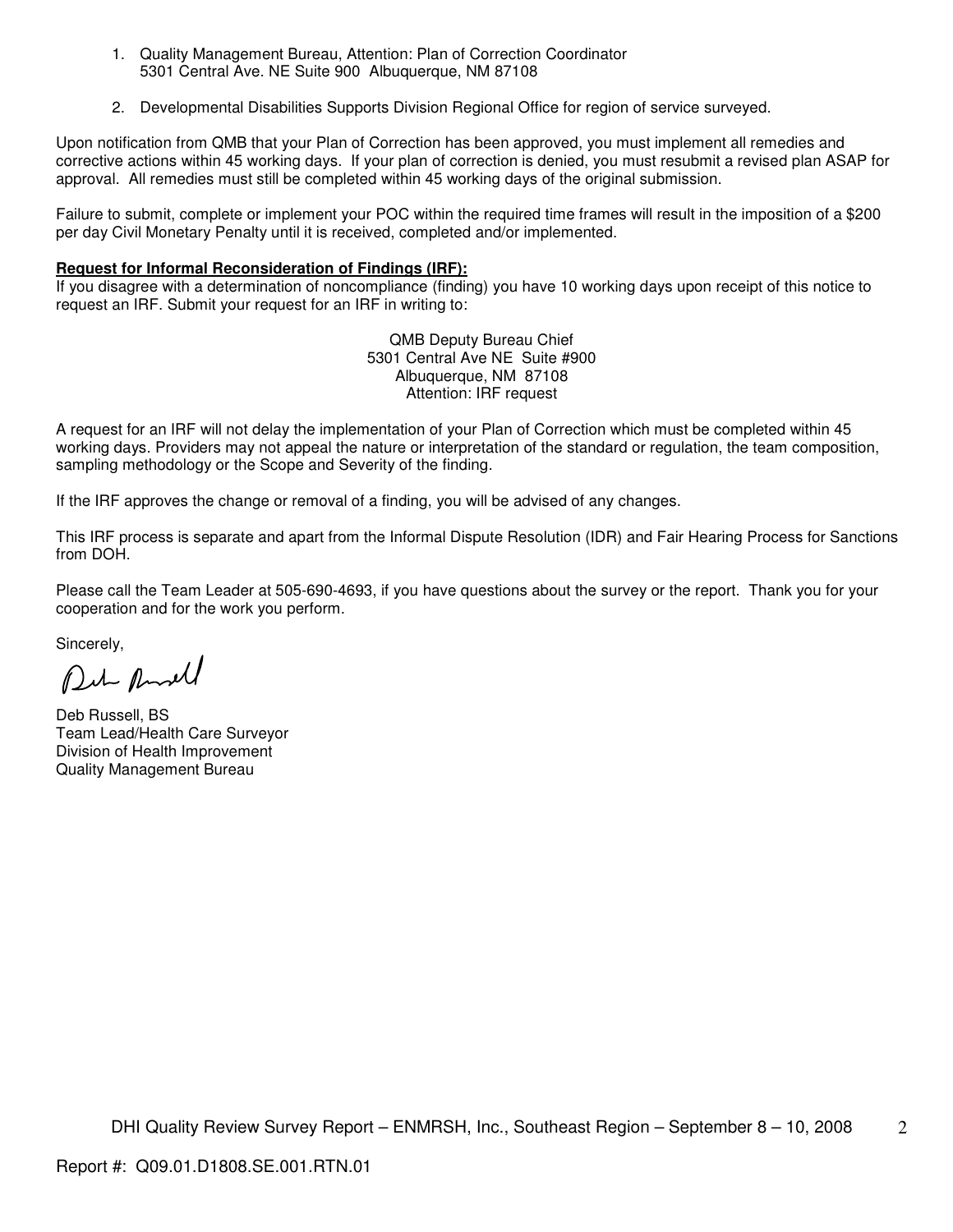- 1. Quality Management Bureau, Attention: Plan of Correction Coordinator 5301 Central Ave. NE Suite 900 Albuquerque, NM 87108
- 2. Developmental Disabilities Supports Division Regional Office for region of service surveyed.

Upon notification from QMB that your Plan of Correction has been approved, you must implement all remedies and corrective actions within 45 working days. If your plan of correction is denied, you must resubmit a revised plan ASAP for approval. All remedies must still be completed within 45 working days of the original submission.

Failure to submit, complete or implement your POC within the required time frames will result in the imposition of a \$200 per day Civil Monetary Penalty until it is received, completed and/or implemented.

## **Request for Informal Reconsideration of Findings (IRF):**

If you disagree with a determination of noncompliance (finding) you have 10 working days upon receipt of this notice to request an IRF. Submit your request for an IRF in writing to:

> QMB Deputy Bureau Chief 5301 Central Ave NE Suite #900 Albuquerque, NM 87108 Attention: IRF request

A request for an IRF will not delay the implementation of your Plan of Correction which must be completed within 45 working days. Providers may not appeal the nature or interpretation of the standard or regulation, the team composition, sampling methodology or the Scope and Severity of the finding.

If the IRF approves the change or removal of a finding, you will be advised of any changes.

This IRF process is separate and apart from the Informal Dispute Resolution (IDR) and Fair Hearing Process for Sanctions from DOH.

Please call the Team Leader at 505-690-4693, if you have questions about the survey or the report. Thank you for your cooperation and for the work you perform.

Sincerely,

Put And

Deb Russell, BS Team Lead/Health Care Surveyor Division of Health Improvement Quality Management Bureau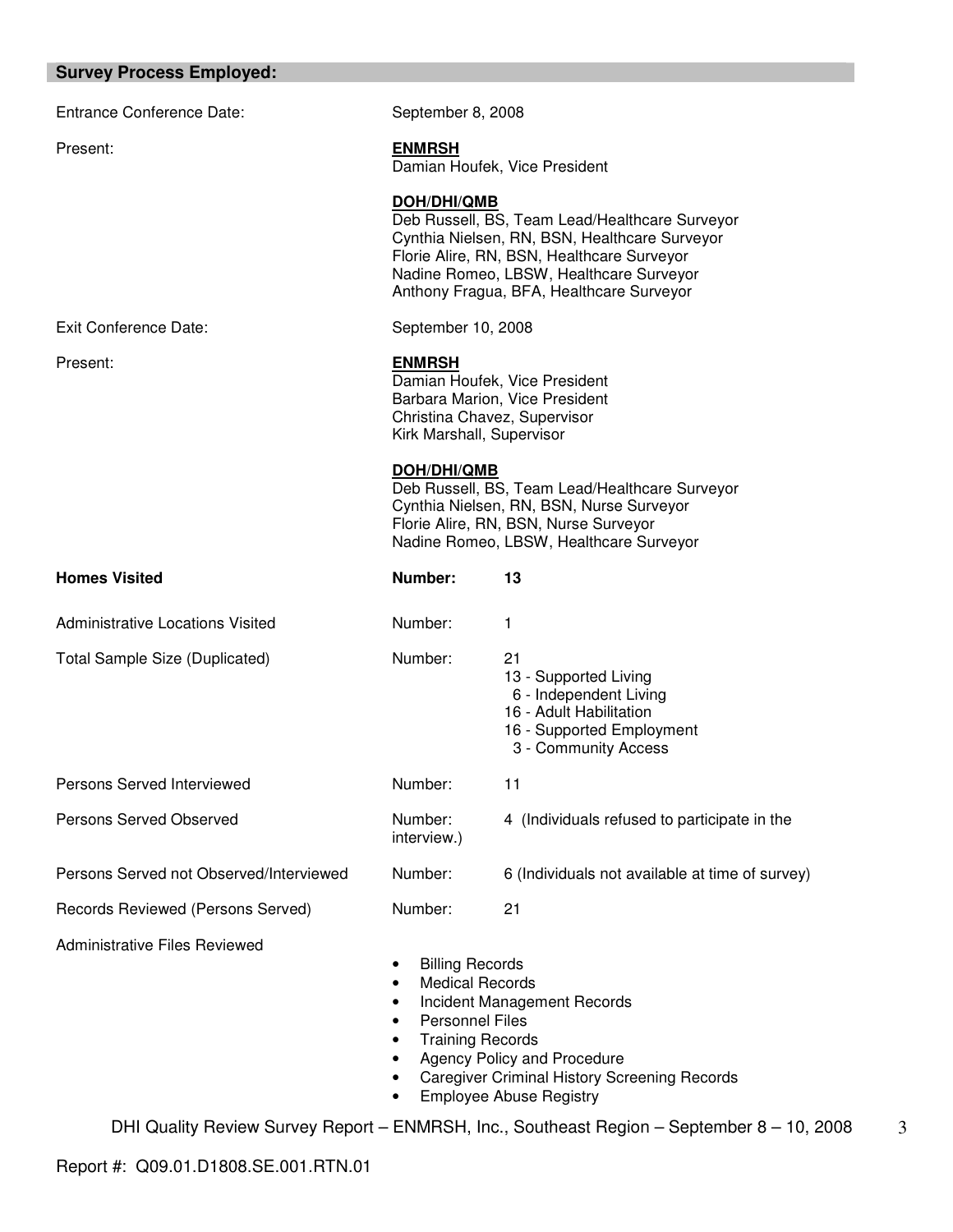# **Survey Process Employed:**

| <b>Entrance Conference Date:</b>        | September 8, 2008                                                                                                                                |                                                                                                                                                                                                                                      |  |  |
|-----------------------------------------|--------------------------------------------------------------------------------------------------------------------------------------------------|--------------------------------------------------------------------------------------------------------------------------------------------------------------------------------------------------------------------------------------|--|--|
| Present:                                | <b>ENMRSH</b>                                                                                                                                    | Damian Houfek, Vice President                                                                                                                                                                                                        |  |  |
|                                         | DOH/DHI/QMB                                                                                                                                      | Deb Russell, BS, Team Lead/Healthcare Surveyor<br>Cynthia Nielsen, RN, BSN, Healthcare Surveyor<br>Florie Alire, RN, BSN, Healthcare Surveyor<br>Nadine Romeo, LBSW, Healthcare Surveyor<br>Anthony Fragua, BFA, Healthcare Surveyor |  |  |
| <b>Exit Conference Date:</b>            | September 10, 2008                                                                                                                               |                                                                                                                                                                                                                                      |  |  |
| Present:                                | <b>ENMRSH</b>                                                                                                                                    | Damian Houfek, Vice President<br>Barbara Marion, Vice President<br>Christina Chavez, Supervisor<br>Kirk Marshall, Supervisor                                                                                                         |  |  |
|                                         | <b>DOH/DHI/QMB</b>                                                                                                                               | Deb Russell, BS, Team Lead/Healthcare Surveyor<br>Cynthia Nielsen, RN, BSN, Nurse Surveyor<br>Florie Alire, RN, BSN, Nurse Surveyor<br>Nadine Romeo, LBSW, Healthcare Surveyor                                                       |  |  |
| <b>Homes Visited</b>                    | Number:                                                                                                                                          | 13                                                                                                                                                                                                                                   |  |  |
| <b>Administrative Locations Visited</b> | Number:                                                                                                                                          | 1                                                                                                                                                                                                                                    |  |  |
| <b>Total Sample Size (Duplicated)</b>   | Number:                                                                                                                                          | 21<br>13 - Supported Living<br>6 - Independent Living<br>16 - Adult Habilitation<br>16 - Supported Employment<br>3 - Community Access                                                                                                |  |  |
| Persons Served Interviewed              | Number:                                                                                                                                          | 11                                                                                                                                                                                                                                   |  |  |
| Persons Served Observed                 | Number:<br>interview.)                                                                                                                           | 4 (Individuals refused to participate in the                                                                                                                                                                                         |  |  |
| Persons Served not Observed/Interviewed | Number:                                                                                                                                          | 6 (Individuals not available at time of survey)                                                                                                                                                                                      |  |  |
| Records Reviewed (Persons Served)       | Number:                                                                                                                                          | 21                                                                                                                                                                                                                                   |  |  |
| <b>Administrative Files Reviewed</b>    | <b>Billing Records</b><br>$\bullet$<br><b>Medical Records</b><br>٠<br>٠<br><b>Personnel Files</b><br>٠<br><b>Training Records</b><br>٠<br>٠<br>٠ | Incident Management Records<br>Agency Policy and Procedure<br><b>Caregiver Criminal History Screening Records</b>                                                                                                                    |  |  |

• Employee Abuse Registry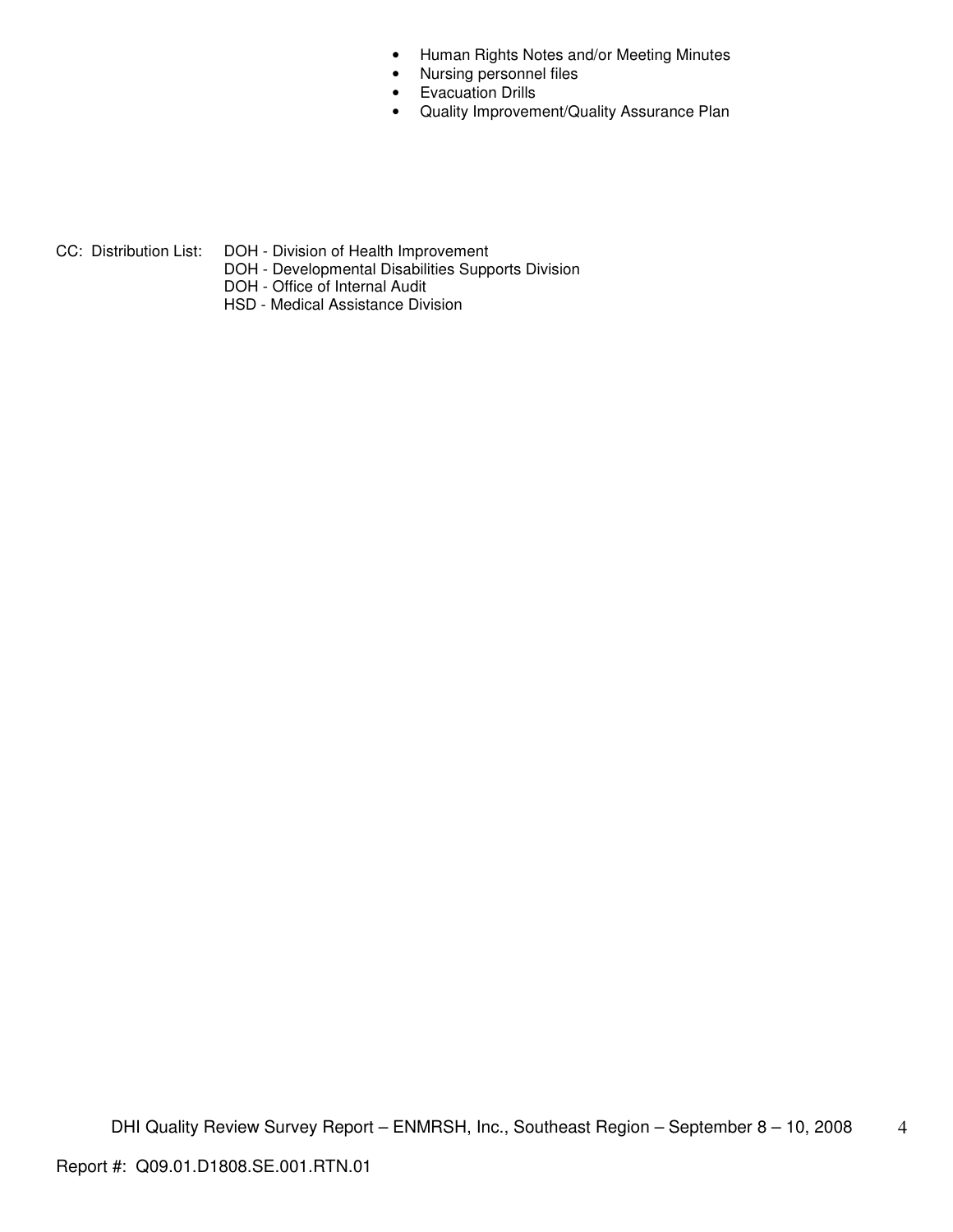- Human Rights Notes and/or Meeting Minutes
- Nursing personnel files
- Evacuation Drills
- Quality Improvement/Quality Assurance Plan

- CC: Distribution List: DOH Division of Health Improvement
	- DOH Developmental Disabilities Supports Division
	- DOH Office of Internal Audit
	- HSD Medical Assistance Division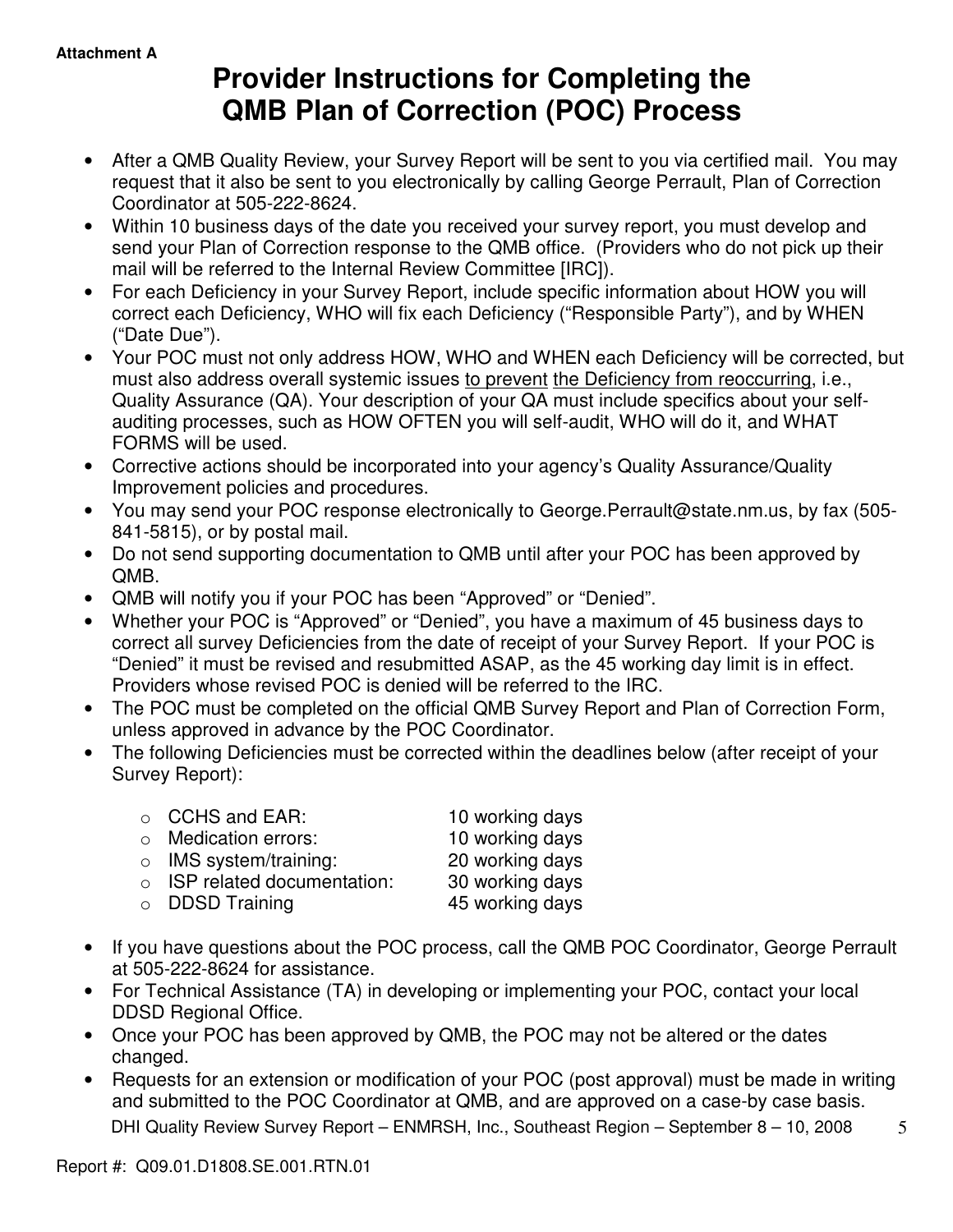# **Provider Instructions for Completing the QMB Plan of Correction (POC) Process**

- After a QMB Quality Review, your Survey Report will be sent to you via certified mail. You may request that it also be sent to you electronically by calling George Perrault, Plan of Correction Coordinator at 505-222-8624.
- Within 10 business days of the date you received your survey report, you must develop and send your Plan of Correction response to the QMB office. (Providers who do not pick up their mail will be referred to the Internal Review Committee [IRC]).
- For each Deficiency in your Survey Report, include specific information about HOW you will correct each Deficiency, WHO will fix each Deficiency ("Responsible Party"), and by WHEN ("Date Due").
- Your POC must not only address HOW, WHO and WHEN each Deficiency will be corrected, but must also address overall systemic issues to prevent the Deficiency from reoccurring, i.e., Quality Assurance (QA). Your description of your QA must include specifics about your selfauditing processes, such as HOW OFTEN you will self-audit, WHO will do it, and WHAT FORMS will be used.
- Corrective actions should be incorporated into your agency's Quality Assurance/Quality Improvement policies and procedures.
- You may send your POC response electronically to George.Perrault@state.nm.us, by fax (505- 841-5815), or by postal mail.
- Do not send supporting documentation to QMB until after your POC has been approved by QMB.
- QMB will notify you if your POC has been "Approved" or "Denied".
- Whether your POC is "Approved" or "Denied", you have a maximum of 45 business days to correct all survey Deficiencies from the date of receipt of your Survey Report. If your POC is "Denied" it must be revised and resubmitted ASAP, as the 45 working day limit is in effect. Providers whose revised POC is denied will be referred to the IRC.
- The POC must be completed on the official QMB Survey Report and Plan of Correction Form, unless approved in advance by the POC Coordinator.
- The following Deficiencies must be corrected within the deadlines below (after receipt of your Survey Report):

| $\circ$ CCHS and EAR:              | 10 working days |
|------------------------------------|-----------------|
| $\circ$ Medication errors:         | 10 working days |
| $\circ$ IMS system/training:       | 20 working days |
| $\circ$ ISP related documentation: | 30 working days |
| $\circ$ DDSD Training              | 45 working days |
|                                    |                 |

- If you have questions about the POC process, call the QMB POC Coordinator, George Perrault at 505-222-8624 for assistance.
- For Technical Assistance (TA) in developing or implementing your POC, contact your local DDSD Regional Office.
- Once your POC has been approved by QMB, the POC may not be altered or the dates changed.
- DHI Quality Review Survey Report ENMRSH, Inc., Southeast Region September 8 10, 2008 • Requests for an extension or modification of your POC (post approval) must be made in writing and submitted to the POC Coordinator at QMB, and are approved on a case-by case basis.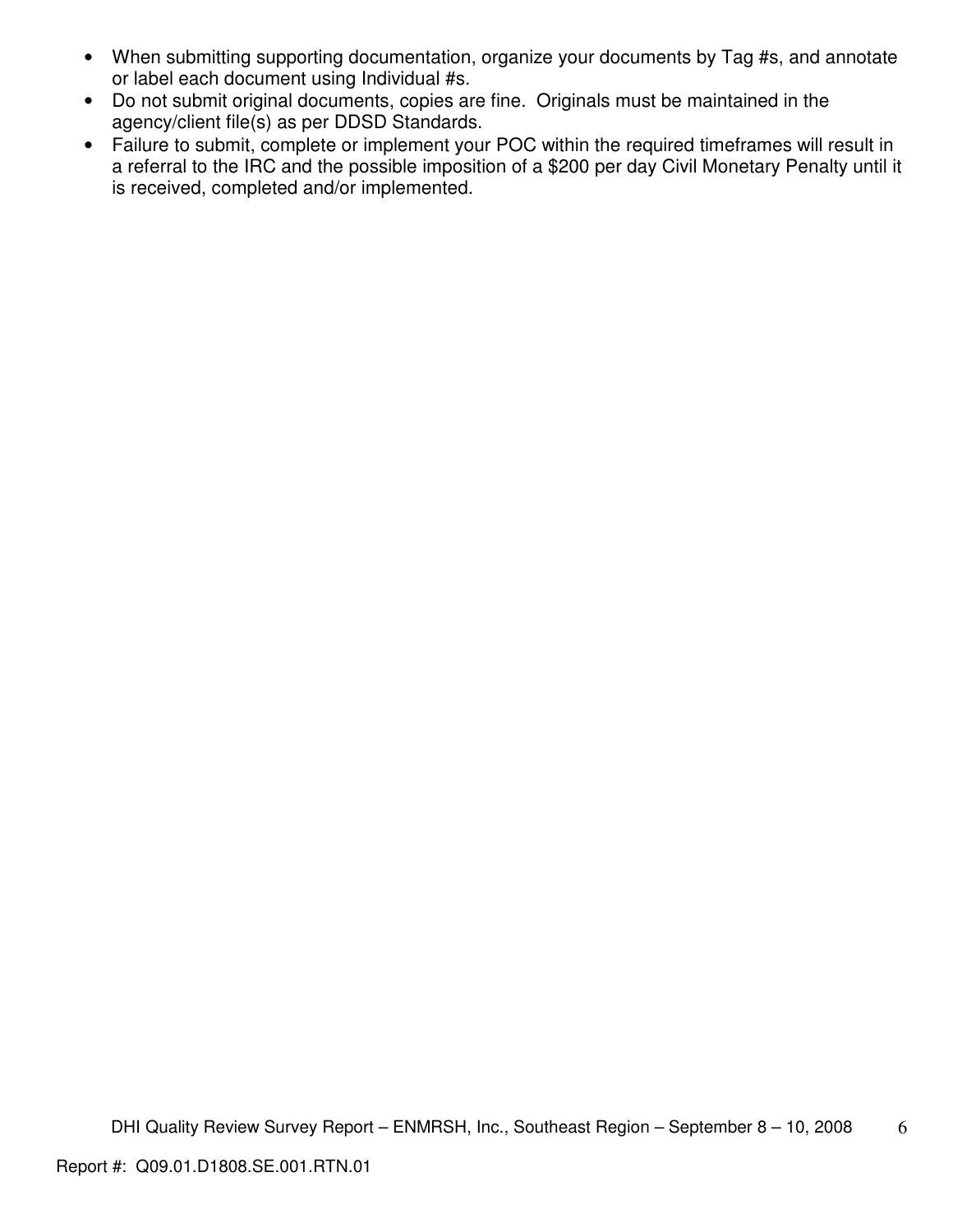- When submitting supporting documentation, organize your documents by Tag #s, and annotate or label each document using Individual #s.
- Do not submit original documents, copies are fine. Originals must be maintained in the agency/client file(s) as per DDSD Standards.
- Failure to submit, complete or implement your POC within the required timeframes will result in a referral to the IRC and the possible imposition of a \$200 per day Civil Monetary Penalty until it is received, completed and/or implemented.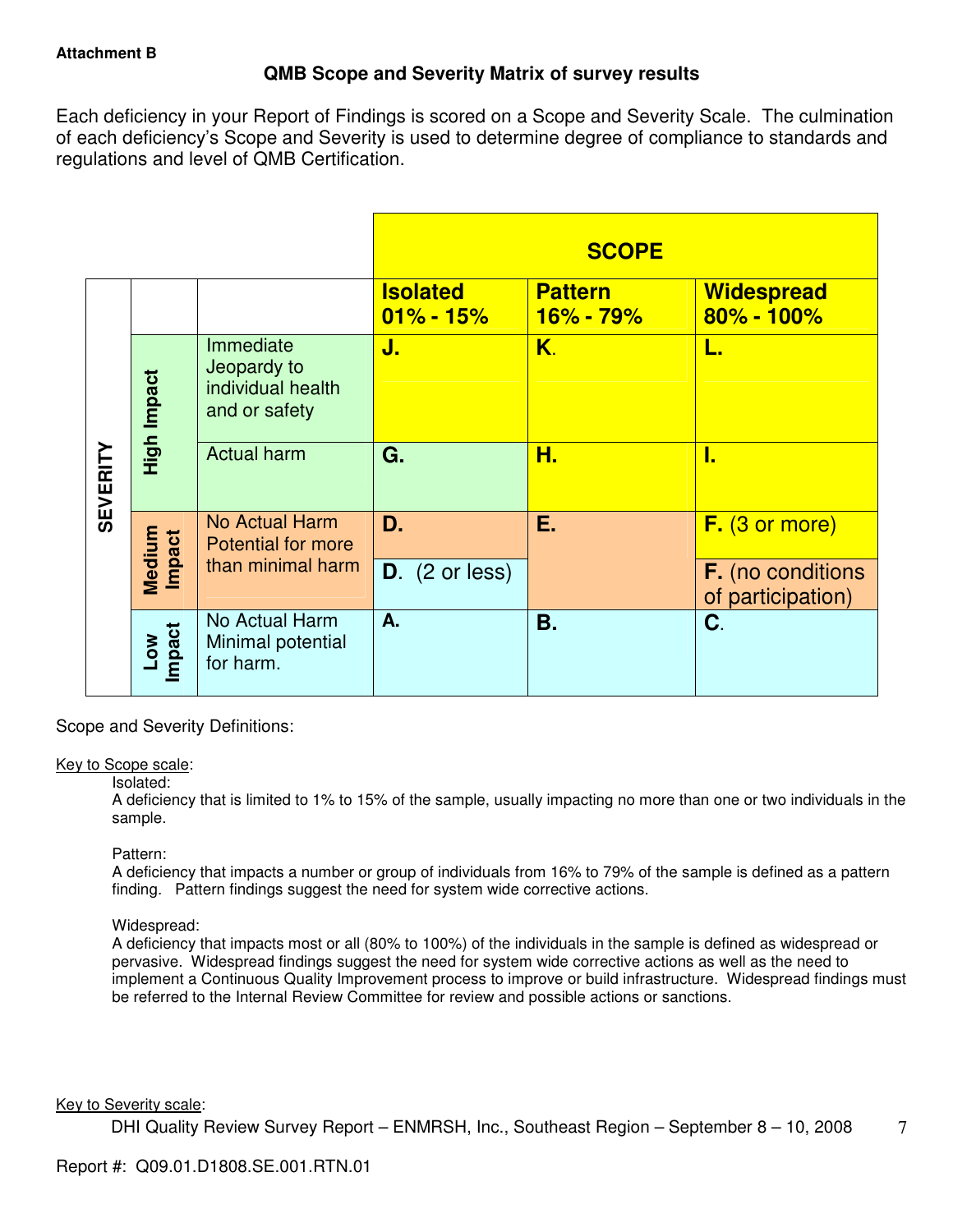# **QMB Scope and Severity Matrix of survey results**

Each deficiency in your Report of Findings is scored on a Scope and Severity Scale. The culmination of each deficiency's Scope and Severity is used to determine degree of compliance to standards and regulations and level of QMB Certification.

|                 |                  |                                                                |                                  | <b>SCOPE</b>                |                                               |
|-----------------|------------------|----------------------------------------------------------------|----------------------------------|-----------------------------|-----------------------------------------------|
|                 |                  |                                                                | <b>Isolated</b><br>$01\% - 15\%$ | <b>Pattern</b><br>16% - 79% | <b>Widespread</b><br>80% - 100%               |
| <b>SEVERITY</b> | High Impact      | Immediate<br>Jeopardy to<br>individual health<br>and or safety | J.                               | K.                          | L.                                            |
|                 |                  | <b>Actual harm</b>                                             | G.                               | Н.                          | I.                                            |
|                 |                  | No Actual Harm<br><b>Potential for more</b>                    | D.                               | Е.                          | $F.$ (3 or more)                              |
|                 | Medium<br>Impact | than minimal harm                                              | $D.$ (2 or less)                 |                             | <b>F.</b> (no conditions<br>of participation) |
|                 | Low<br>Impact    | No Actual Harm<br>Minimal potential<br>for harm.               | A.                               | Β.                          | C.                                            |

Scope and Severity Definitions:

## Key to Scope scale:

## Isolated:

A deficiency that is limited to 1% to 15% of the sample, usually impacting no more than one or two individuals in the sample.

## Pattern:

A deficiency that impacts a number or group of individuals from 16% to 79% of the sample is defined as a pattern finding. Pattern findings suggest the need for system wide corrective actions.

# Widespread:

A deficiency that impacts most or all (80% to 100%) of the individuals in the sample is defined as widespread or pervasive. Widespread findings suggest the need for system wide corrective actions as well as the need to implement a Continuous Quality Improvement process to improve or build infrastructure. Widespread findings must be referred to the Internal Review Committee for review and possible actions or sanctions.

## Key to Severity scale: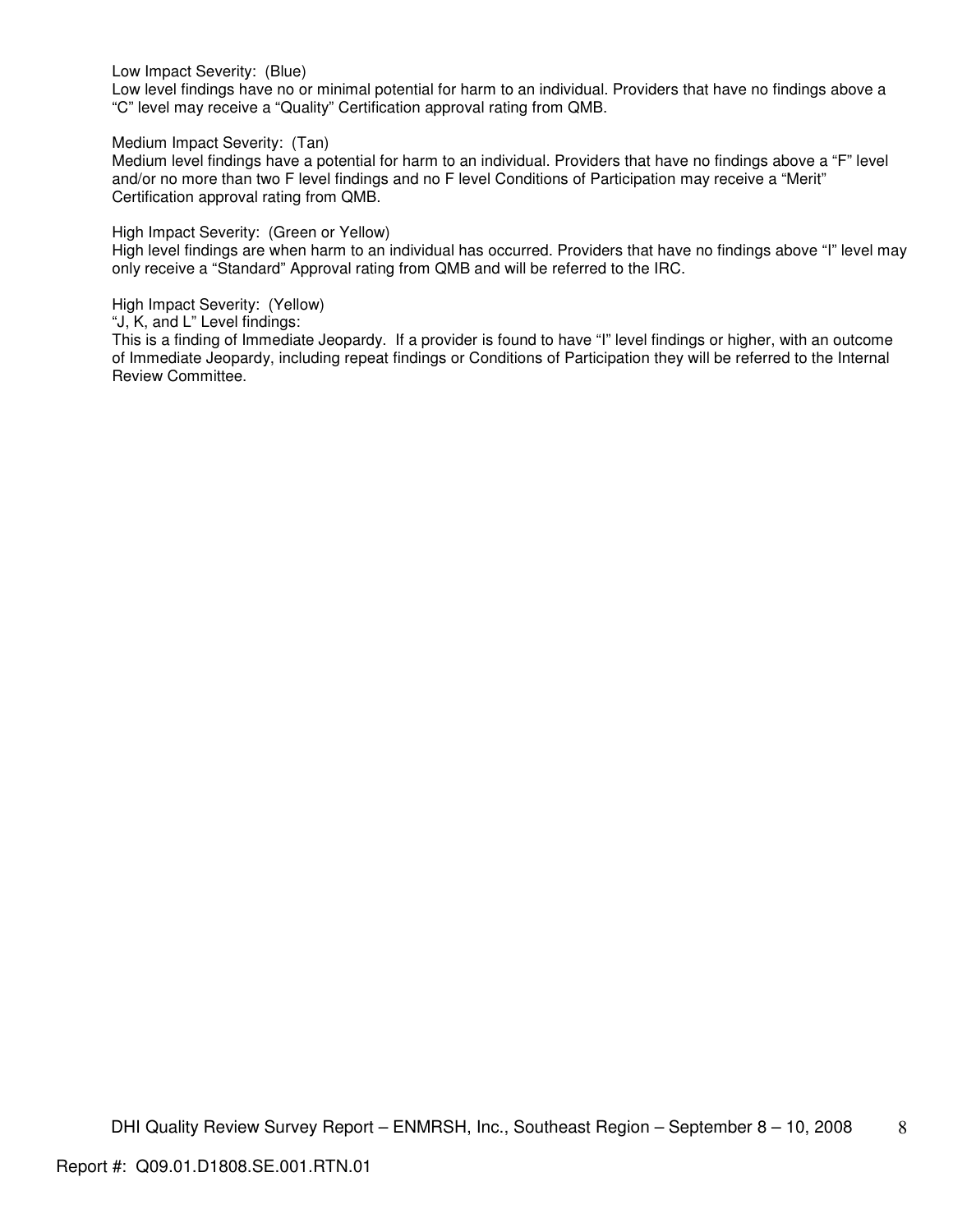Low Impact Severity: (Blue)

Low level findings have no or minimal potential for harm to an individual. Providers that have no findings above a "C" level may receive a "Quality" Certification approval rating from QMB.

Medium Impact Severity: (Tan)

Medium level findings have a potential for harm to an individual. Providers that have no findings above a "F" level and/or no more than two F level findings and no F level Conditions of Participation may receive a "Merit" Certification approval rating from QMB.

High Impact Severity: (Green or Yellow)

High level findings are when harm to an individual has occurred. Providers that have no findings above "I" level may only receive a "Standard" Approval rating from QMB and will be referred to the IRC.

High Impact Severity: (Yellow)

"J, K, and L" Level findings:

This is a finding of Immediate Jeopardy. If a provider is found to have "I" level findings or higher, with an outcome of Immediate Jeopardy, including repeat findings or Conditions of Participation they will be referred to the Internal Review Committee.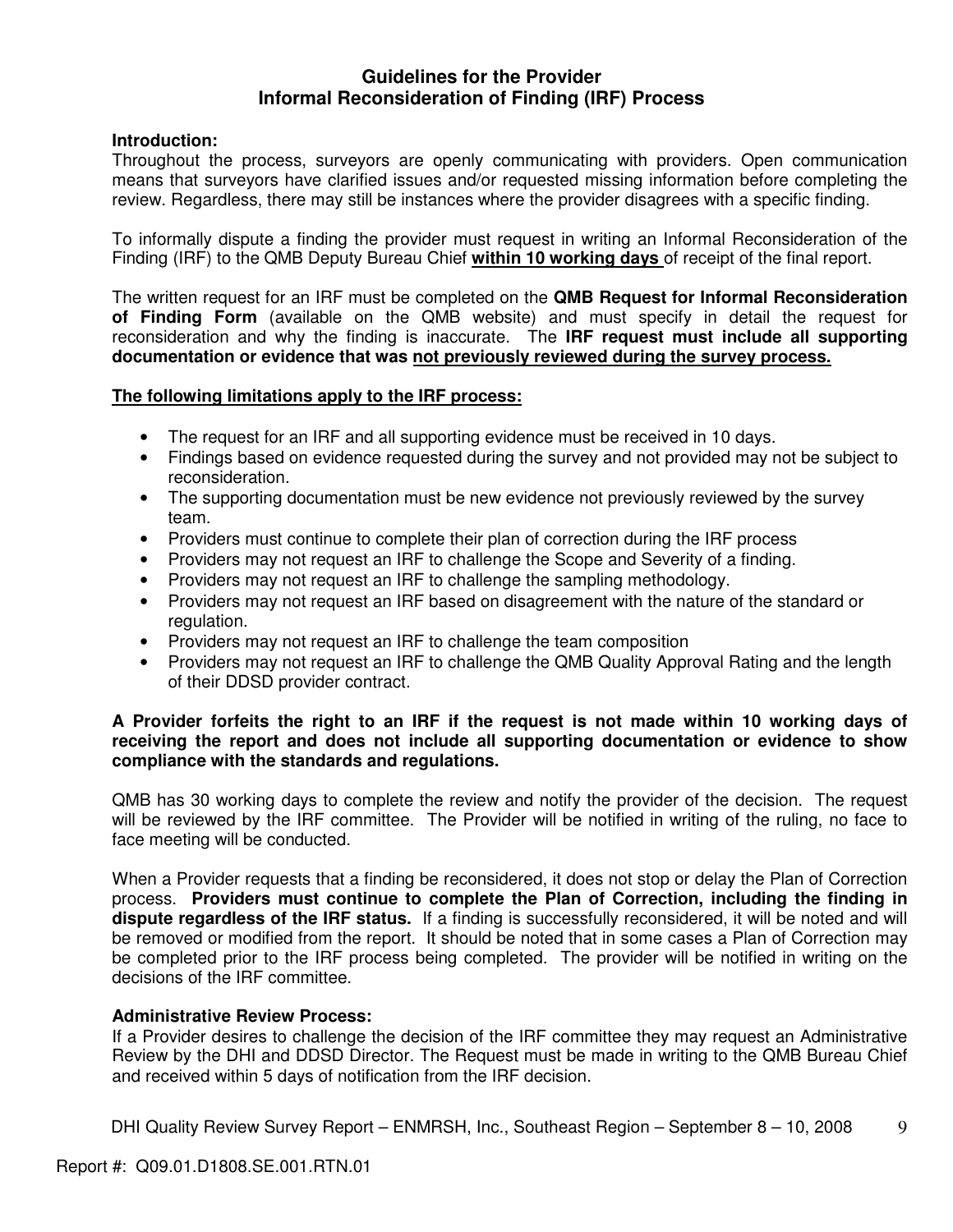# **Guidelines for the Provider Informal Reconsideration of Finding (IRF) Process**

# **Introduction:**

Throughout the process, surveyors are openly communicating with providers. Open communication means that surveyors have clarified issues and/or requested missing information before completing the review. Regardless, there may still be instances where the provider disagrees with a specific finding.

To informally dispute a finding the provider must request in writing an Informal Reconsideration of the Finding (IRF) to the QMB Deputy Bureau Chief **within 10 working days** of receipt of the final report.

The written request for an IRF must be completed on the **QMB Request for Informal Reconsideration of Finding Form** (available on the QMB website) and must specify in detail the request for reconsideration and why the finding is inaccurate. The **IRF request must include all supporting documentation or evidence that was not previously reviewed during the survey process.** 

# **The following limitations apply to the IRF process:**

- The request for an IRF and all supporting evidence must be received in 10 days.
- Findings based on evidence requested during the survey and not provided may not be subject to reconsideration.
- The supporting documentation must be new evidence not previously reviewed by the survey team.
- Providers must continue to complete their plan of correction during the IRF process
- Providers may not request an IRF to challenge the Scope and Severity of a finding.
- Providers may not request an IRF to challenge the sampling methodology.
- Providers may not request an IRF based on disagreement with the nature of the standard or regulation.
- Providers may not request an IRF to challenge the team composition
- Providers may not request an IRF to challenge the QMB Quality Approval Rating and the length of their DDSD provider contract.

# **A Provider forfeits the right to an IRF if the request is not made within 10 working days of receiving the report and does not include all supporting documentation or evidence to show compliance with the standards and regulations.**

QMB has 30 working days to complete the review and notify the provider of the decision. The request will be reviewed by the IRF committee. The Provider will be notified in writing of the ruling, no face to face meeting will be conducted.

When a Provider requests that a finding be reconsidered, it does not stop or delay the Plan of Correction process. **Providers must continue to complete the Plan of Correction, including the finding in dispute regardless of the IRF status.** If a finding is successfully reconsidered, it will be noted and will be removed or modified from the report. It should be noted that in some cases a Plan of Correction may be completed prior to the IRF process being completed. The provider will be notified in writing on the decisions of the IRF committee.

## **Administrative Review Process:**

If a Provider desires to challenge the decision of the IRF committee they may request an Administrative Review by the DHI and DDSD Director. The Request must be made in writing to the QMB Bureau Chief and received within 5 days of notification from the IRF decision.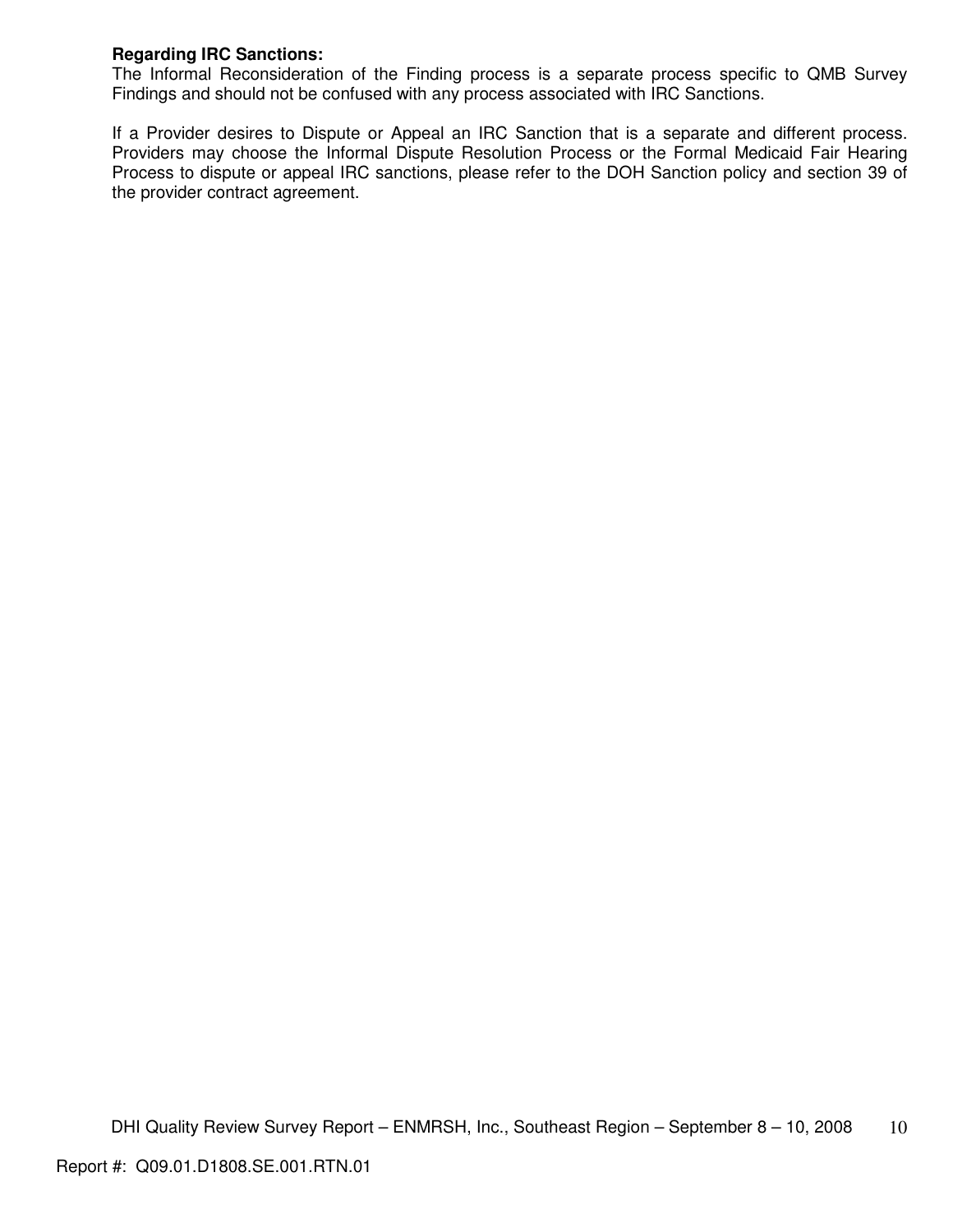# **Regarding IRC Sanctions:**

The Informal Reconsideration of the Finding process is a separate process specific to QMB Survey Findings and should not be confused with any process associated with IRC Sanctions.

If a Provider desires to Dispute or Appeal an IRC Sanction that is a separate and different process. Providers may choose the Informal Dispute Resolution Process or the Formal Medicaid Fair Hearing Process to dispute or appeal IRC sanctions, please refer to the DOH Sanction policy and section 39 of the provider contract agreement.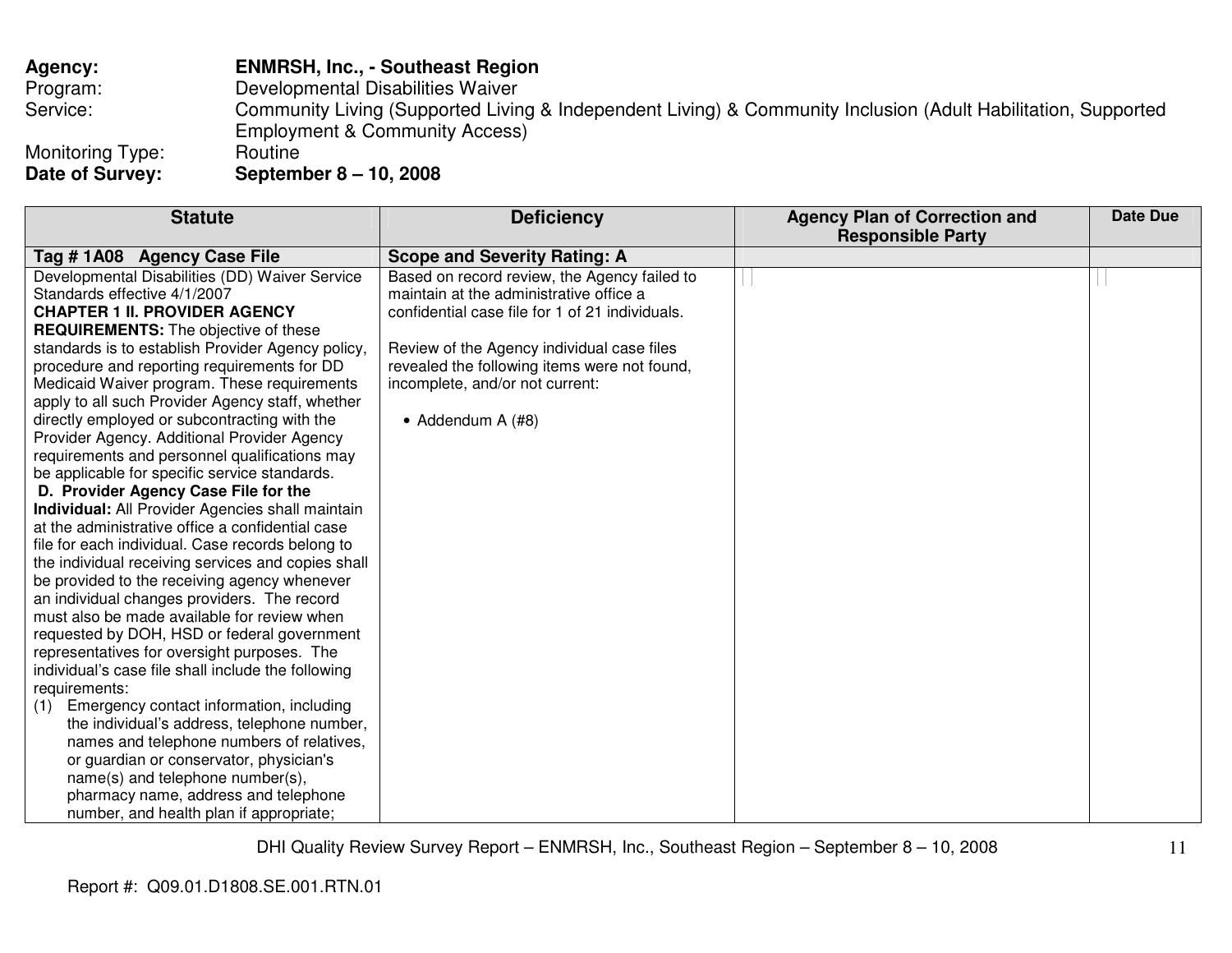| <b>Agency:</b>   | <b>ENMRSH, Inc., - Southeast Region</b>                                                                       |
|------------------|---------------------------------------------------------------------------------------------------------------|
| Program:         | Developmental Disabilities Waiver                                                                             |
| Service:         | Community Living (Supported Living & Independent Living) & Community Inclusion (Adult Habilitation, Supported |
|                  | <b>Employment &amp; Community Access)</b>                                                                     |
| Monitoring Type: | Routine                                                                                                       |
| Date of Survey:  | September 8 – 10, 2008                                                                                        |

| <b>Statute</b>                                          | <b>Deficiency</b>                               | <b>Agency Plan of Correction and</b><br><b>Responsible Party</b> | <b>Date Due</b> |
|---------------------------------------------------------|-------------------------------------------------|------------------------------------------------------------------|-----------------|
| Tag # 1A08 Agency Case File                             | <b>Scope and Severity Rating: A</b>             |                                                                  |                 |
| Developmental Disabilities (DD) Waiver Service          | Based on record review, the Agency failed to    |                                                                  |                 |
| Standards effective 4/1/2007                            | maintain at the administrative office a         |                                                                  |                 |
| <b>CHAPTER 1 II. PROVIDER AGENCY</b>                    | confidential case file for 1 of 21 individuals. |                                                                  |                 |
| <b>REQUIREMENTS:</b> The objective of these             |                                                 |                                                                  |                 |
| standards is to establish Provider Agency policy,       | Review of the Agency individual case files      |                                                                  |                 |
| procedure and reporting requirements for DD             | revealed the following items were not found,    |                                                                  |                 |
| Medicaid Waiver program. These requirements             | incomplete, and/or not current:                 |                                                                  |                 |
| apply to all such Provider Agency staff, whether        |                                                 |                                                                  |                 |
| directly employed or subcontracting with the            | • Addendum A (#8)                               |                                                                  |                 |
| Provider Agency. Additional Provider Agency             |                                                 |                                                                  |                 |
| requirements and personnel qualifications may           |                                                 |                                                                  |                 |
| be applicable for specific service standards.           |                                                 |                                                                  |                 |
| D. Provider Agency Case File for the                    |                                                 |                                                                  |                 |
| <b>Individual:</b> All Provider Agencies shall maintain |                                                 |                                                                  |                 |
| at the administrative office a confidential case        |                                                 |                                                                  |                 |
| file for each individual. Case records belong to        |                                                 |                                                                  |                 |
| the individual receiving services and copies shall      |                                                 |                                                                  |                 |
| be provided to the receiving agency whenever            |                                                 |                                                                  |                 |
| an individual changes providers. The record             |                                                 |                                                                  |                 |
| must also be made available for review when             |                                                 |                                                                  |                 |
| requested by DOH, HSD or federal government             |                                                 |                                                                  |                 |
| representatives for oversight purposes. The             |                                                 |                                                                  |                 |
| individual's case file shall include the following      |                                                 |                                                                  |                 |
| requirements:                                           |                                                 |                                                                  |                 |
| Emergency contact information, including<br>(1)         |                                                 |                                                                  |                 |
| the individual's address, telephone number,             |                                                 |                                                                  |                 |
| names and telephone numbers of relatives,               |                                                 |                                                                  |                 |
| or guardian or conservator, physician's                 |                                                 |                                                                  |                 |
| name(s) and telephone number(s),                        |                                                 |                                                                  |                 |
| pharmacy name, address and telephone                    |                                                 |                                                                  |                 |
| number, and health plan if appropriate;                 |                                                 |                                                                  |                 |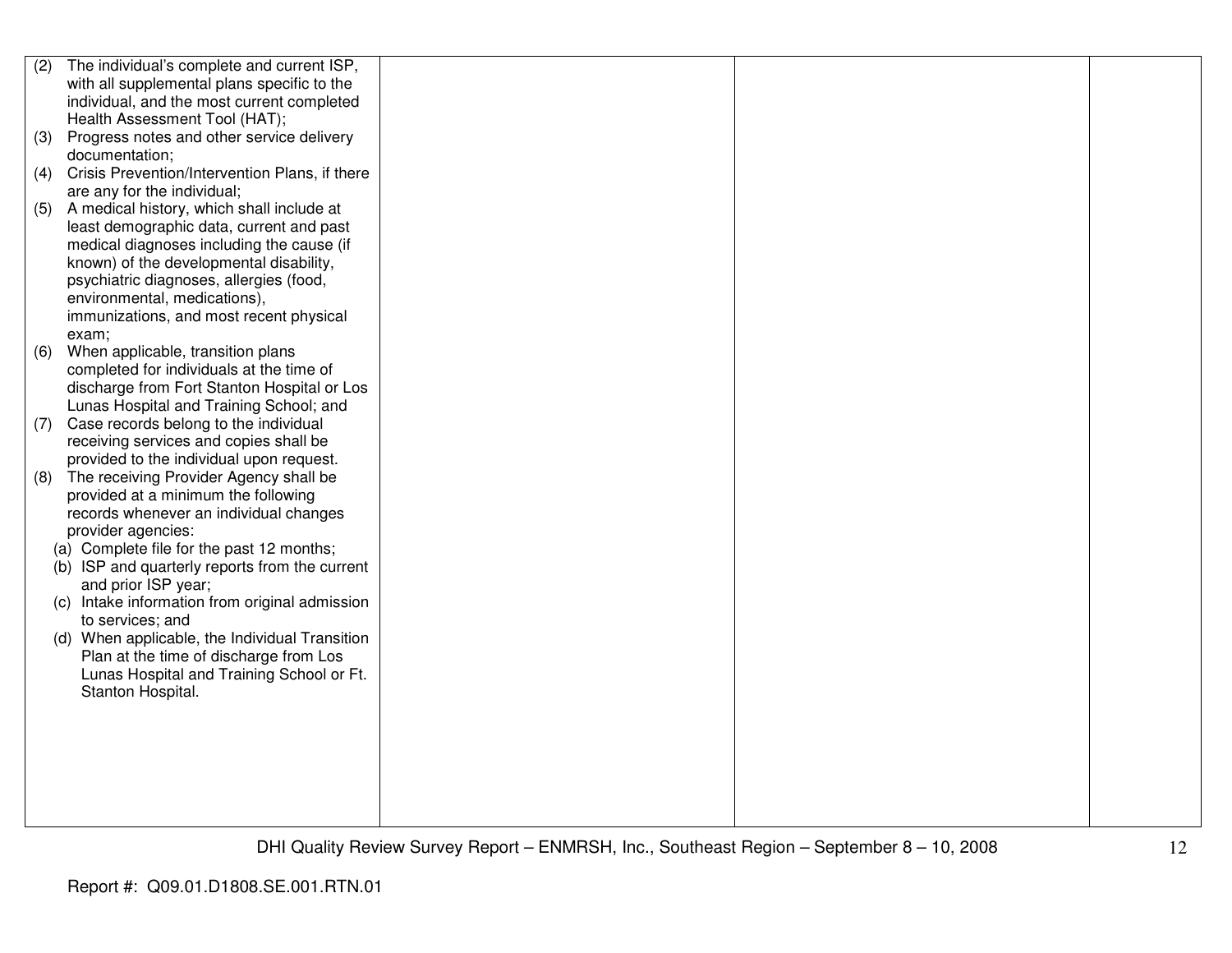| (2) | The individual's complete and current ISP,     |  |  |
|-----|------------------------------------------------|--|--|
|     | with all supplemental plans specific to the    |  |  |
|     | individual, and the most current completed     |  |  |
|     | Health Assessment Tool (HAT);                  |  |  |
| (3) | Progress notes and other service delivery      |  |  |
|     | documentation;                                 |  |  |
| (4) | Crisis Prevention/Intervention Plans, if there |  |  |
|     | are any for the individual;                    |  |  |
| (5) | A medical history, which shall include at      |  |  |
|     | least demographic data, current and past       |  |  |
|     | medical diagnoses including the cause (if      |  |  |
|     | known) of the developmental disability,        |  |  |
|     | psychiatric diagnoses, allergies (food,        |  |  |
|     | environmental, medications),                   |  |  |
|     | immunizations, and most recent physical        |  |  |
|     | exam;                                          |  |  |
| (6) | When applicable, transition plans              |  |  |
|     | completed for individuals at the time of       |  |  |
|     | discharge from Fort Stanton Hospital or Los    |  |  |
|     | Lunas Hospital and Training School; and        |  |  |
| (7) | Case records belong to the individual          |  |  |
|     | receiving services and copies shall be         |  |  |
|     | provided to the individual upon request.       |  |  |
| (8) | The receiving Provider Agency shall be         |  |  |
|     | provided at a minimum the following            |  |  |
|     | records whenever an individual changes         |  |  |
|     | provider agencies:                             |  |  |
|     | (a) Complete file for the past 12 months;      |  |  |
|     | (b) ISP and quarterly reports from the current |  |  |
|     | and prior ISP year;                            |  |  |
|     | (c) Intake information from original admission |  |  |
|     | to services; and                               |  |  |
|     | (d) When applicable, the Individual Transition |  |  |
|     | Plan at the time of discharge from Los         |  |  |
|     | Lunas Hospital and Training School or Ft.      |  |  |
|     | Stanton Hospital.                              |  |  |
|     |                                                |  |  |
|     |                                                |  |  |
|     |                                                |  |  |
|     |                                                |  |  |
|     |                                                |  |  |
|     |                                                |  |  |
|     |                                                |  |  |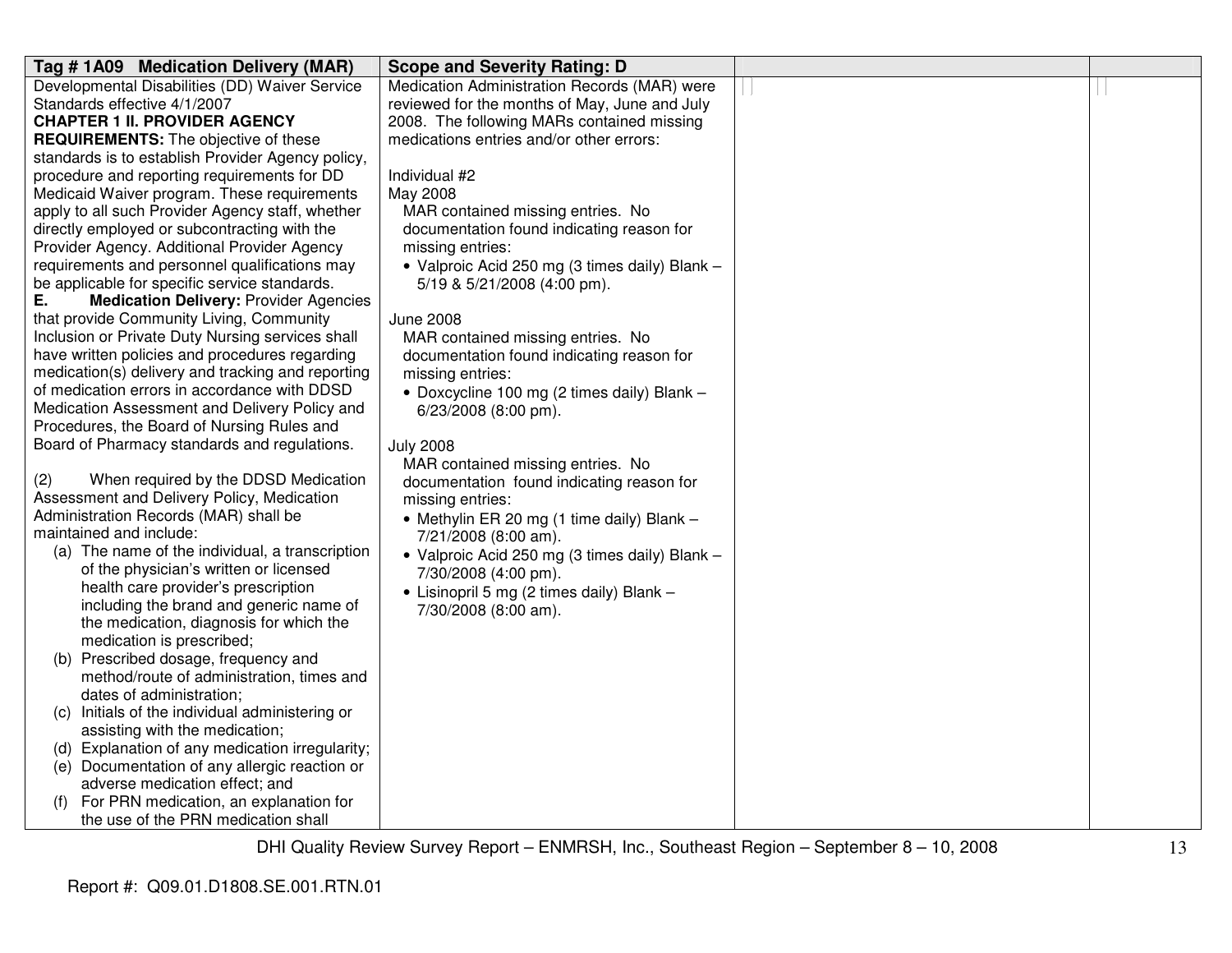| Tag # 1A09 Medication Delivery (MAR)                                                | <b>Scope and Severity Rating: D</b>            |  |
|-------------------------------------------------------------------------------------|------------------------------------------------|--|
| Developmental Disabilities (DD) Waiver Service                                      | Medication Administration Records (MAR) were   |  |
| Standards effective 4/1/2007                                                        | reviewed for the months of May, June and July  |  |
| <b>CHAPTER 1 II. PROVIDER AGENCY</b>                                                | 2008. The following MARs contained missing     |  |
| <b>REQUIREMENTS:</b> The objective of these                                         | medications entries and/or other errors:       |  |
| standards is to establish Provider Agency policy,                                   |                                                |  |
| procedure and reporting requirements for DD                                         | Individual #2                                  |  |
| Medicaid Waiver program. These requirements                                         | May 2008                                       |  |
| apply to all such Provider Agency staff, whether                                    | MAR contained missing entries. No              |  |
| directly employed or subcontracting with the                                        | documentation found indicating reason for      |  |
| Provider Agency. Additional Provider Agency                                         | missing entries:                               |  |
| requirements and personnel qualifications may                                       | • Valproic Acid 250 mg (3 times daily) Blank - |  |
| be applicable for specific service standards.                                       | 5/19 & 5/21/2008 (4:00 pm).                    |  |
| Е.<br><b>Medication Delivery: Provider Agencies</b>                                 |                                                |  |
| that provide Community Living, Community                                            | <b>June 2008</b>                               |  |
| Inclusion or Private Duty Nursing services shall                                    | MAR contained missing entries. No              |  |
| have written policies and procedures regarding                                      | documentation found indicating reason for      |  |
| medication(s) delivery and tracking and reporting                                   | missing entries:                               |  |
| of medication errors in accordance with DDSD                                        | • Doxcycline 100 mg (2 times daily) Blank -    |  |
| Medication Assessment and Delivery Policy and                                       | 6/23/2008 (8:00 pm).                           |  |
| Procedures, the Board of Nursing Rules and                                          |                                                |  |
| Board of Pharmacy standards and regulations.                                        | <b>July 2008</b>                               |  |
|                                                                                     | MAR contained missing entries. No              |  |
| When required by the DDSD Medication<br>(2)                                         | documentation found indicating reason for      |  |
| Assessment and Delivery Policy, Medication<br>Administration Records (MAR) shall be | missing entries:                               |  |
| maintained and include:                                                             | • Methylin ER 20 mg (1 time daily) Blank -     |  |
| (a) The name of the individual, a transcription                                     | 7/21/2008 (8:00 am).                           |  |
| of the physician's written or licensed                                              | · Valproic Acid 250 mg (3 times daily) Blank - |  |
| health care provider's prescription                                                 | 7/30/2008 (4:00 pm).                           |  |
| including the brand and generic name of                                             | • Lisinopril 5 mg (2 times daily) Blank -      |  |
| the medication, diagnosis for which the                                             | 7/30/2008 (8:00 am).                           |  |
| medication is prescribed;                                                           |                                                |  |
| (b) Prescribed dosage, frequency and                                                |                                                |  |
| method/route of administration, times and                                           |                                                |  |
| dates of administration;                                                            |                                                |  |
| Initials of the individual administering or<br>(C)                                  |                                                |  |
| assisting with the medication;                                                      |                                                |  |
| (d) Explanation of any medication irregularity;                                     |                                                |  |
| (e) Documentation of any allergic reaction or                                       |                                                |  |
| adverse medication effect; and                                                      |                                                |  |
| For PRN medication, an explanation for                                              |                                                |  |
| the use of the PRN medication shall                                                 |                                                |  |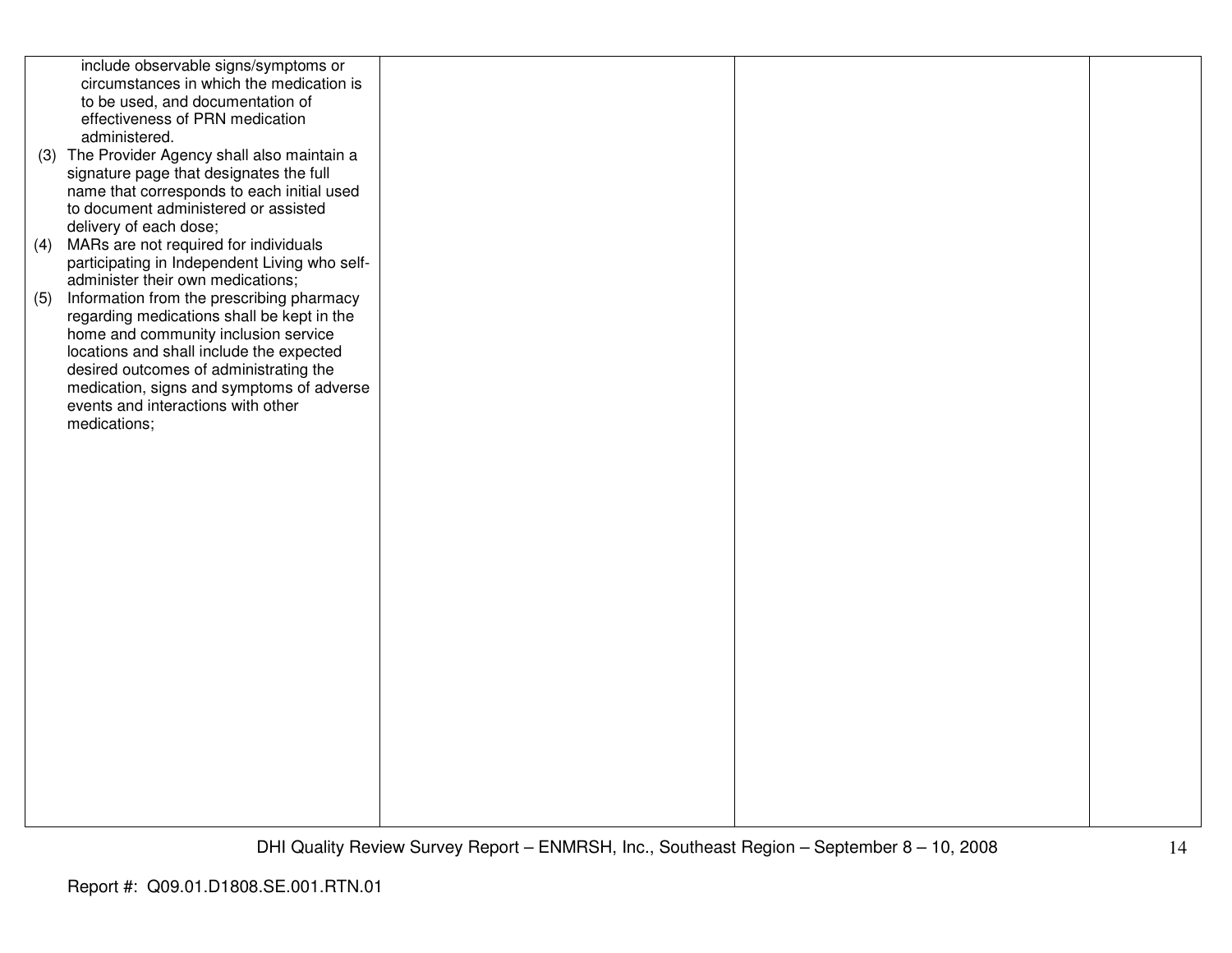|     | include observable signs/symptoms or          |  |  |
|-----|-----------------------------------------------|--|--|
|     | circumstances in which the medication is      |  |  |
|     | to be used, and documentation of              |  |  |
|     | effectiveness of PRN medication               |  |  |
|     | administered.                                 |  |  |
|     |                                               |  |  |
|     | (3) The Provider Agency shall also maintain a |  |  |
|     | signature page that designates the full       |  |  |
|     | name that corresponds to each initial used    |  |  |
|     | to document administered or assisted          |  |  |
|     | delivery of each dose;                        |  |  |
| (4) | MARs are not required for individuals         |  |  |
|     | participating in Independent Living who self- |  |  |
|     | administer their own medications;             |  |  |
| (5) | Information from the prescribing pharmacy     |  |  |
|     | regarding medications shall be kept in the    |  |  |
|     | home and community inclusion service          |  |  |
|     |                                               |  |  |
|     | locations and shall include the expected      |  |  |
|     | desired outcomes of administrating the        |  |  |
|     | medication, signs and symptoms of adverse     |  |  |
|     | events and interactions with other            |  |  |
|     | medications;                                  |  |  |
|     |                                               |  |  |
|     |                                               |  |  |
|     |                                               |  |  |
|     |                                               |  |  |
|     |                                               |  |  |
|     |                                               |  |  |
|     |                                               |  |  |
|     |                                               |  |  |
|     |                                               |  |  |
|     |                                               |  |  |
|     |                                               |  |  |
|     |                                               |  |  |
|     |                                               |  |  |
|     |                                               |  |  |
|     |                                               |  |  |
|     |                                               |  |  |
|     |                                               |  |  |
|     |                                               |  |  |
|     |                                               |  |  |
|     |                                               |  |  |
|     |                                               |  |  |
|     |                                               |  |  |
|     |                                               |  |  |
|     |                                               |  |  |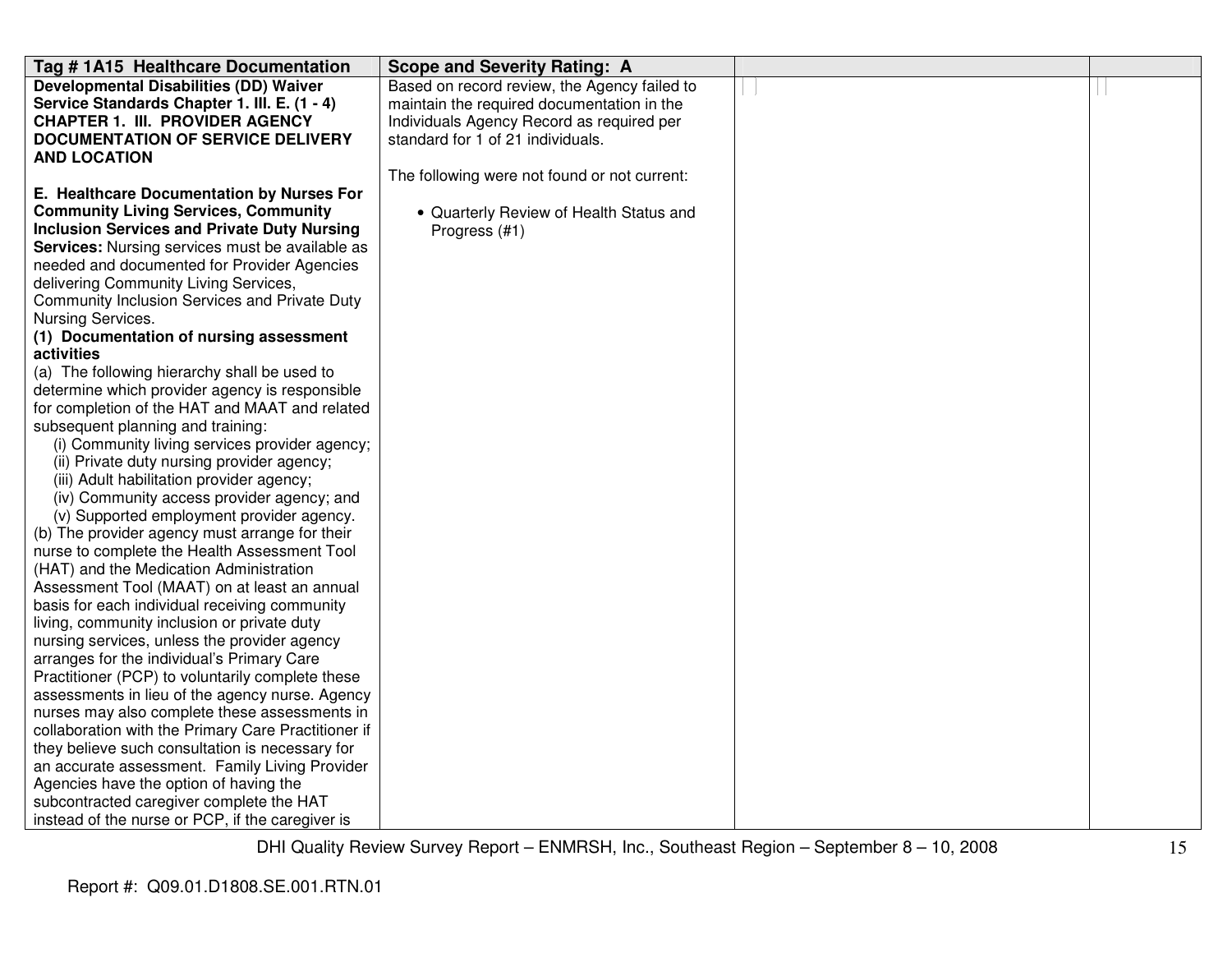| Tag # 1A15 Healthcare Documentation                                                           | <b>Scope and Severity Rating: A</b>          |  |
|-----------------------------------------------------------------------------------------------|----------------------------------------------|--|
| <b>Developmental Disabilities (DD) Waiver</b>                                                 | Based on record review, the Agency failed to |  |
| Service Standards Chapter 1. III. E. (1 - 4)                                                  | maintain the required documentation in the   |  |
| <b>CHAPTER 1. III. PROVIDER AGENCY</b>                                                        | Individuals Agency Record as required per    |  |
| <b>DOCUMENTATION OF SERVICE DELIVERY</b>                                                      | standard for 1 of 21 individuals.            |  |
| <b>AND LOCATION</b>                                                                           |                                              |  |
|                                                                                               | The following were not found or not current: |  |
| E. Healthcare Documentation by Nurses For                                                     |                                              |  |
| <b>Community Living Services, Community</b>                                                   | • Quarterly Review of Health Status and      |  |
| <b>Inclusion Services and Private Duty Nursing</b>                                            | Progress (#1)                                |  |
| <b>Services:</b> Nursing services must be available as                                        |                                              |  |
| needed and documented for Provider Agencies                                                   |                                              |  |
| delivering Community Living Services,                                                         |                                              |  |
| Community Inclusion Services and Private Duty                                                 |                                              |  |
| Nursing Services.                                                                             |                                              |  |
| (1) Documentation of nursing assessment                                                       |                                              |  |
| activities                                                                                    |                                              |  |
| (a) The following hierarchy shall be used to                                                  |                                              |  |
| determine which provider agency is responsible                                                |                                              |  |
| for completion of the HAT and MAAT and related                                                |                                              |  |
| subsequent planning and training:                                                             |                                              |  |
| (i) Community living services provider agency;                                                |                                              |  |
| (ii) Private duty nursing provider agency;                                                    |                                              |  |
| (iii) Adult habilitation provider agency;                                                     |                                              |  |
| (iv) Community access provider agency; and                                                    |                                              |  |
| (v) Supported employment provider agency.                                                     |                                              |  |
| (b) The provider agency must arrange for their                                                |                                              |  |
| nurse to complete the Health Assessment Tool                                                  |                                              |  |
| (HAT) and the Medication Administration                                                       |                                              |  |
| Assessment Tool (MAAT) on at least an annual<br>basis for each individual receiving community |                                              |  |
| living, community inclusion or private duty                                                   |                                              |  |
| nursing services, unless the provider agency                                                  |                                              |  |
| arranges for the individual's Primary Care                                                    |                                              |  |
| Practitioner (PCP) to voluntarily complete these                                              |                                              |  |
| assessments in lieu of the agency nurse. Agency                                               |                                              |  |
| nurses may also complete these assessments in                                                 |                                              |  |
| collaboration with the Primary Care Practitioner if                                           |                                              |  |
| they believe such consultation is necessary for                                               |                                              |  |
| an accurate assessment. Family Living Provider                                                |                                              |  |
| Agencies have the option of having the                                                        |                                              |  |
| subcontracted caregiver complete the HAT                                                      |                                              |  |
| instead of the nurse or PCP, if the caregiver is                                              |                                              |  |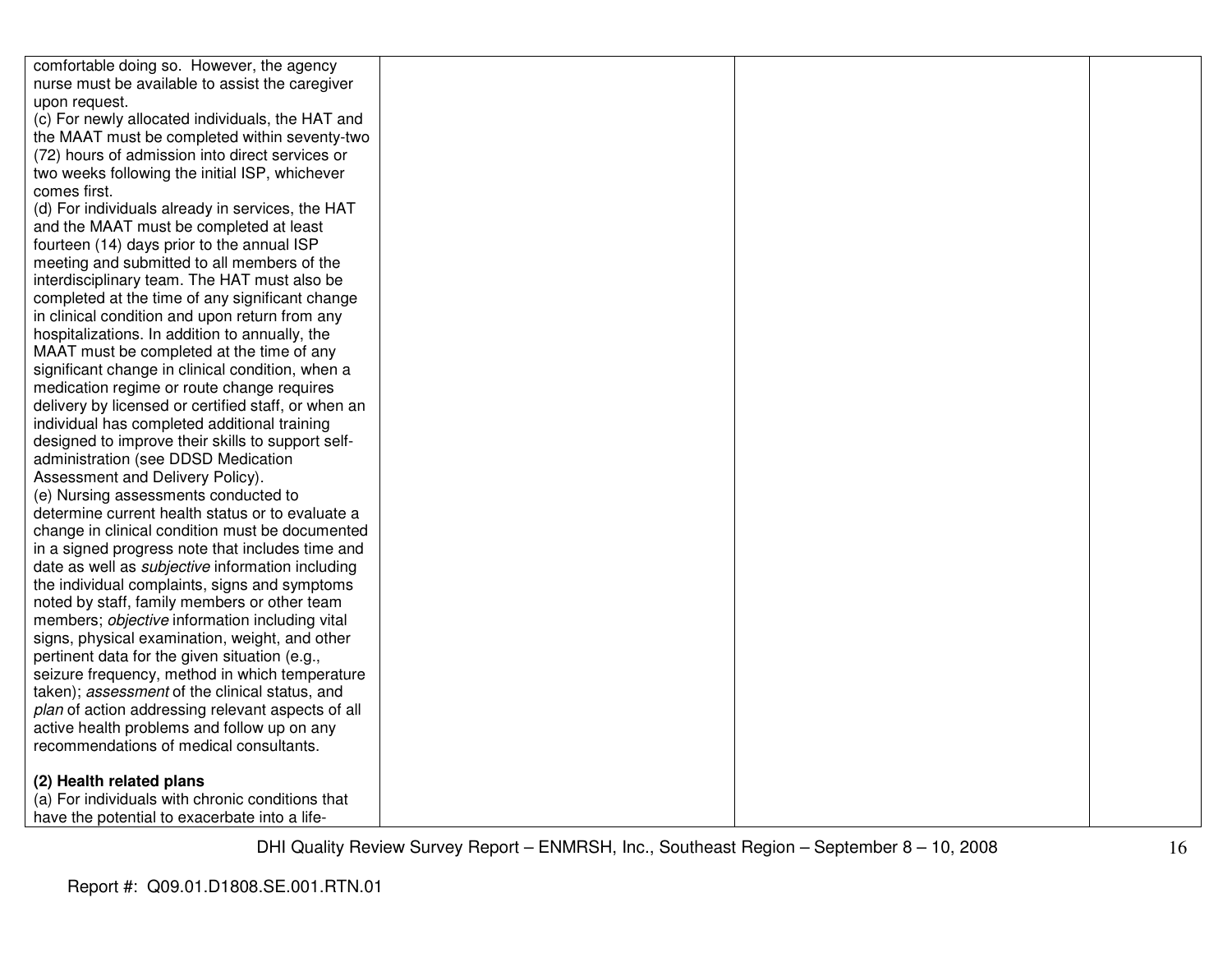| comfortable doing so. However, the agency               |  |  |
|---------------------------------------------------------|--|--|
| nurse must be available to assist the caregiver         |  |  |
| upon request.                                           |  |  |
| (c) For newly allocated individuals, the HAT and        |  |  |
| the MAAT must be completed within seventy-two           |  |  |
| (72) hours of admission into direct services or         |  |  |
| two weeks following the initial ISP, whichever          |  |  |
| comes first.                                            |  |  |
| (d) For individuals already in services, the HAT        |  |  |
| and the MAAT must be completed at least                 |  |  |
| fourteen (14) days prior to the annual ISP              |  |  |
| meeting and submitted to all members of the             |  |  |
| interdisciplinary team. The HAT must also be            |  |  |
| completed at the time of any significant change         |  |  |
| in clinical condition and upon return from any          |  |  |
| hospitalizations. In addition to annually, the          |  |  |
| MAAT must be completed at the time of any               |  |  |
| significant change in clinical condition, when a        |  |  |
| medication regime or route change requires              |  |  |
| delivery by licensed or certified staff, or when an     |  |  |
| individual has completed additional training            |  |  |
| designed to improve their skills to support self-       |  |  |
| administration (see DDSD Medication                     |  |  |
| Assessment and Delivery Policy).                        |  |  |
| (e) Nursing assessments conducted to                    |  |  |
| determine current health status or to evaluate a        |  |  |
| change in clinical condition must be documented         |  |  |
| in a signed progress note that includes time and        |  |  |
| date as well as <i>subjective</i> information including |  |  |
| the individual complaints, signs and symptoms           |  |  |
| noted by staff, family members or other team            |  |  |
| members; objective information including vital          |  |  |
| signs, physical examination, weight, and other          |  |  |
| pertinent data for the given situation (e.g.,           |  |  |
| seizure frequency, method in which temperature          |  |  |
| taken); assessment of the clinical status, and          |  |  |
| plan of action addressing relevant aspects of all       |  |  |
| active health problems and follow up on any             |  |  |
| recommendations of medical consultants.                 |  |  |
| (2) Health related plans                                |  |  |
| (a) For individuals with chronic conditions that        |  |  |
| have the potential to exacerbate into a life-           |  |  |
|                                                         |  |  |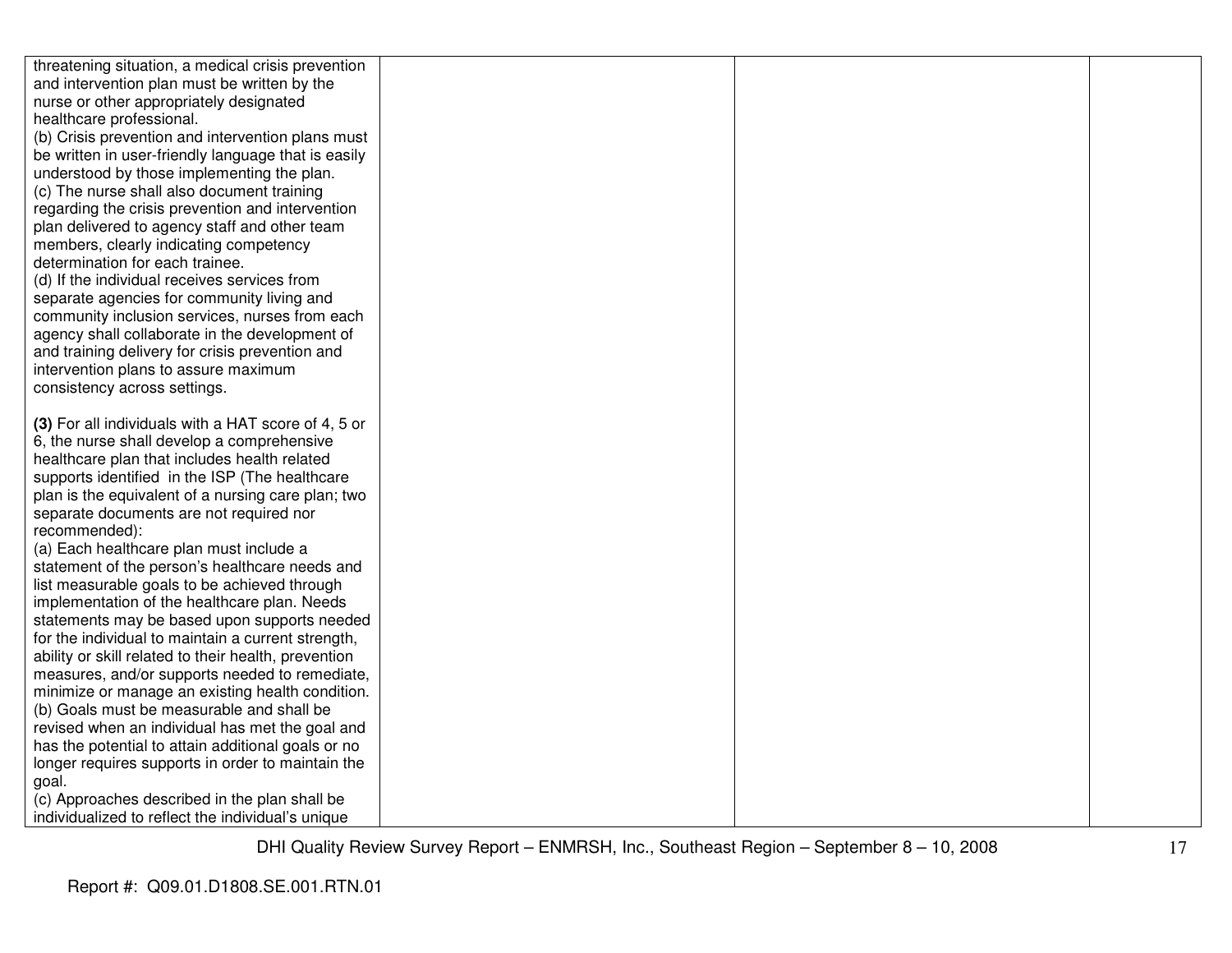| threatening situation, a medical crisis prevention                                        |  |  |
|-------------------------------------------------------------------------------------------|--|--|
| and intervention plan must be written by the                                              |  |  |
| nurse or other appropriately designated                                                   |  |  |
| healthcare professional.                                                                  |  |  |
| (b) Crisis prevention and intervention plans must                                         |  |  |
| be written in user-friendly language that is easily                                       |  |  |
| understood by those implementing the plan.                                                |  |  |
| (c) The nurse shall also document training                                                |  |  |
| regarding the crisis prevention and intervention                                          |  |  |
| plan delivered to agency staff and other team                                             |  |  |
| members, clearly indicating competency                                                    |  |  |
| determination for each trainee.                                                           |  |  |
| (d) If the individual receives services from                                              |  |  |
| separate agencies for community living and                                                |  |  |
| community inclusion services, nurses from each                                            |  |  |
| agency shall collaborate in the development of                                            |  |  |
| and training delivery for crisis prevention and                                           |  |  |
| intervention plans to assure maximum                                                      |  |  |
| consistency across settings.                                                              |  |  |
|                                                                                           |  |  |
| (3) For all individuals with a HAT score of 4, 5 or                                       |  |  |
| 6, the nurse shall develop a comprehensive                                                |  |  |
| healthcare plan that includes health related                                              |  |  |
| supports identified in the ISP (The healthcare                                            |  |  |
| plan is the equivalent of a nursing care plan; two                                        |  |  |
| separate documents are not required nor                                                   |  |  |
| recommended):                                                                             |  |  |
| (a) Each healthcare plan must include a<br>statement of the person's healthcare needs and |  |  |
| list measurable goals to be achieved through                                              |  |  |
| implementation of the healthcare plan. Needs                                              |  |  |
| statements may be based upon supports needed                                              |  |  |
| for the individual to maintain a current strength,                                        |  |  |
| ability or skill related to their health, prevention                                      |  |  |
| measures, and/or supports needed to remediate,                                            |  |  |
| minimize or manage an existing health condition.                                          |  |  |
| (b) Goals must be measurable and shall be                                                 |  |  |
| revised when an individual has met the goal and                                           |  |  |
| has the potential to attain additional goals or no                                        |  |  |
| longer requires supports in order to maintain the                                         |  |  |
| goal.                                                                                     |  |  |
| (c) Approaches described in the plan shall be                                             |  |  |
| individualized to reflect the individual's unique                                         |  |  |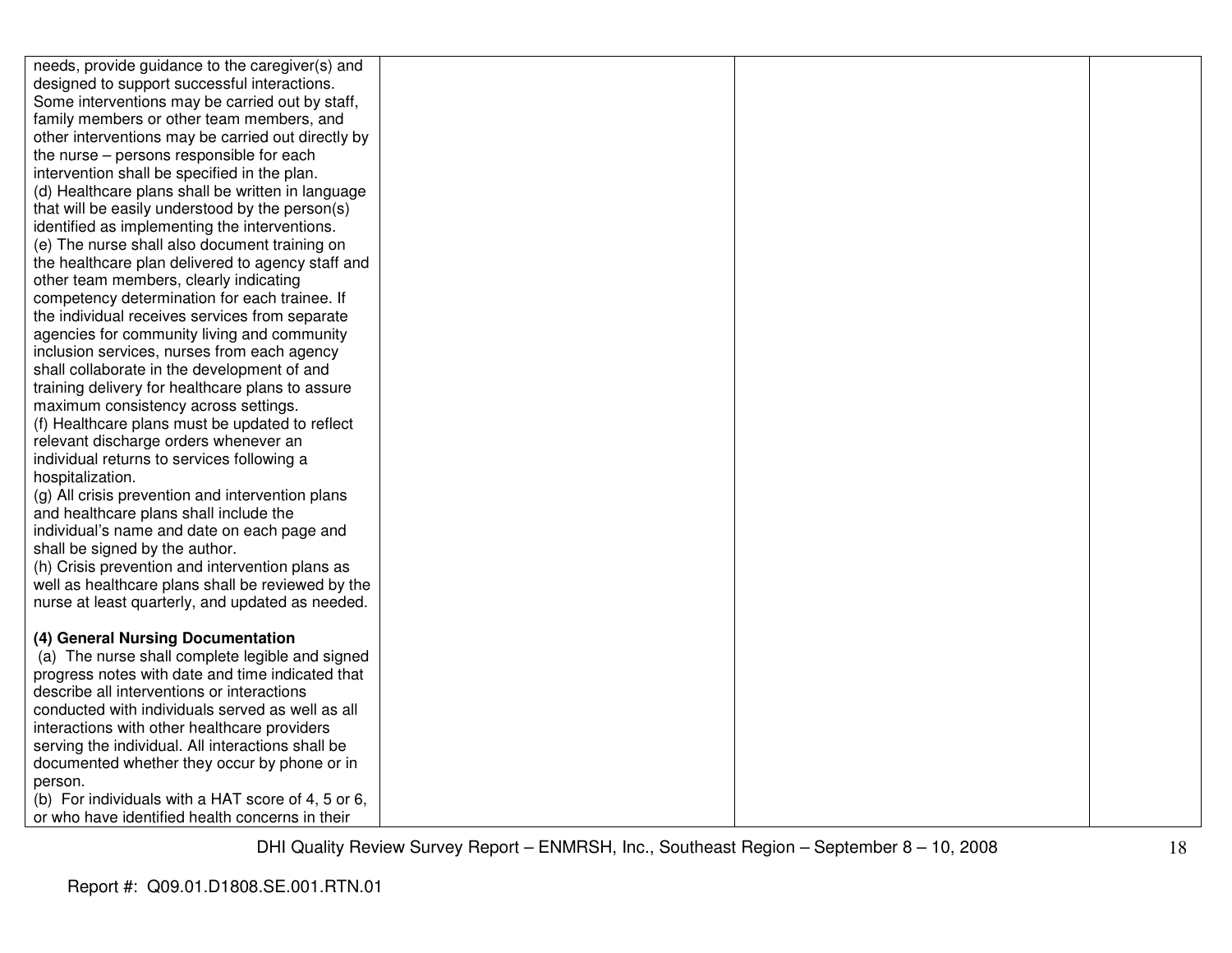| needs, provide guidance to the caregiver(s) and                                                   |  |  |
|---------------------------------------------------------------------------------------------------|--|--|
| designed to support successful interactions.                                                      |  |  |
| Some interventions may be carried out by staff,                                                   |  |  |
| family members or other team members, and                                                         |  |  |
| other interventions may be carried out directly by                                                |  |  |
| the nurse – persons responsible for each                                                          |  |  |
| intervention shall be specified in the plan.                                                      |  |  |
| (d) Healthcare plans shall be written in language                                                 |  |  |
| that will be easily understood by the person(s)                                                   |  |  |
| identified as implementing the interventions.                                                     |  |  |
| (e) The nurse shall also document training on                                                     |  |  |
| the healthcare plan delivered to agency staff and                                                 |  |  |
| other team members, clearly indicating                                                            |  |  |
| competency determination for each trainee. If                                                     |  |  |
| the individual receives services from separate                                                    |  |  |
| agencies for community living and community                                                       |  |  |
| inclusion services, nurses from each agency                                                       |  |  |
| shall collaborate in the development of and                                                       |  |  |
| training delivery for healthcare plans to assure                                                  |  |  |
| maximum consistency across settings.                                                              |  |  |
| (f) Healthcare plans must be updated to reflect                                                   |  |  |
| relevant discharge orders whenever an                                                             |  |  |
| individual returns to services following a                                                        |  |  |
| hospitalization.                                                                                  |  |  |
| (g) All crisis prevention and intervention plans                                                  |  |  |
| and healthcare plans shall include the                                                            |  |  |
| individual's name and date on each page and                                                       |  |  |
| shall be signed by the author.                                                                    |  |  |
| (h) Crisis prevention and intervention plans as                                                   |  |  |
| well as healthcare plans shall be reviewed by the                                                 |  |  |
| nurse at least quarterly, and updated as needed.                                                  |  |  |
|                                                                                                   |  |  |
| (4) General Nursing Documentation                                                                 |  |  |
| (a) The nurse shall complete legible and signed                                                   |  |  |
| progress notes with date and time indicated that<br>describe all interventions or interactions    |  |  |
| conducted with individuals served as well as all                                                  |  |  |
|                                                                                                   |  |  |
| interactions with other healthcare providers                                                      |  |  |
| serving the individual. All interactions shall be<br>documented whether they occur by phone or in |  |  |
| person.                                                                                           |  |  |
| (b) For individuals with a HAT score of 4, 5 or 6,                                                |  |  |
| or who have identified health concerns in their                                                   |  |  |
|                                                                                                   |  |  |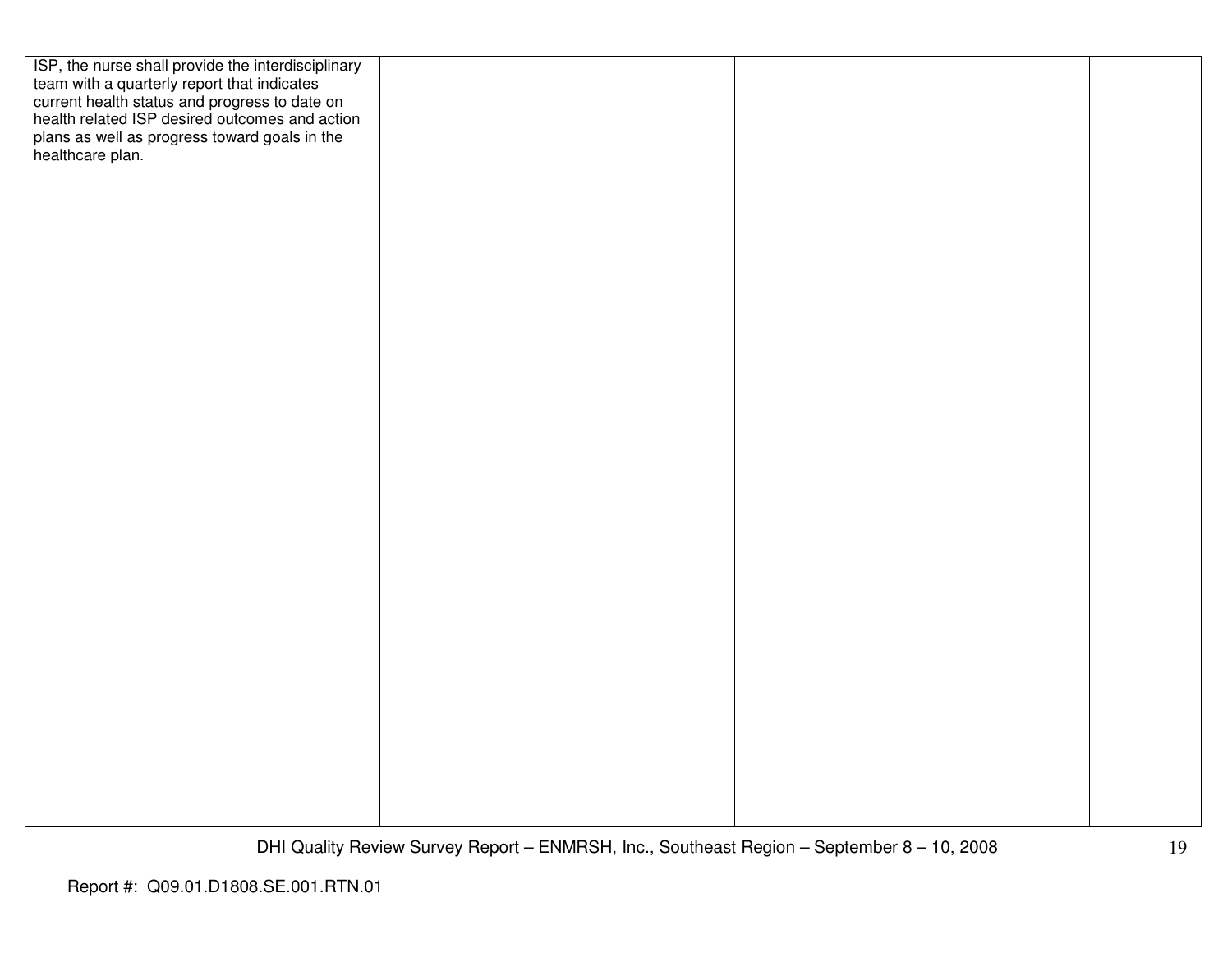| ISP, the nurse shall provide the interdisciplinary                                                                                             |  |  |
|------------------------------------------------------------------------------------------------------------------------------------------------|--|--|
| team with a quarterly report that indicates<br>current health status and progress to date on<br>health related ISP desired outcomes and action |  |  |
|                                                                                                                                                |  |  |
|                                                                                                                                                |  |  |
| plans as well as progress toward goals in the healthcare plan.                                                                                 |  |  |
|                                                                                                                                                |  |  |
|                                                                                                                                                |  |  |
|                                                                                                                                                |  |  |
|                                                                                                                                                |  |  |
|                                                                                                                                                |  |  |
|                                                                                                                                                |  |  |
|                                                                                                                                                |  |  |
|                                                                                                                                                |  |  |
|                                                                                                                                                |  |  |
|                                                                                                                                                |  |  |
|                                                                                                                                                |  |  |
|                                                                                                                                                |  |  |
|                                                                                                                                                |  |  |
|                                                                                                                                                |  |  |
|                                                                                                                                                |  |  |
|                                                                                                                                                |  |  |
|                                                                                                                                                |  |  |
|                                                                                                                                                |  |  |
|                                                                                                                                                |  |  |
|                                                                                                                                                |  |  |
|                                                                                                                                                |  |  |
|                                                                                                                                                |  |  |
|                                                                                                                                                |  |  |
|                                                                                                                                                |  |  |
|                                                                                                                                                |  |  |
|                                                                                                                                                |  |  |
|                                                                                                                                                |  |  |
|                                                                                                                                                |  |  |
|                                                                                                                                                |  |  |
|                                                                                                                                                |  |  |
|                                                                                                                                                |  |  |
|                                                                                                                                                |  |  |
|                                                                                                                                                |  |  |
|                                                                                                                                                |  |  |
|                                                                                                                                                |  |  |
|                                                                                                                                                |  |  |
|                                                                                                                                                |  |  |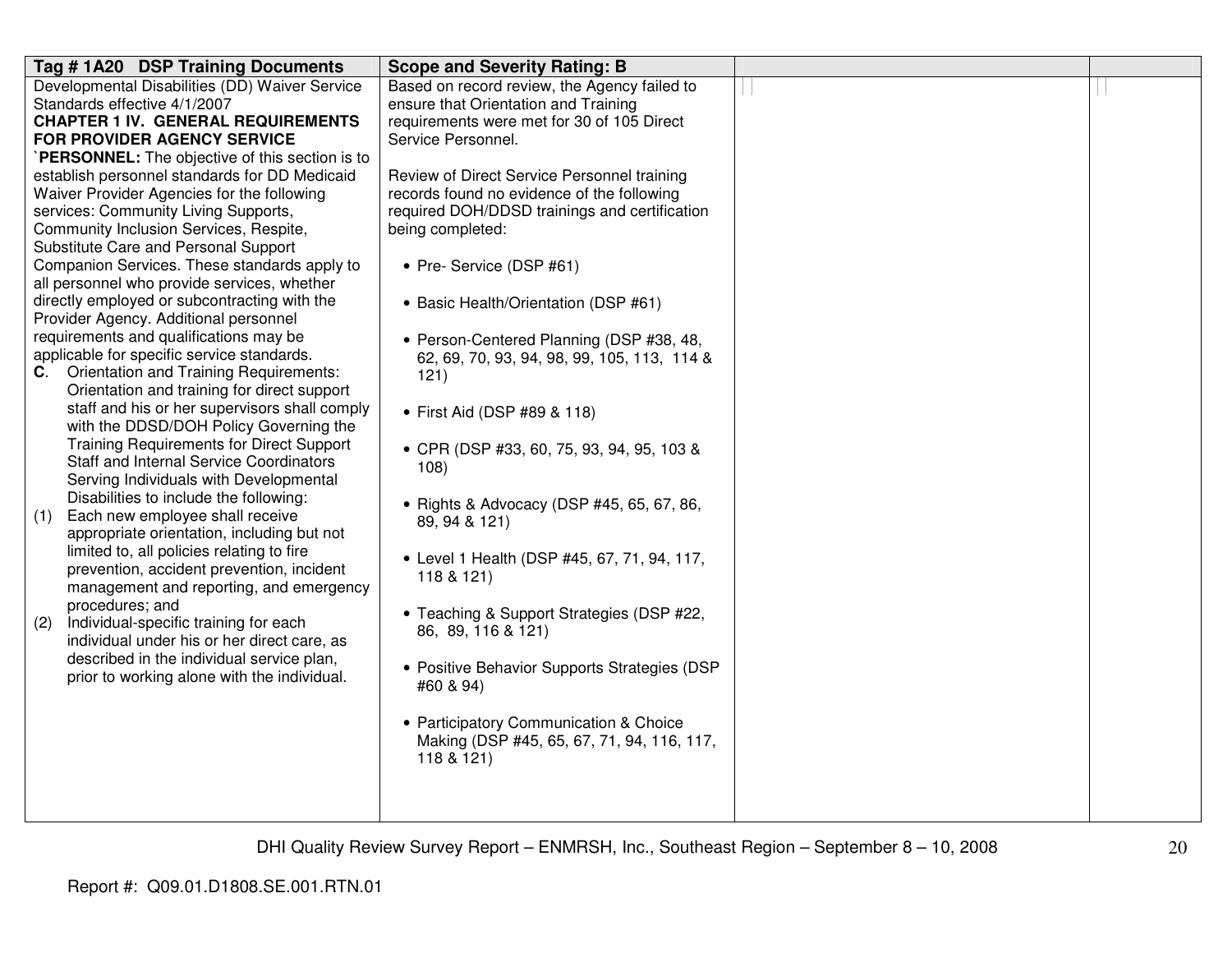| Tag #1A20 DSP Training Documents                                                   | <b>Scope and Severity Rating: B</b>                                                         |  |
|------------------------------------------------------------------------------------|---------------------------------------------------------------------------------------------|--|
| Developmental Disabilities (DD) Waiver Service                                     | Based on record review, the Agency failed to                                                |  |
| Standards effective 4/1/2007                                                       | ensure that Orientation and Training                                                        |  |
| <b>CHAPTER 1 IV. GENERAL REQUIREMENTS</b>                                          | requirements were met for 30 of 105 Direct                                                  |  |
| <b>FOR PROVIDER AGENCY SERVICE</b>                                                 | Service Personnel.                                                                          |  |
| PERSONNEL: The objective of this section is to                                     |                                                                                             |  |
| establish personnel standards for DD Medicaid                                      | Review of Direct Service Personnel training                                                 |  |
| Waiver Provider Agencies for the following<br>services: Community Living Supports, | records found no evidence of the following<br>required DOH/DDSD trainings and certification |  |
| Community Inclusion Services, Respite,                                             | being completed:                                                                            |  |
| Substitute Care and Personal Support                                               |                                                                                             |  |
| Companion Services. These standards apply to                                       | • Pre- Service (DSP #61)                                                                    |  |
| all personnel who provide services, whether                                        |                                                                                             |  |
| directly employed or subcontracting with the                                       | • Basic Health/Orientation (DSP #61)                                                        |  |
| Provider Agency. Additional personnel                                              |                                                                                             |  |
| requirements and qualifications may be                                             | • Person-Centered Planning (DSP #38, 48,                                                    |  |
| applicable for specific service standards.                                         | 62, 69, 70, 93, 94, 98, 99, 105, 113, 114 &                                                 |  |
| C. Orientation and Training Requirements:                                          | 121)                                                                                        |  |
| Orientation and training for direct support                                        |                                                                                             |  |
| staff and his or her supervisors shall comply                                      | • First Aid (DSP #89 & 118)                                                                 |  |
| with the DDSD/DOH Policy Governing the                                             |                                                                                             |  |
| <b>Training Requirements for Direct Support</b>                                    | • CPR (DSP #33, 60, 75, 93, 94, 95, 103 &                                                   |  |
| <b>Staff and Internal Service Coordinators</b>                                     | 108)                                                                                        |  |
| Serving Individuals with Developmental                                             |                                                                                             |  |
| Disabilities to include the following:                                             | • Rights & Advocacy (DSP #45, 65, 67, 86,                                                   |  |
| Each new employee shall receive<br>(1)                                             | 89, 94 & 121)                                                                               |  |
| appropriate orientation, including but not                                         |                                                                                             |  |
| limited to, all policies relating to fire                                          | • Level 1 Health (DSP #45, 67, 71, 94, 117,                                                 |  |
| prevention, accident prevention, incident                                          | 118 & 121)                                                                                  |  |
| management and reporting, and emergency<br>procedures; and                         |                                                                                             |  |
| Individual-specific training for each<br>(2)                                       | • Teaching & Support Strategies (DSP #22,                                                   |  |
| individual under his or her direct care, as                                        | 86, 89, 116 & 121)                                                                          |  |
| described in the individual service plan,                                          |                                                                                             |  |
| prior to working alone with the individual.                                        | • Positive Behavior Supports Strategies (DSP                                                |  |
|                                                                                    | #60 & 94)                                                                                   |  |
|                                                                                    |                                                                                             |  |
|                                                                                    | • Participatory Communication & Choice                                                      |  |
|                                                                                    | Making (DSP #45, 65, 67, 71, 94, 116, 117,                                                  |  |
|                                                                                    | 118 & 121)                                                                                  |  |
|                                                                                    |                                                                                             |  |
|                                                                                    |                                                                                             |  |
|                                                                                    |                                                                                             |  |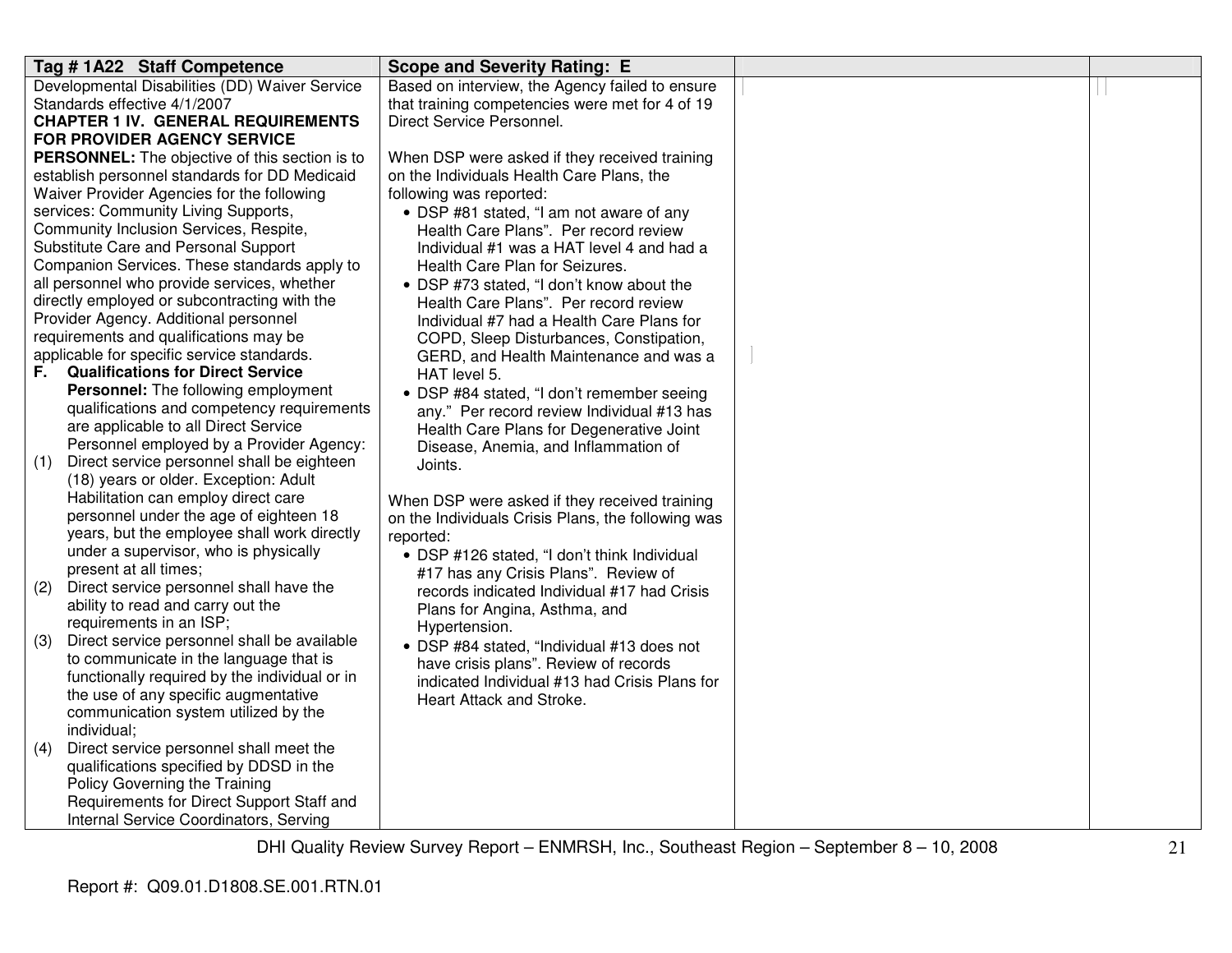| Tag #1A22 Staff Competence                         | <b>Scope and Severity Rating: E</b>                |  |
|----------------------------------------------------|----------------------------------------------------|--|
| Developmental Disabilities (DD) Waiver Service     | Based on interview, the Agency failed to ensure    |  |
| Standards effective 4/1/2007                       | that training competencies were met for 4 of 19    |  |
| <b>CHAPTER 1 IV. GENERAL REQUIREMENTS</b>          | Direct Service Personnel.                          |  |
| <b>FOR PROVIDER AGENCY SERVICE</b>                 |                                                    |  |
| PERSONNEL: The objective of this section is to     | When DSP were asked if they received training      |  |
| establish personnel standards for DD Medicaid      | on the Individuals Health Care Plans, the          |  |
| Waiver Provider Agencies for the following         | following was reported:                            |  |
| services: Community Living Supports,               | • DSP #81 stated, "I am not aware of any           |  |
| Community Inclusion Services, Respite,             | Health Care Plans". Per record review              |  |
| Substitute Care and Personal Support               | Individual #1 was a HAT level 4 and had a          |  |
| Companion Services. These standards apply to       | Health Care Plan for Seizures.                     |  |
| all personnel who provide services, whether        | • DSP #73 stated, "I don't know about the          |  |
| directly employed or subcontracting with the       | Health Care Plans". Per record review              |  |
| Provider Agency. Additional personnel              | Individual #7 had a Health Care Plans for          |  |
| requirements and qualifications may be             | COPD, Sleep Disturbances, Constipation,            |  |
| applicable for specific service standards.         | GERD, and Health Maintenance and was a             |  |
| <b>Qualifications for Direct Service</b><br>F.     | HAT level 5.                                       |  |
| <b>Personnel:</b> The following employment         | • DSP #84 stated, "I don't remember seeing         |  |
| qualifications and competency requirements         | any." Per record review Individual #13 has         |  |
| are applicable to all Direct Service               | Health Care Plans for Degenerative Joint           |  |
| Personnel employed by a Provider Agency:           | Disease, Anemia, and Inflammation of               |  |
| Direct service personnel shall be eighteen<br>(1)  | Joints.                                            |  |
| (18) years or older. Exception: Adult              |                                                    |  |
| Habilitation can employ direct care                | When DSP were asked if they received training      |  |
| personnel under the age of eighteen 18             | on the Individuals Crisis Plans, the following was |  |
| years, but the employee shall work directly        | reported:                                          |  |
| under a supervisor, who is physically              | • DSP #126 stated, "I don't think Individual       |  |
| present at all times;                              | #17 has any Crisis Plans". Review of               |  |
| Direct service personnel shall have the<br>(2)     | records indicated Individual #17 had Crisis        |  |
| ability to read and carry out the                  | Plans for Angina, Asthma, and                      |  |
| requirements in an ISP;                            | Hypertension.                                      |  |
| Direct service personnel shall be available<br>(3) | • DSP #84 stated, "Individual #13 does not         |  |
| to communicate in the language that is             | have crisis plans". Review of records              |  |
| functionally required by the individual or in      | indicated Individual #13 had Crisis Plans for      |  |
| the use of any specific augmentative               | Heart Attack and Stroke.                           |  |
| communication system utilized by the               |                                                    |  |
| individual;                                        |                                                    |  |
| Direct service personnel shall meet the<br>(4)     |                                                    |  |
| qualifications specified by DDSD in the            |                                                    |  |
| Policy Governing the Training                      |                                                    |  |
| Requirements for Direct Support Staff and          |                                                    |  |
| Internal Service Coordinators, Serving             |                                                    |  |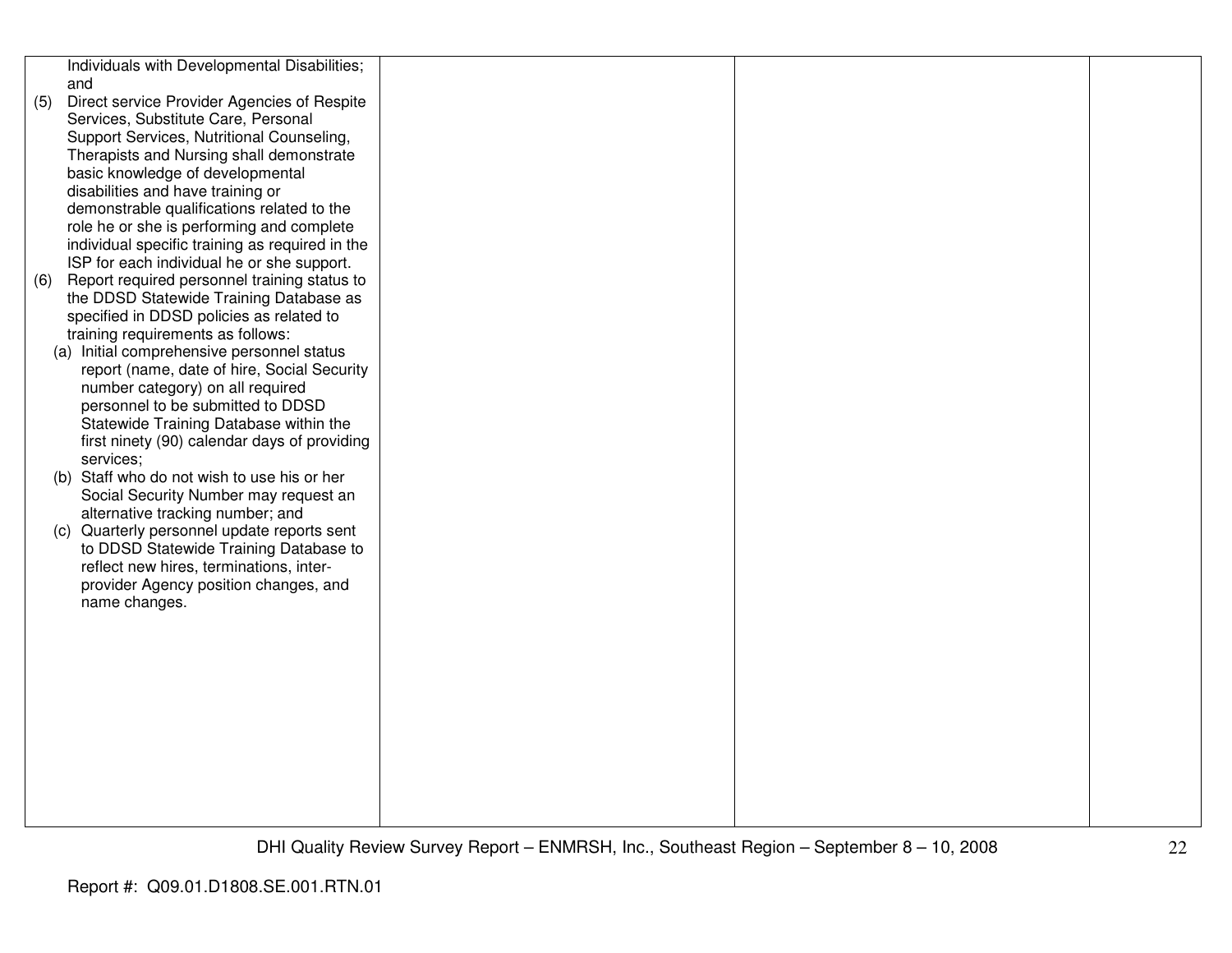|     | Individuals with Developmental Disabilities;              |  |  |
|-----|-----------------------------------------------------------|--|--|
|     | and                                                       |  |  |
| (5) | Direct service Provider Agencies of Respite               |  |  |
|     | Services, Substitute Care, Personal                       |  |  |
|     | Support Services, Nutritional Counseling,                 |  |  |
|     | Therapists and Nursing shall demonstrate                  |  |  |
|     | basic knowledge of developmental                          |  |  |
|     | disabilities and have training or                         |  |  |
|     | demonstrable qualifications related to the                |  |  |
|     | role he or she is performing and complete                 |  |  |
|     | individual specific training as required in the           |  |  |
|     | ISP for each individual he or she support.                |  |  |
| (6) | Report required personnel training status to              |  |  |
|     | the DDSD Statewide Training Database as                   |  |  |
|     | specified in DDSD policies as related to                  |  |  |
|     | training requirements as follows:                         |  |  |
|     | (a) Initial comprehensive personnel status                |  |  |
|     | report (name, date of hire, Social Security               |  |  |
|     | number category) on all required                          |  |  |
|     | personnel to be submitted to DDSD                         |  |  |
|     | Statewide Training Database within the                    |  |  |
|     | first ninety (90) calendar days of providing<br>services; |  |  |
|     | (b) Staff who do not wish to use his or her               |  |  |
|     | Social Security Number may request an                     |  |  |
|     | alternative tracking number; and                          |  |  |
|     | (c) Quarterly personnel update reports sent               |  |  |
|     | to DDSD Statewide Training Database to                    |  |  |
|     | reflect new hires, terminations, inter-                   |  |  |
|     | provider Agency position changes, and                     |  |  |
|     | name changes.                                             |  |  |
|     |                                                           |  |  |
|     |                                                           |  |  |
|     |                                                           |  |  |
|     |                                                           |  |  |
|     |                                                           |  |  |
|     |                                                           |  |  |
|     |                                                           |  |  |
|     |                                                           |  |  |
|     |                                                           |  |  |
|     |                                                           |  |  |
|     |                                                           |  |  |
|     |                                                           |  |  |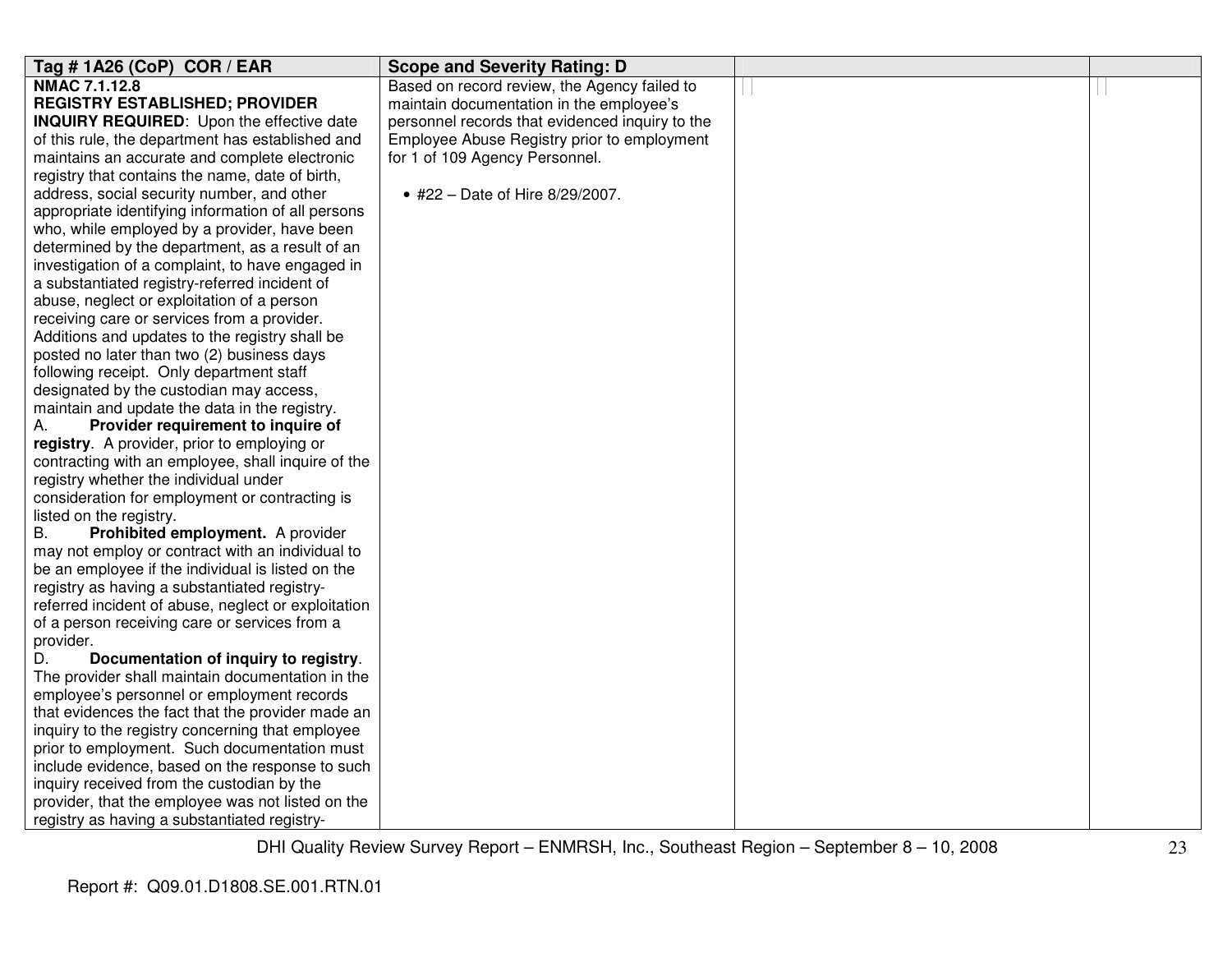| Tag # 1A26 (CoP) COR / EAR                                                                | <b>Scope and Severity Rating: D</b>             |  |
|-------------------------------------------------------------------------------------------|-------------------------------------------------|--|
| <b>NMAC 7.1.12.8</b>                                                                      | Based on record review, the Agency failed to    |  |
| <b>REGISTRY ESTABLISHED; PROVIDER</b>                                                     | maintain documentation in the employee's        |  |
| <b>INQUIRY REQUIRED:</b> Upon the effective date                                          | personnel records that evidenced inquiry to the |  |
| of this rule, the department has established and                                          | Employee Abuse Registry prior to employment     |  |
| maintains an accurate and complete electronic                                             | for 1 of 109 Agency Personnel.                  |  |
| registry that contains the name, date of birth,                                           |                                                 |  |
| address, social security number, and other                                                | • #22 - Date of Hire 8/29/2007.                 |  |
| appropriate identifying information of all persons                                        |                                                 |  |
| who, while employed by a provider, have been                                              |                                                 |  |
| determined by the department, as a result of an                                           |                                                 |  |
| investigation of a complaint, to have engaged in                                          |                                                 |  |
| a substantiated registry-referred incident of                                             |                                                 |  |
| abuse, neglect or exploitation of a person                                                |                                                 |  |
| receiving care or services from a provider.                                               |                                                 |  |
| Additions and updates to the registry shall be                                            |                                                 |  |
| posted no later than two (2) business days                                                |                                                 |  |
| following receipt. Only department staff                                                  |                                                 |  |
| designated by the custodian may access,                                                   |                                                 |  |
| maintain and update the data in the registry.                                             |                                                 |  |
| Provider requirement to inquire of<br>А.                                                  |                                                 |  |
| registry. A provider, prior to employing or                                               |                                                 |  |
| contracting with an employee, shall inquire of the                                        |                                                 |  |
| registry whether the individual under                                                     |                                                 |  |
| consideration for employment or contracting is                                            |                                                 |  |
| listed on the registry.                                                                   |                                                 |  |
| <b>B.</b><br>Prohibited employment. A provider                                            |                                                 |  |
| may not employ or contract with an individual to                                          |                                                 |  |
| be an employee if the individual is listed on the                                         |                                                 |  |
| registry as having a substantiated registry-                                              |                                                 |  |
| referred incident of abuse, neglect or exploitation                                       |                                                 |  |
| of a person receiving care or services from a                                             |                                                 |  |
| provider.<br>D.                                                                           |                                                 |  |
| Documentation of inquiry to registry.<br>The provider shall maintain documentation in the |                                                 |  |
| employee's personnel or employment records                                                |                                                 |  |
| that evidences the fact that the provider made an                                         |                                                 |  |
| inquiry to the registry concerning that employee                                          |                                                 |  |
| prior to employment. Such documentation must                                              |                                                 |  |
| include evidence, based on the response to such                                           |                                                 |  |
| inquiry received from the custodian by the                                                |                                                 |  |
| provider, that the employee was not listed on the                                         |                                                 |  |
| registry as having a substantiated registry-                                              |                                                 |  |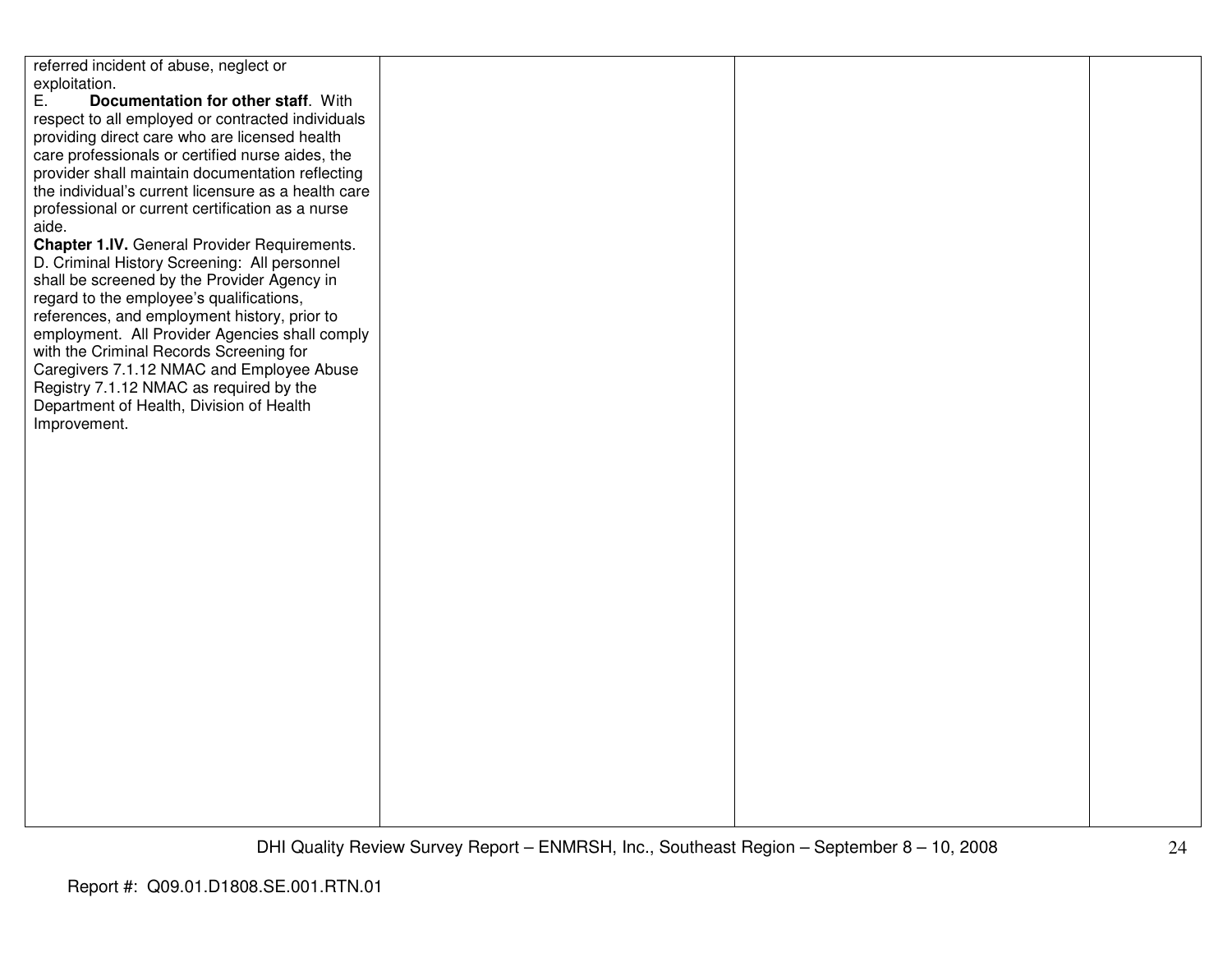| referred incident of abuse, neglect or              |  |  |
|-----------------------------------------------------|--|--|
| exploitation.                                       |  |  |
| E.<br>Documentation for other staff. With           |  |  |
| respect to all employed or contracted individuals   |  |  |
| providing direct care who are licensed health       |  |  |
|                                                     |  |  |
| care professionals or certified nurse aides, the    |  |  |
| provider shall maintain documentation reflecting    |  |  |
| the individual's current licensure as a health care |  |  |
| professional or current certification as a nurse    |  |  |
| aide.                                               |  |  |
| Chapter 1.IV. General Provider Requirements.        |  |  |
| D. Criminal History Screening: All personnel        |  |  |
| shall be screened by the Provider Agency in         |  |  |
| regard to the employee's qualifications,            |  |  |
| references, and employment history, prior to        |  |  |
|                                                     |  |  |
| employment. All Provider Agencies shall comply      |  |  |
| with the Criminal Records Screening for             |  |  |
| Caregivers 7.1.12 NMAC and Employee Abuse           |  |  |
| Registry 7.1.12 NMAC as required by the             |  |  |
| Department of Health, Division of Health            |  |  |
| Improvement.                                        |  |  |
|                                                     |  |  |
|                                                     |  |  |
|                                                     |  |  |
|                                                     |  |  |
|                                                     |  |  |
|                                                     |  |  |
|                                                     |  |  |
|                                                     |  |  |
|                                                     |  |  |
|                                                     |  |  |
|                                                     |  |  |
|                                                     |  |  |
|                                                     |  |  |
|                                                     |  |  |
|                                                     |  |  |
|                                                     |  |  |
|                                                     |  |  |
|                                                     |  |  |
|                                                     |  |  |
|                                                     |  |  |
|                                                     |  |  |
|                                                     |  |  |
|                                                     |  |  |
|                                                     |  |  |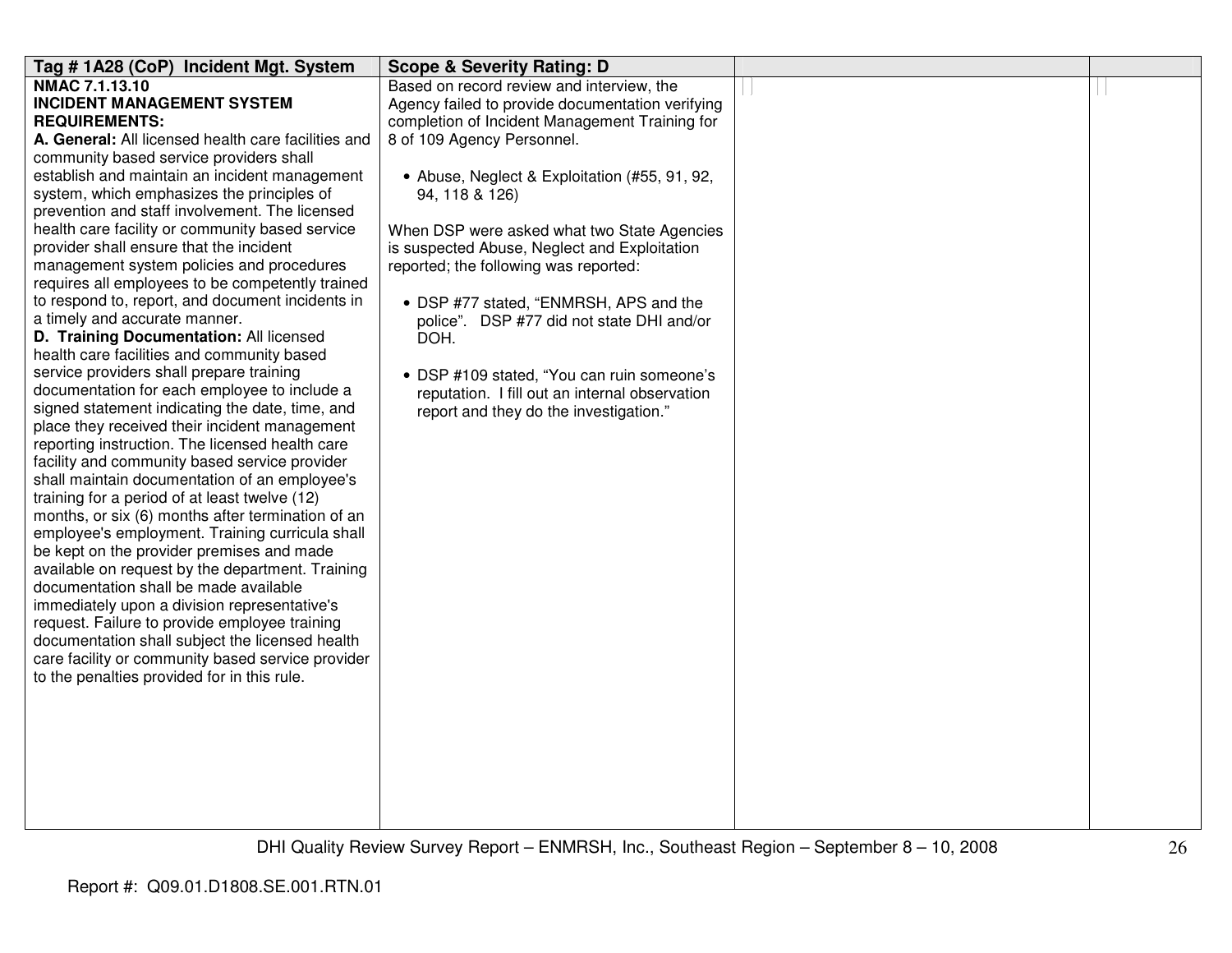| Tag # 1A28 (CoP) Incident Mgt. System                                                    | <b>Scope &amp; Severity Rating: D</b>            |  |
|------------------------------------------------------------------------------------------|--------------------------------------------------|--|
| NMAC 7.1.13.10                                                                           | Based on record review and interview, the        |  |
| <b>INCIDENT MANAGEMENT SYSTEM</b>                                                        | Agency failed to provide documentation verifying |  |
| <b>REQUIREMENTS:</b>                                                                     | completion of Incident Management Training for   |  |
| A. General: All licensed health care facilities and                                      | 8 of 109 Agency Personnel.                       |  |
| community based service providers shall                                                  |                                                  |  |
| establish and maintain an incident management                                            | • Abuse, Neglect & Exploitation (#55, 91, 92,    |  |
| system, which emphasizes the principles of                                               | 94, 118 & 126)                                   |  |
| prevention and staff involvement. The licensed                                           |                                                  |  |
| health care facility or community based service                                          | When DSP were asked what two State Agencies      |  |
| provider shall ensure that the incident                                                  | is suspected Abuse, Neglect and Exploitation     |  |
| management system policies and procedures                                                | reported; the following was reported:            |  |
| requires all employees to be competently trained                                         |                                                  |  |
| to respond to, report, and document incidents in                                         | • DSP #77 stated, "ENMRSH, APS and the           |  |
| a timely and accurate manner.                                                            | police". DSP #77 did not state DHI and/or        |  |
| D. Training Documentation: All licensed                                                  | DOH.                                             |  |
| health care facilities and community based                                               |                                                  |  |
| service providers shall prepare training<br>documentation for each employee to include a | • DSP #109 stated, "You can ruin someone's       |  |
| signed statement indicating the date, time, and                                          | reputation. I fill out an internal observation   |  |
| place they received their incident management                                            | report and they do the investigation."           |  |
| reporting instruction. The licensed health care                                          |                                                  |  |
| facility and community based service provider                                            |                                                  |  |
| shall maintain documentation of an employee's                                            |                                                  |  |
| training for a period of at least twelve (12)                                            |                                                  |  |
| months, or six (6) months after termination of an                                        |                                                  |  |
| employee's employment. Training curricula shall                                          |                                                  |  |
| be kept on the provider premises and made                                                |                                                  |  |
| available on request by the department. Training                                         |                                                  |  |
| documentation shall be made available                                                    |                                                  |  |
| immediately upon a division representative's                                             |                                                  |  |
| request. Failure to provide employee training                                            |                                                  |  |
| documentation shall subject the licensed health                                          |                                                  |  |
| care facility or community based service provider                                        |                                                  |  |
| to the penalties provided for in this rule.                                              |                                                  |  |
|                                                                                          |                                                  |  |
|                                                                                          |                                                  |  |
|                                                                                          |                                                  |  |
|                                                                                          |                                                  |  |
|                                                                                          |                                                  |  |
|                                                                                          |                                                  |  |
|                                                                                          |                                                  |  |
|                                                                                          |                                                  |  |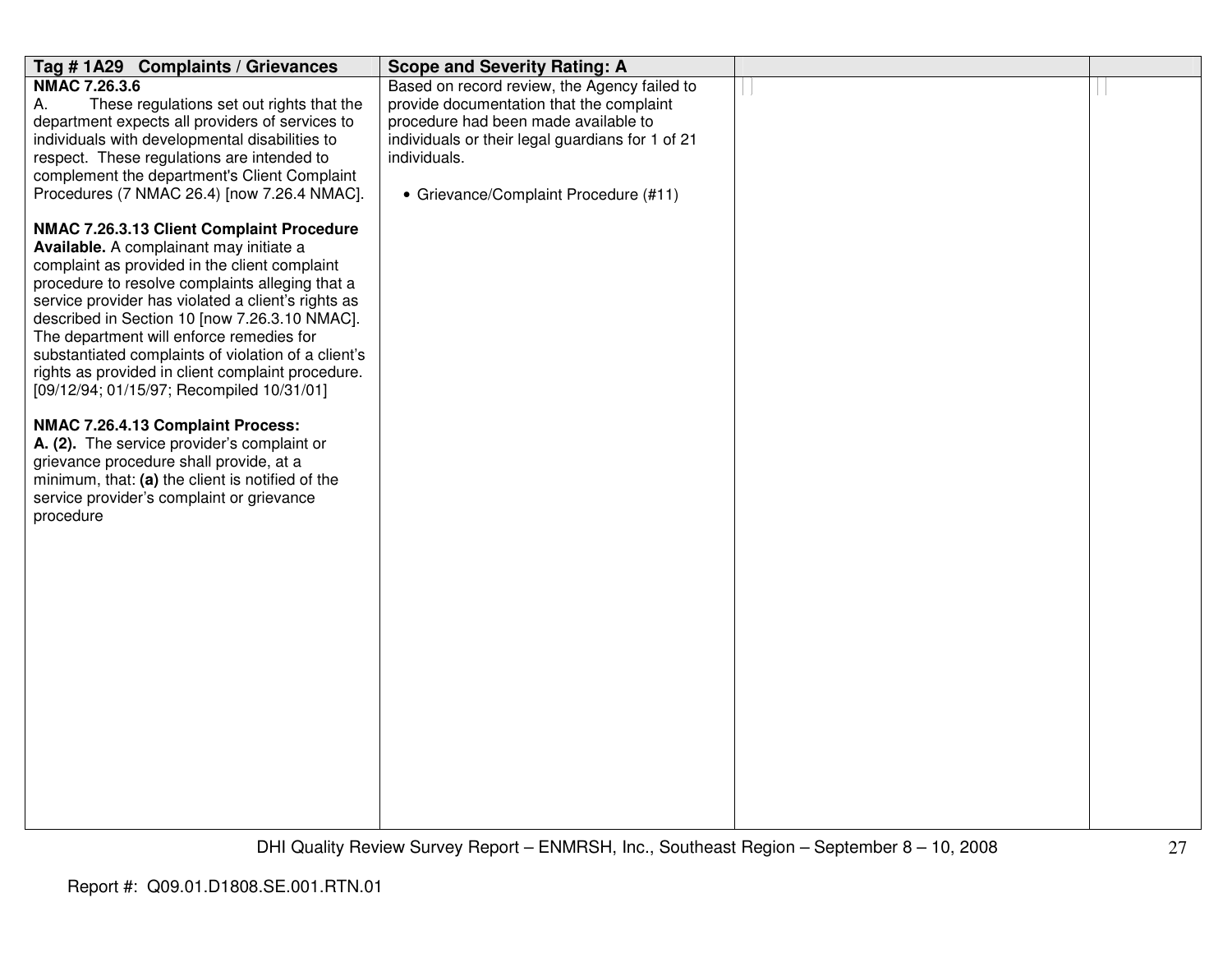| Tag #1A29 Complaints / Grievances                                                             | <b>Scope and Severity Rating: A</b>                              |  |
|-----------------------------------------------------------------------------------------------|------------------------------------------------------------------|--|
| <b>NMAC 7.26.3.6</b>                                                                          | Based on record review, the Agency failed to                     |  |
| These regulations set out rights that the<br>А.                                               | provide documentation that the complaint                         |  |
| department expects all providers of services to                                               | procedure had been made available to                             |  |
| individuals with developmental disabilities to                                                | individuals or their legal guardians for 1 of 21<br>individuals. |  |
| respect. These regulations are intended to<br>complement the department's Client Complaint    |                                                                  |  |
| Procedures (7 NMAC 26.4) [now 7.26.4 NMAC].                                                   | • Grievance/Complaint Procedure (#11)                            |  |
|                                                                                               |                                                                  |  |
| NMAC 7.26.3.13 Client Complaint Procedure                                                     |                                                                  |  |
| Available. A complainant may initiate a                                                       |                                                                  |  |
| complaint as provided in the client complaint                                                 |                                                                  |  |
| procedure to resolve complaints alleging that a                                               |                                                                  |  |
| service provider has violated a client's rights as                                            |                                                                  |  |
| described in Section 10 [now 7.26.3.10 NMAC].<br>The department will enforce remedies for     |                                                                  |  |
| substantiated complaints of violation of a client's                                           |                                                                  |  |
| rights as provided in client complaint procedure.                                             |                                                                  |  |
| [09/12/94; 01/15/97; Recompiled 10/31/01]                                                     |                                                                  |  |
|                                                                                               |                                                                  |  |
| NMAC 7.26.4.13 Complaint Process:                                                             |                                                                  |  |
| A. (2). The service provider's complaint or                                                   |                                                                  |  |
| grievance procedure shall provide, at a                                                       |                                                                  |  |
| minimum, that: (a) the client is notified of the<br>service provider's complaint or grievance |                                                                  |  |
| procedure                                                                                     |                                                                  |  |
|                                                                                               |                                                                  |  |
|                                                                                               |                                                                  |  |
|                                                                                               |                                                                  |  |
|                                                                                               |                                                                  |  |
|                                                                                               |                                                                  |  |
|                                                                                               |                                                                  |  |
|                                                                                               |                                                                  |  |
|                                                                                               |                                                                  |  |
|                                                                                               |                                                                  |  |
|                                                                                               |                                                                  |  |
|                                                                                               |                                                                  |  |
|                                                                                               |                                                                  |  |
|                                                                                               |                                                                  |  |
|                                                                                               |                                                                  |  |
|                                                                                               |                                                                  |  |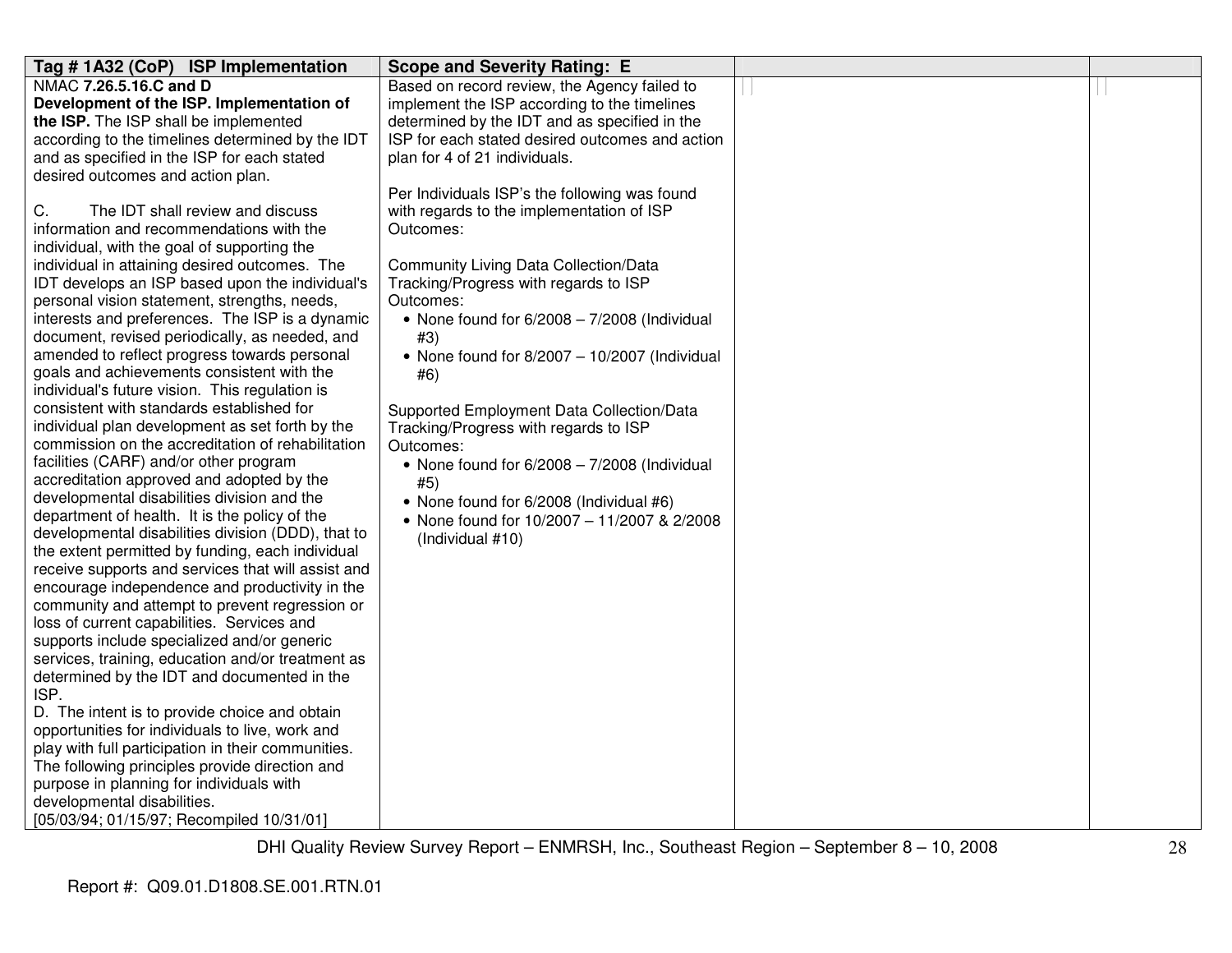| Tag #1A32 (CoP) ISP Implementation                                                                     | <b>Scope and Severity Rating: E</b>             |  |
|--------------------------------------------------------------------------------------------------------|-------------------------------------------------|--|
| NMAC 7.26.5.16.C and D                                                                                 | Based on record review, the Agency failed to    |  |
| Development of the ISP. Implementation of                                                              | implement the ISP according to the timelines    |  |
| the ISP. The ISP shall be implemented                                                                  | determined by the IDT and as specified in the   |  |
| according to the timelines determined by the IDT                                                       | ISP for each stated desired outcomes and action |  |
| and as specified in the ISP for each stated                                                            | plan for 4 of 21 individuals.                   |  |
| desired outcomes and action plan.                                                                      |                                                 |  |
|                                                                                                        | Per Individuals ISP's the following was found   |  |
| C.<br>The IDT shall review and discuss                                                                 | with regards to the implementation of ISP       |  |
| information and recommendations with the                                                               | Outcomes:                                       |  |
| individual, with the goal of supporting the                                                            |                                                 |  |
| individual in attaining desired outcomes. The                                                          | Community Living Data Collection/Data           |  |
| IDT develops an ISP based upon the individual's                                                        | Tracking/Progress with regards to ISP           |  |
| personal vision statement, strengths, needs,                                                           | Outcomes:                                       |  |
| interests and preferences. The ISP is a dynamic                                                        | • None found for $6/2008 - 7/2008$ (Individual  |  |
| document, revised periodically, as needed, and                                                         | #3)                                             |  |
| amended to reflect progress towards personal                                                           | • None found for $8/2007 - 10/2007$ (Individual |  |
| goals and achievements consistent with the                                                             | #6)                                             |  |
| individual's future vision. This regulation is                                                         |                                                 |  |
| consistent with standards established for                                                              | Supported Employment Data Collection/Data       |  |
| individual plan development as set forth by the                                                        | Tracking/Progress with regards to ISP           |  |
| commission on the accreditation of rehabilitation                                                      | Outcomes:                                       |  |
| facilities (CARF) and/or other program                                                                 | • None found for $6/2008 - 7/2008$ (Individual  |  |
| accreditation approved and adopted by the                                                              | #5)                                             |  |
| developmental disabilities division and the                                                            | • None found for 6/2008 (Individual #6)         |  |
| department of health. It is the policy of the                                                          | • None found for 10/2007 - 11/2007 & 2/2008     |  |
| developmental disabilities division (DDD), that to<br>the extent permitted by funding, each individual | (Individual #10)                                |  |
| receive supports and services that will assist and                                                     |                                                 |  |
| encourage independence and productivity in the                                                         |                                                 |  |
| community and attempt to prevent regression or                                                         |                                                 |  |
| loss of current capabilities. Services and                                                             |                                                 |  |
| supports include specialized and/or generic                                                            |                                                 |  |
| services, training, education and/or treatment as                                                      |                                                 |  |
| determined by the IDT and documented in the                                                            |                                                 |  |
| ISP.                                                                                                   |                                                 |  |
| D. The intent is to provide choice and obtain                                                          |                                                 |  |
| opportunities for individuals to live, work and                                                        |                                                 |  |
| play with full participation in their communities.                                                     |                                                 |  |
| The following principles provide direction and                                                         |                                                 |  |
| purpose in planning for individuals with                                                               |                                                 |  |
| developmental disabilities.                                                                            |                                                 |  |
| [05/03/94; 01/15/97; Recompiled 10/31/01]                                                              |                                                 |  |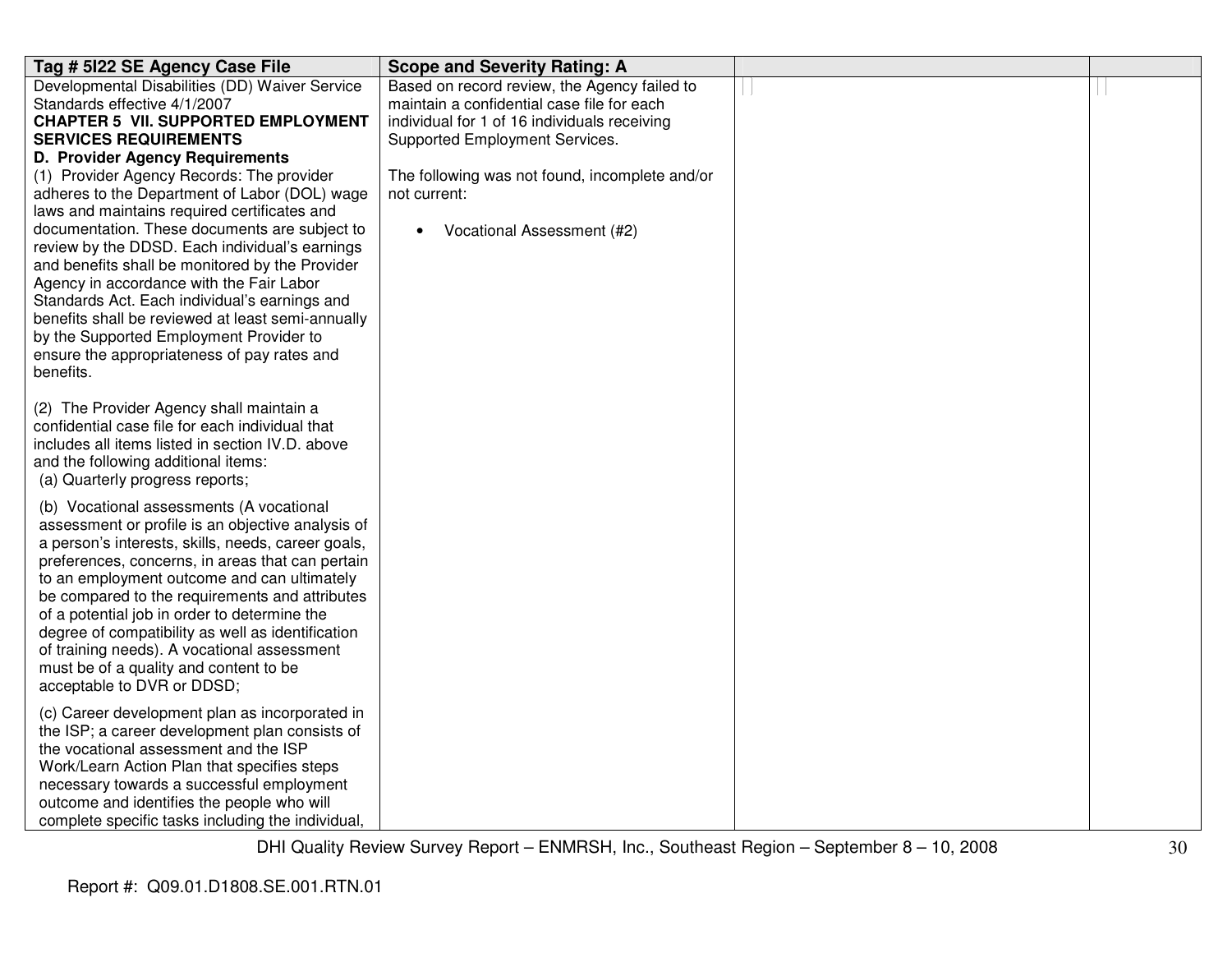| Tag # 5122 SE Agency Case File                                                                 | <b>Scope and Severity Rating: A</b>            |  |
|------------------------------------------------------------------------------------------------|------------------------------------------------|--|
| Developmental Disabilities (DD) Waiver Service                                                 | Based on record review, the Agency failed to   |  |
| Standards effective 4/1/2007                                                                   | maintain a confidential case file for each     |  |
| <b>CHAPTER 5 VII. SUPPORTED EMPLOYMENT</b>                                                     | individual for 1 of 16 individuals receiving   |  |
| <b>SERVICES REQUIREMENTS</b>                                                                   | Supported Employment Services.                 |  |
| D. Provider Agency Requirements                                                                |                                                |  |
| (1) Provider Agency Records: The provider                                                      | The following was not found, incomplete and/or |  |
| adheres to the Department of Labor (DOL) wage                                                  | not current:                                   |  |
| laws and maintains required certificates and                                                   |                                                |  |
| documentation. These documents are subject to                                                  | Vocational Assessment (#2)<br>$\bullet$        |  |
| review by the DDSD. Each individual's earnings                                                 |                                                |  |
| and benefits shall be monitored by the Provider                                                |                                                |  |
| Agency in accordance with the Fair Labor                                                       |                                                |  |
| Standards Act. Each individual's earnings and                                                  |                                                |  |
| benefits shall be reviewed at least semi-annually                                              |                                                |  |
| by the Supported Employment Provider to                                                        |                                                |  |
| ensure the appropriateness of pay rates and<br>benefits.                                       |                                                |  |
|                                                                                                |                                                |  |
| (2) The Provider Agency shall maintain a                                                       |                                                |  |
| confidential case file for each individual that                                                |                                                |  |
| includes all items listed in section IV.D. above                                               |                                                |  |
| and the following additional items:                                                            |                                                |  |
| (a) Quarterly progress reports;                                                                |                                                |  |
|                                                                                                |                                                |  |
| (b) Vocational assessments (A vocational                                                       |                                                |  |
| assessment or profile is an objective analysis of                                              |                                                |  |
| a person's interests, skills, needs, career goals,                                             |                                                |  |
| preferences, concerns, in areas that can pertain                                               |                                                |  |
| to an employment outcome and can ultimately                                                    |                                                |  |
| be compared to the requirements and attributes<br>of a potential job in order to determine the |                                                |  |
| degree of compatibility as well as identification                                              |                                                |  |
| of training needs). A vocational assessment                                                    |                                                |  |
| must be of a quality and content to be                                                         |                                                |  |
| acceptable to DVR or DDSD;                                                                     |                                                |  |
|                                                                                                |                                                |  |
| (c) Career development plan as incorporated in                                                 |                                                |  |
| the ISP; a career development plan consists of                                                 |                                                |  |
| the vocational assessment and the ISP                                                          |                                                |  |
| Work/Learn Action Plan that specifies steps                                                    |                                                |  |
| necessary towards a successful employment                                                      |                                                |  |
| outcome and identifies the people who will                                                     |                                                |  |
| complete specific tasks including the individual,                                              |                                                |  |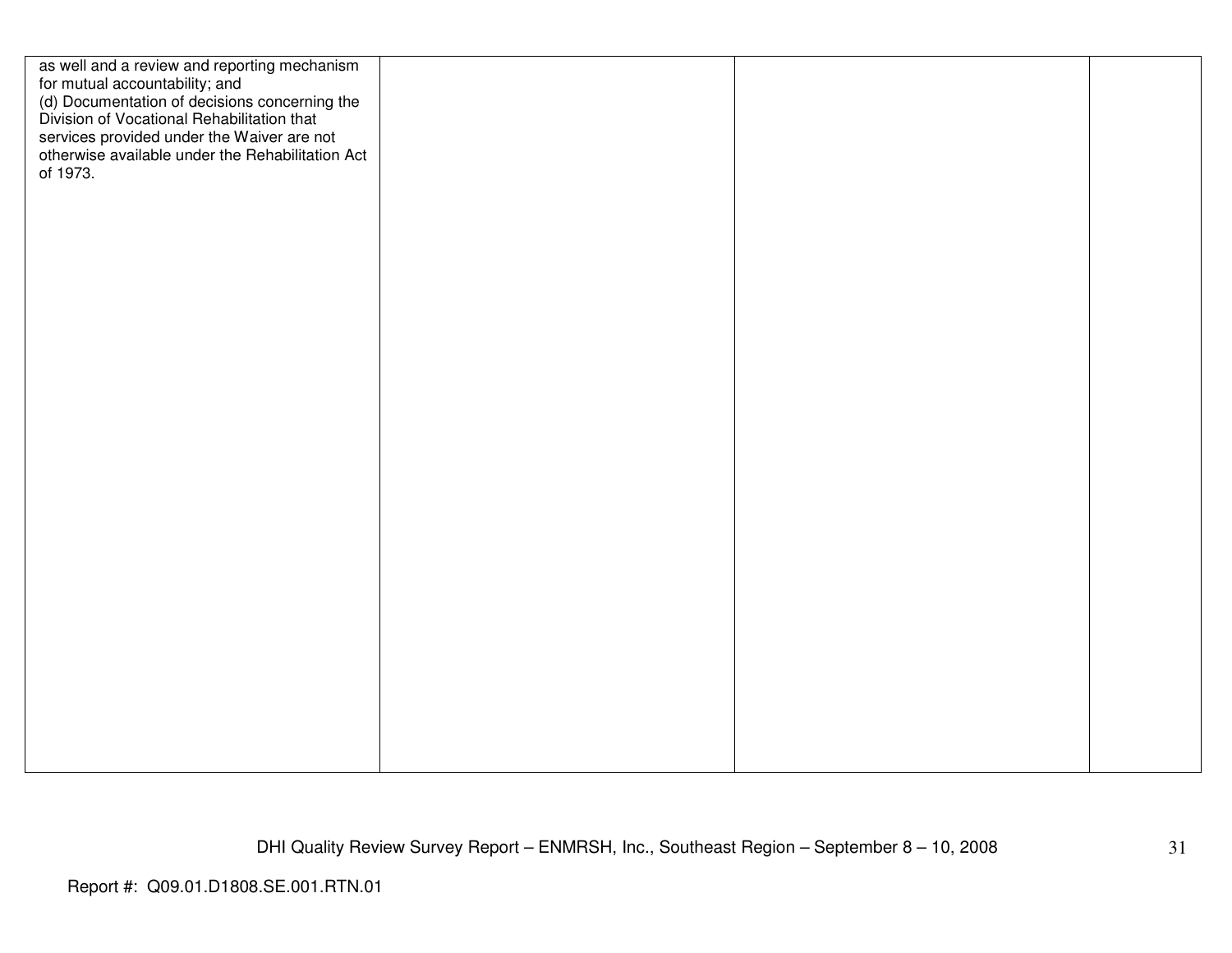| as well and a review and reporting mechanism<br>for mutual accountability; and<br>(d) Documentation of decisions concerning the<br>Division of Vocational Rehabilitation that |  |  |
|-------------------------------------------------------------------------------------------------------------------------------------------------------------------------------|--|--|
| services provided under the Waiver are not<br>otherwise available under the Rehabilitation Act<br>of 1973.                                                                    |  |  |
|                                                                                                                                                                               |  |  |
|                                                                                                                                                                               |  |  |
|                                                                                                                                                                               |  |  |
|                                                                                                                                                                               |  |  |
|                                                                                                                                                                               |  |  |
|                                                                                                                                                                               |  |  |
|                                                                                                                                                                               |  |  |
|                                                                                                                                                                               |  |  |
|                                                                                                                                                                               |  |  |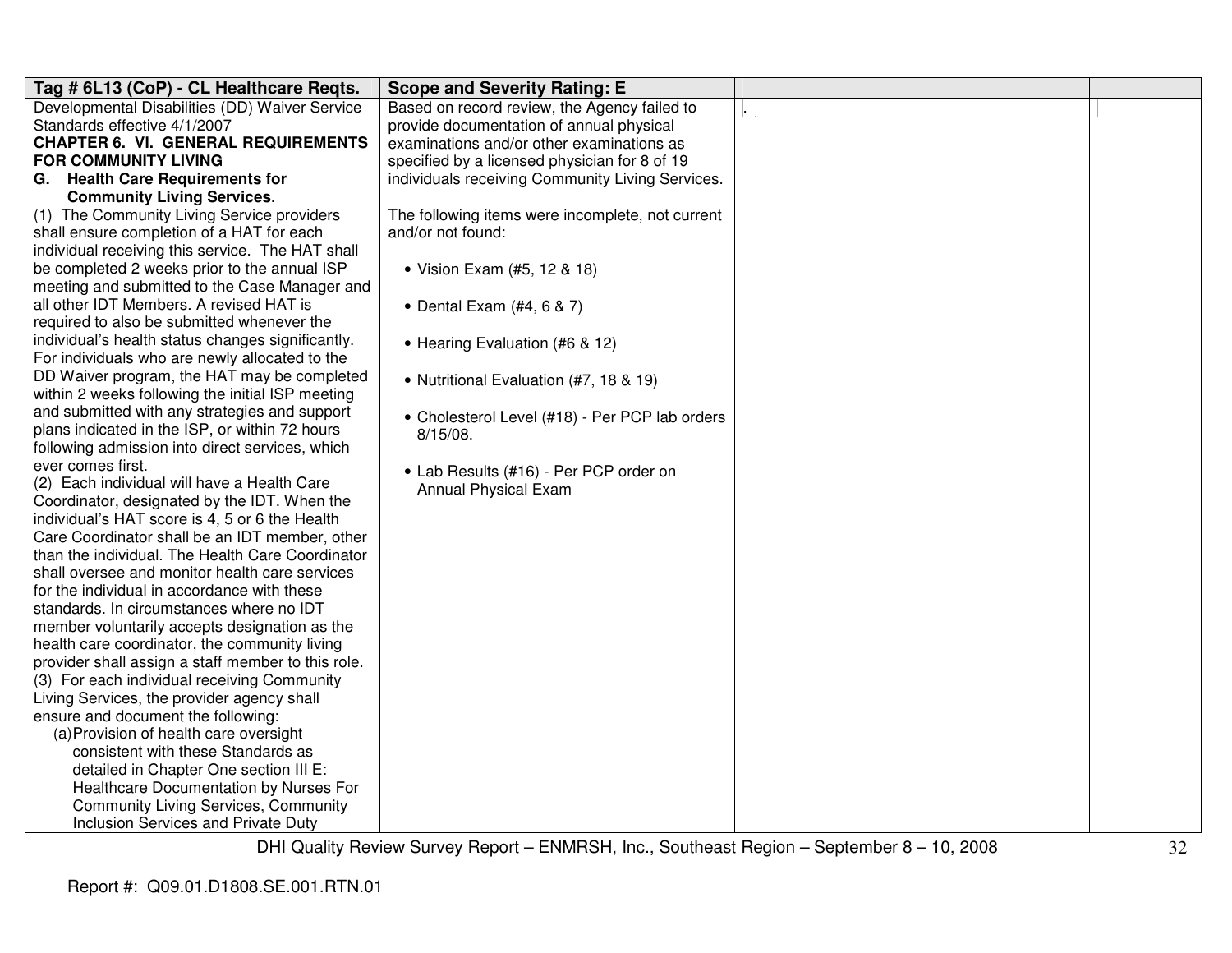| Tag # 6L13 (CoP) - CL Healthcare Regts.                                                            | <b>Scope and Severity Rating: E</b>              |                 |  |
|----------------------------------------------------------------------------------------------------|--------------------------------------------------|-----------------|--|
| Developmental Disabilities (DD) Waiver Service                                                     | Based on record review, the Agency failed to     | $\vert . \vert$ |  |
| Standards effective 4/1/2007                                                                       | provide documentation of annual physical         |                 |  |
| <b>CHAPTER 6. VI. GENERAL REQUIREMENTS</b>                                                         | examinations and/or other examinations as        |                 |  |
| <b>FOR COMMUNITY LIVING</b>                                                                        | specified by a licensed physician for 8 of 19    |                 |  |
| G. Health Care Requirements for                                                                    | individuals receiving Community Living Services. |                 |  |
| <b>Community Living Services.</b>                                                                  |                                                  |                 |  |
| (1) The Community Living Service providers                                                         | The following items were incomplete, not current |                 |  |
| shall ensure completion of a HAT for each                                                          | and/or not found:                                |                 |  |
| individual receiving this service. The HAT shall                                                   |                                                  |                 |  |
| be completed 2 weeks prior to the annual ISP                                                       | • Vision Exam (#5, 12 & 18)                      |                 |  |
| meeting and submitted to the Case Manager and                                                      |                                                  |                 |  |
| all other IDT Members. A revised HAT is                                                            | • Dental Exam $(H4, 6 & 7)$                      |                 |  |
| required to also be submitted whenever the                                                         |                                                  |                 |  |
| individual's health status changes significantly.                                                  | • Hearing Evaluation (#6 & 12)                   |                 |  |
| For individuals who are newly allocated to the                                                     |                                                  |                 |  |
| DD Waiver program, the HAT may be completed                                                        | • Nutritional Evaluation (#7, 18 & 19)           |                 |  |
| within 2 weeks following the initial ISP meeting                                                   |                                                  |                 |  |
| and submitted with any strategies and support                                                      | • Cholesterol Level (#18) - Per PCP lab orders   |                 |  |
| plans indicated in the ISP, or within 72 hours                                                     | $8/15/08$ .                                      |                 |  |
| following admission into direct services, which                                                    |                                                  |                 |  |
| ever comes first.                                                                                  | • Lab Results (#16) - Per PCP order on           |                 |  |
| (2) Each individual will have a Health Care                                                        | Annual Physical Exam                             |                 |  |
| Coordinator, designated by the IDT. When the                                                       |                                                  |                 |  |
| individual's HAT score is 4, 5 or 6 the Health                                                     |                                                  |                 |  |
| Care Coordinator shall be an IDT member, other<br>than the individual. The Health Care Coordinator |                                                  |                 |  |
| shall oversee and monitor health care services                                                     |                                                  |                 |  |
| for the individual in accordance with these                                                        |                                                  |                 |  |
| standards. In circumstances where no IDT                                                           |                                                  |                 |  |
| member voluntarily accepts designation as the                                                      |                                                  |                 |  |
| health care coordinator, the community living                                                      |                                                  |                 |  |
| provider shall assign a staff member to this role.                                                 |                                                  |                 |  |
| (3) For each individual receiving Community                                                        |                                                  |                 |  |
| Living Services, the provider agency shall                                                         |                                                  |                 |  |
| ensure and document the following:                                                                 |                                                  |                 |  |
| (a) Provision of health care oversight                                                             |                                                  |                 |  |
| consistent with these Standards as                                                                 |                                                  |                 |  |
| detailed in Chapter One section III E:                                                             |                                                  |                 |  |
| Healthcare Documentation by Nurses For                                                             |                                                  |                 |  |
| <b>Community Living Services, Community</b>                                                        |                                                  |                 |  |
| Inclusion Services and Private Duty                                                                |                                                  |                 |  |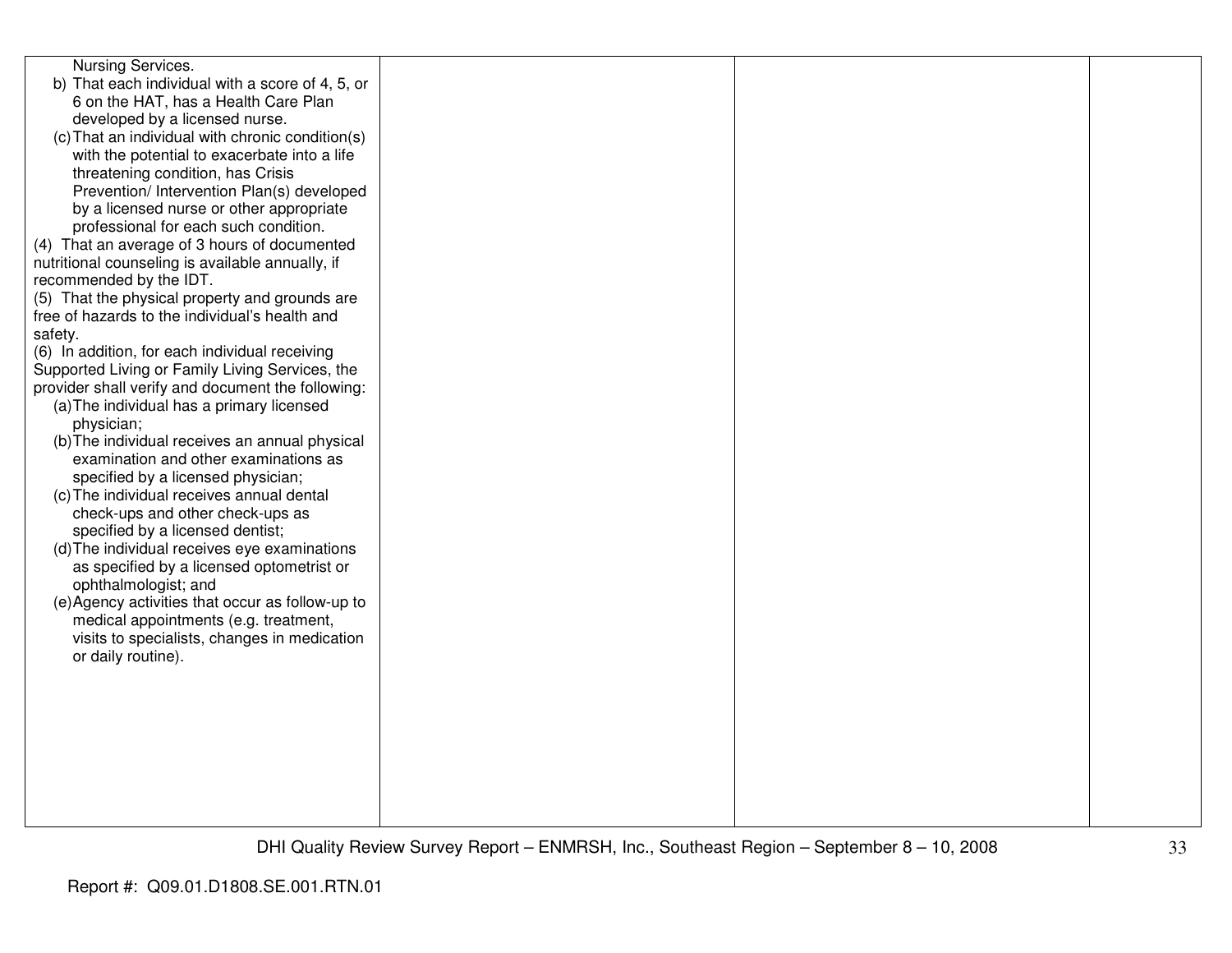| Nursing Services.<br>b) That each individual with a score of 4, 5, or<br>6 on the HAT, has a Health Care Plan<br>developed by a licensed nurse.<br>(c) That an individual with chronic condition(s)<br>with the potential to exacerbate into a life<br>threatening condition, has Crisis<br>Prevention/ Intervention Plan(s) developed<br>by a licensed nurse or other appropriate<br>professional for each such condition.<br>(4) That an average of 3 hours of documented<br>nutritional counseling is available annually, if<br>recommended by the IDT.<br>(5) That the physical property and grounds are<br>free of hazards to the individual's health and<br>safety.<br>(6) In addition, for each individual receiving<br>Supported Living or Family Living Services, the<br>provider shall verify and document the following:<br>(a) The individual has a primary licensed<br>physician;<br>(b) The individual receives an annual physical<br>examination and other examinations as<br>specified by a licensed physician;<br>(c) The individual receives annual dental<br>check-ups and other check-ups as<br>specified by a licensed dentist;<br>(d) The individual receives eye examinations<br>as specified by a licensed optometrist or<br>ophthalmologist; and |  |  |
|---------------------------------------------------------------------------------------------------------------------------------------------------------------------------------------------------------------------------------------------------------------------------------------------------------------------------------------------------------------------------------------------------------------------------------------------------------------------------------------------------------------------------------------------------------------------------------------------------------------------------------------------------------------------------------------------------------------------------------------------------------------------------------------------------------------------------------------------------------------------------------------------------------------------------------------------------------------------------------------------------------------------------------------------------------------------------------------------------------------------------------------------------------------------------------------------------------------------------------------------------------------------------|--|--|
|                                                                                                                                                                                                                                                                                                                                                                                                                                                                                                                                                                                                                                                                                                                                                                                                                                                                                                                                                                                                                                                                                                                                                                                                                                                                           |  |  |
|                                                                                                                                                                                                                                                                                                                                                                                                                                                                                                                                                                                                                                                                                                                                                                                                                                                                                                                                                                                                                                                                                                                                                                                                                                                                           |  |  |
|                                                                                                                                                                                                                                                                                                                                                                                                                                                                                                                                                                                                                                                                                                                                                                                                                                                                                                                                                                                                                                                                                                                                                                                                                                                                           |  |  |
|                                                                                                                                                                                                                                                                                                                                                                                                                                                                                                                                                                                                                                                                                                                                                                                                                                                                                                                                                                                                                                                                                                                                                                                                                                                                           |  |  |
|                                                                                                                                                                                                                                                                                                                                                                                                                                                                                                                                                                                                                                                                                                                                                                                                                                                                                                                                                                                                                                                                                                                                                                                                                                                                           |  |  |
|                                                                                                                                                                                                                                                                                                                                                                                                                                                                                                                                                                                                                                                                                                                                                                                                                                                                                                                                                                                                                                                                                                                                                                                                                                                                           |  |  |
|                                                                                                                                                                                                                                                                                                                                                                                                                                                                                                                                                                                                                                                                                                                                                                                                                                                                                                                                                                                                                                                                                                                                                                                                                                                                           |  |  |
|                                                                                                                                                                                                                                                                                                                                                                                                                                                                                                                                                                                                                                                                                                                                                                                                                                                                                                                                                                                                                                                                                                                                                                                                                                                                           |  |  |
|                                                                                                                                                                                                                                                                                                                                                                                                                                                                                                                                                                                                                                                                                                                                                                                                                                                                                                                                                                                                                                                                                                                                                                                                                                                                           |  |  |
|                                                                                                                                                                                                                                                                                                                                                                                                                                                                                                                                                                                                                                                                                                                                                                                                                                                                                                                                                                                                                                                                                                                                                                                                                                                                           |  |  |
|                                                                                                                                                                                                                                                                                                                                                                                                                                                                                                                                                                                                                                                                                                                                                                                                                                                                                                                                                                                                                                                                                                                                                                                                                                                                           |  |  |
|                                                                                                                                                                                                                                                                                                                                                                                                                                                                                                                                                                                                                                                                                                                                                                                                                                                                                                                                                                                                                                                                                                                                                                                                                                                                           |  |  |
| (e) Agency activities that occur as follow-up to                                                                                                                                                                                                                                                                                                                                                                                                                                                                                                                                                                                                                                                                                                                                                                                                                                                                                                                                                                                                                                                                                                                                                                                                                          |  |  |
| medical appointments (e.g. treatment,                                                                                                                                                                                                                                                                                                                                                                                                                                                                                                                                                                                                                                                                                                                                                                                                                                                                                                                                                                                                                                                                                                                                                                                                                                     |  |  |
| visits to specialists, changes in medication<br>or daily routine).                                                                                                                                                                                                                                                                                                                                                                                                                                                                                                                                                                                                                                                                                                                                                                                                                                                                                                                                                                                                                                                                                                                                                                                                        |  |  |
|                                                                                                                                                                                                                                                                                                                                                                                                                                                                                                                                                                                                                                                                                                                                                                                                                                                                                                                                                                                                                                                                                                                                                                                                                                                                           |  |  |
|                                                                                                                                                                                                                                                                                                                                                                                                                                                                                                                                                                                                                                                                                                                                                                                                                                                                                                                                                                                                                                                                                                                                                                                                                                                                           |  |  |
|                                                                                                                                                                                                                                                                                                                                                                                                                                                                                                                                                                                                                                                                                                                                                                                                                                                                                                                                                                                                                                                                                                                                                                                                                                                                           |  |  |
|                                                                                                                                                                                                                                                                                                                                                                                                                                                                                                                                                                                                                                                                                                                                                                                                                                                                                                                                                                                                                                                                                                                                                                                                                                                                           |  |  |
|                                                                                                                                                                                                                                                                                                                                                                                                                                                                                                                                                                                                                                                                                                                                                                                                                                                                                                                                                                                                                                                                                                                                                                                                                                                                           |  |  |
|                                                                                                                                                                                                                                                                                                                                                                                                                                                                                                                                                                                                                                                                                                                                                                                                                                                                                                                                                                                                                                                                                                                                                                                                                                                                           |  |  |
|                                                                                                                                                                                                                                                                                                                                                                                                                                                                                                                                                                                                                                                                                                                                                                                                                                                                                                                                                                                                                                                                                                                                                                                                                                                                           |  |  |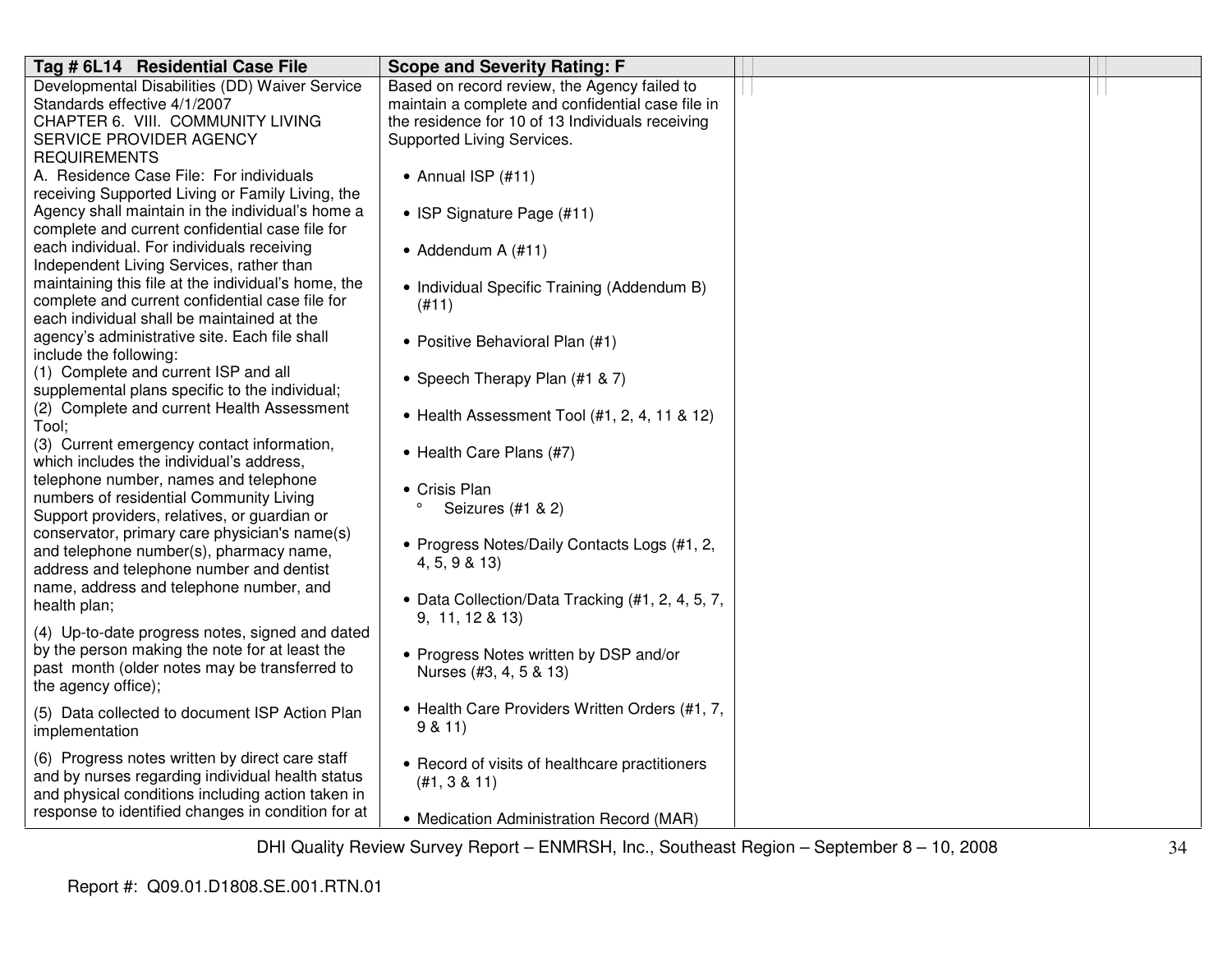| Tag # 6L14 Residential Case File                                                                | <b>Scope and Severity Rating: F</b>               |  |
|-------------------------------------------------------------------------------------------------|---------------------------------------------------|--|
| Developmental Disabilities (DD) Waiver Service                                                  | Based on record review, the Agency failed to      |  |
| Standards effective 4/1/2007                                                                    | maintain a complete and confidential case file in |  |
| CHAPTER 6. VIII. COMMUNITY LIVING                                                               | the residence for 10 of 13 Individuals receiving  |  |
| SERVICE PROVIDER AGENCY                                                                         | Supported Living Services.                        |  |
| <b>REQUIREMENTS</b>                                                                             |                                                   |  |
| A. Residence Case File: For individuals                                                         | $\bullet$ Annual ISP (#11)                        |  |
| receiving Supported Living or Family Living, the                                                |                                                   |  |
| Agency shall maintain in the individual's home a                                                | • ISP Signature Page (#11)                        |  |
| complete and current confidential case file for                                                 |                                                   |  |
| each individual. For individuals receiving                                                      | • Addendum A $(\#11)$                             |  |
| Independent Living Services, rather than                                                        |                                                   |  |
| maintaining this file at the individual's home, the                                             | • Individual Specific Training (Addendum B)       |  |
| complete and current confidential case file for                                                 | (#11)                                             |  |
| each individual shall be maintained at the                                                      |                                                   |  |
| agency's administrative site. Each file shall                                                   | • Positive Behavioral Plan (#1)                   |  |
| include the following:                                                                          |                                                   |  |
| (1) Complete and current ISP and all                                                            | • Speech Therapy Plan (#1 & 7)                    |  |
| supplemental plans specific to the individual;                                                  |                                                   |  |
| (2) Complete and current Health Assessment                                                      | • Health Assessment Tool (#1, 2, 4, 11 & 12)      |  |
| Tool;<br>(3) Current emergency contact information,                                             |                                                   |  |
| which includes the individual's address,                                                        | • Health Care Plans (#7)                          |  |
| telephone number, names and telephone                                                           |                                                   |  |
| numbers of residential Community Living                                                         | • Crisis Plan                                     |  |
| Support providers, relatives, or guardian or                                                    | $\circ$<br>Seizures (#1 & 2)                      |  |
| conservator, primary care physician's name(s)                                                   |                                                   |  |
| and telephone number(s), pharmacy name,                                                         | • Progress Notes/Daily Contacts Logs (#1, 2,      |  |
| address and telephone number and dentist                                                        | 4, 5, 9 & 13)                                     |  |
| name, address and telephone number, and                                                         |                                                   |  |
| health plan;                                                                                    | • Data Collection/Data Tracking (#1, 2, 4, 5, 7,  |  |
|                                                                                                 | 9, 11, 12 & 13)                                   |  |
| (4) Up-to-date progress notes, signed and dated                                                 |                                                   |  |
| by the person making the note for at least the<br>past month (older notes may be transferred to | • Progress Notes written by DSP and/or            |  |
| the agency office);                                                                             | Nurses (#3, 4, 5 & 13)                            |  |
|                                                                                                 |                                                   |  |
| (5) Data collected to document ISP Action Plan                                                  | • Health Care Providers Written Orders (#1, 7,    |  |
| implementation                                                                                  | 9 & 11                                            |  |
| (6) Progress notes written by direct care staff                                                 |                                                   |  |
| and by nurses regarding individual health status                                                | • Record of visits of healthcare practitioners    |  |
| and physical conditions including action taken in                                               | (H1, 3 & 11)                                      |  |
| response to identified changes in condition for at                                              |                                                   |  |
|                                                                                                 | • Medication Administration Record (MAR)          |  |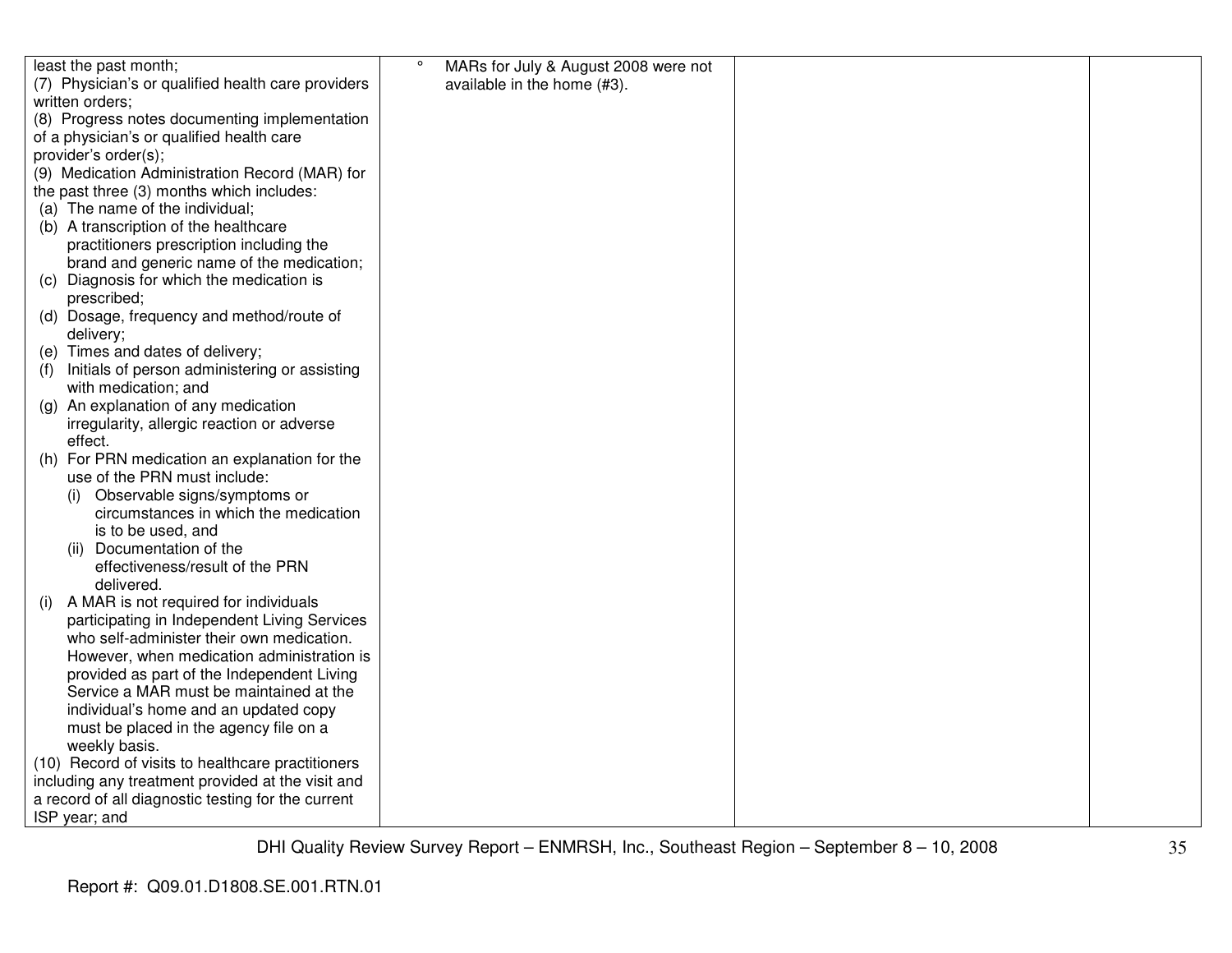| least the past month;                                | $\circ$<br>MARs for July & August 2008 were not |  |
|------------------------------------------------------|-------------------------------------------------|--|
| (7) Physician's or qualified health care providers   | available in the home (#3).                     |  |
| written orders;                                      |                                                 |  |
| (8) Progress notes documenting implementation        |                                                 |  |
| of a physician's or qualified health care            |                                                 |  |
| provider's order(s);                                 |                                                 |  |
| (9) Medication Administration Record (MAR) for       |                                                 |  |
| the past three (3) months which includes:            |                                                 |  |
| (a) The name of the individual;                      |                                                 |  |
| (b) A transcription of the healthcare                |                                                 |  |
| practitioners prescription including the             |                                                 |  |
| brand and generic name of the medication;            |                                                 |  |
| (c) Diagnosis for which the medication is            |                                                 |  |
| prescribed;                                          |                                                 |  |
| (d) Dosage, frequency and method/route of            |                                                 |  |
| delivery;                                            |                                                 |  |
| (e) Times and dates of delivery;                     |                                                 |  |
| Initials of person administering or assisting<br>(f) |                                                 |  |
| with medication; and                                 |                                                 |  |
| An explanation of any medication<br>(g)              |                                                 |  |
| irregularity, allergic reaction or adverse           |                                                 |  |
| effect.                                              |                                                 |  |
| (h) For PRN medication an explanation for the        |                                                 |  |
| use of the PRN must include:                         |                                                 |  |
| Observable signs/symptoms or                         |                                                 |  |
| circumstances in which the medication                |                                                 |  |
| is to be used, and                                   |                                                 |  |
| (ii) Documentation of the                            |                                                 |  |
| effectiveness/result of the PRN                      |                                                 |  |
| delivered.                                           |                                                 |  |
| A MAR is not required for individuals<br>(1)         |                                                 |  |
| participating in Independent Living Services         |                                                 |  |
| who self-administer their own medication.            |                                                 |  |
| However, when medication administration is           |                                                 |  |
| provided as part of the Independent Living           |                                                 |  |
| Service a MAR must be maintained at the              |                                                 |  |
| individual's home and an updated copy                |                                                 |  |
| must be placed in the agency file on a               |                                                 |  |
| weekly basis.                                        |                                                 |  |
| (10) Record of visits to healthcare practitioners    |                                                 |  |
| including any treatment provided at the visit and    |                                                 |  |
| a record of all diagnostic testing for the current   |                                                 |  |
| ISP year; and                                        |                                                 |  |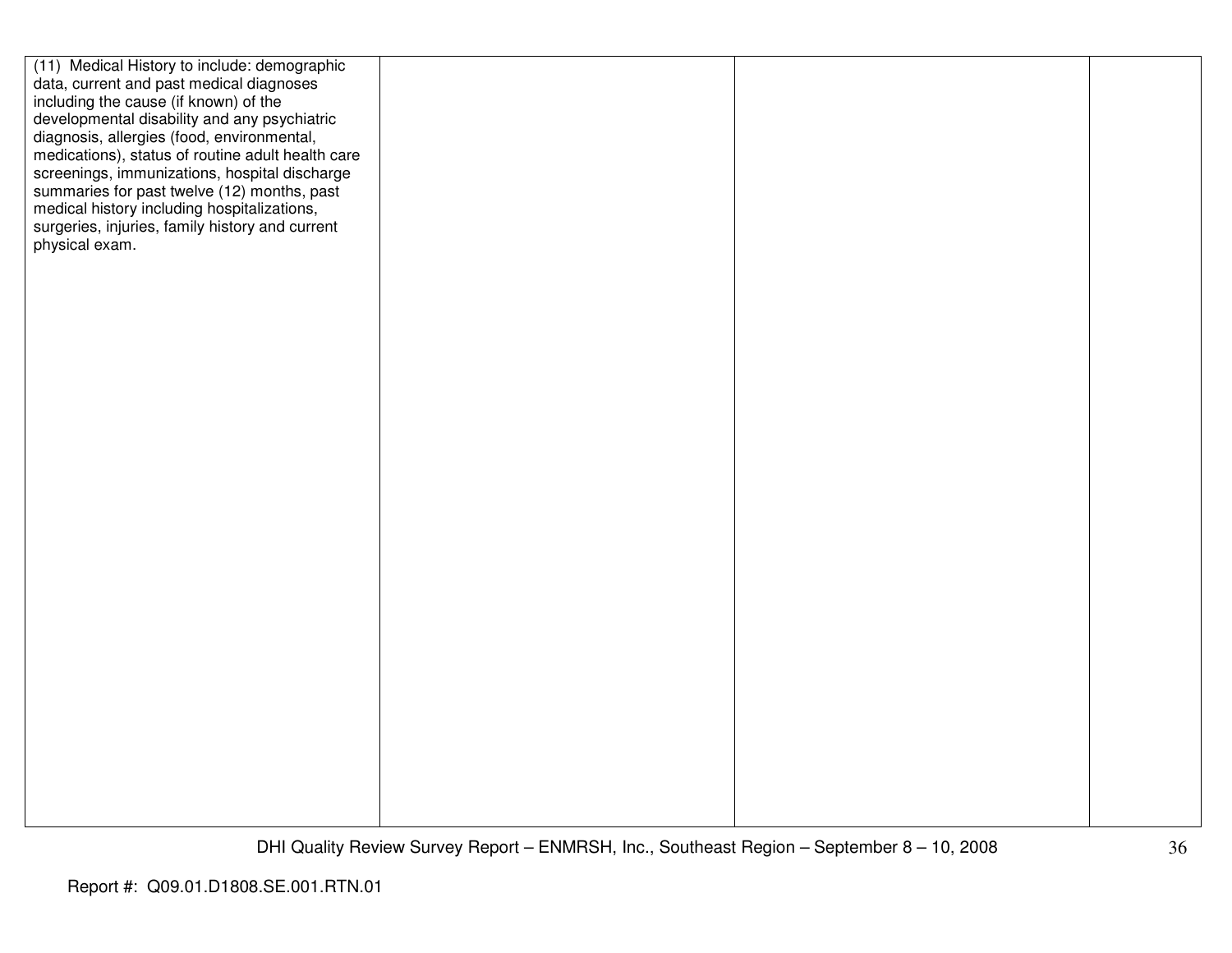| (11) Medical History to include: demographic      |  |  |
|---------------------------------------------------|--|--|
| data, current and past medical diagnoses          |  |  |
| including the cause (if known) of the             |  |  |
| developmental disability and any psychiatric      |  |  |
| diagnosis, allergies (food, environmental,        |  |  |
| medications), status of routine adult health care |  |  |
| screenings, immunizations, hospital discharge     |  |  |
| summaries for past twelve (12) months, past       |  |  |
| medical history including hospitalizations,       |  |  |
| surgeries, injuries, family history and current   |  |  |
| physical exam.                                    |  |  |
|                                                   |  |  |
|                                                   |  |  |
|                                                   |  |  |
|                                                   |  |  |
|                                                   |  |  |
|                                                   |  |  |
|                                                   |  |  |
|                                                   |  |  |
|                                                   |  |  |
|                                                   |  |  |
|                                                   |  |  |
|                                                   |  |  |
|                                                   |  |  |
|                                                   |  |  |
|                                                   |  |  |
|                                                   |  |  |
|                                                   |  |  |
|                                                   |  |  |
|                                                   |  |  |
|                                                   |  |  |
|                                                   |  |  |
|                                                   |  |  |
|                                                   |  |  |
|                                                   |  |  |
|                                                   |  |  |
|                                                   |  |  |
|                                                   |  |  |
|                                                   |  |  |
|                                                   |  |  |
|                                                   |  |  |
|                                                   |  |  |
|                                                   |  |  |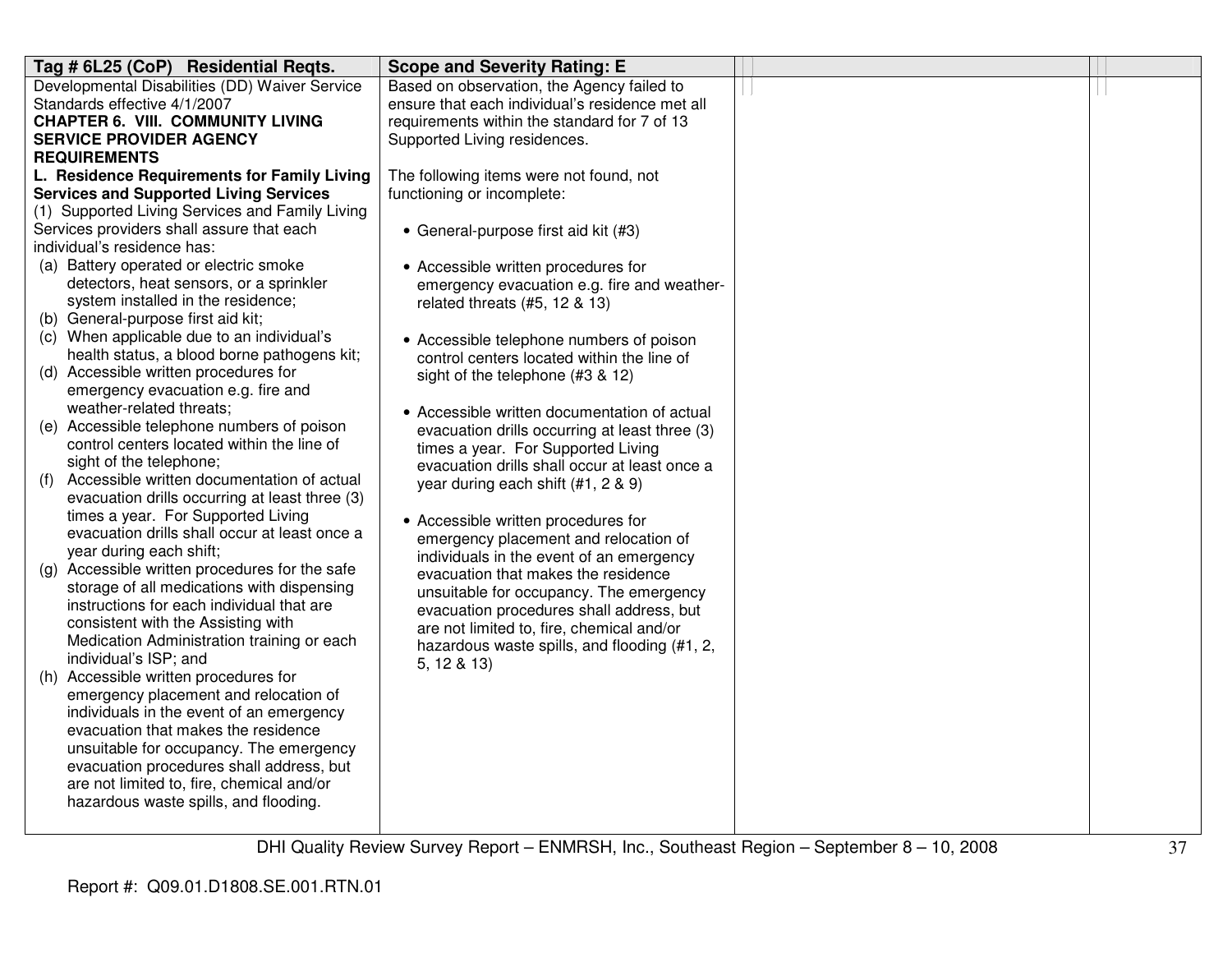| Tag # 6L25 (CoP) Residential Reqts.               | <b>Scope and Severity Rating: E</b>             |  |
|---------------------------------------------------|-------------------------------------------------|--|
| Developmental Disabilities (DD) Waiver Service    | Based on observation, the Agency failed to      |  |
| Standards effective 4/1/2007                      | ensure that each individual's residence met all |  |
| <b>CHAPTER 6. VIII. COMMUNITY LIVING</b>          | requirements within the standard for 7 of 13    |  |
| <b>SERVICE PROVIDER AGENCY</b>                    | Supported Living residences.                    |  |
| <b>REQUIREMENTS</b>                               |                                                 |  |
| L. Residence Requirements for Family Living       | The following items were not found, not         |  |
| <b>Services and Supported Living Services</b>     | functioning or incomplete:                      |  |
| (1) Supported Living Services and Family Living   |                                                 |  |
| Services providers shall assure that each         | • General-purpose first aid kit (#3)            |  |
| individual's residence has:                       |                                                 |  |
| (a) Battery operated or electric smoke            | • Accessible written procedures for             |  |
| detectors, heat sensors, or a sprinkler           | emergency evacuation e.g. fire and weather-     |  |
| system installed in the residence;                | related threats $(#5, 12 \& 13)$                |  |
| (b) General-purpose first aid kit;                |                                                 |  |
| (c) When applicable due to an individual's        | • Accessible telephone numbers of poison        |  |
| health status, a blood borne pathogens kit;       | control centers located within the line of      |  |
| (d) Accessible written procedures for             | sight of the telephone (#3 & 12)                |  |
| emergency evacuation e.g. fire and                |                                                 |  |
| weather-related threats;                          | • Accessible written documentation of actual    |  |
| (e) Accessible telephone numbers of poison        | evacuation drills occurring at least three (3)  |  |
| control centers located within the line of        | times a year. For Supported Living              |  |
| sight of the telephone;                           | evacuation drills shall occur at least once a   |  |
| Accessible written documentation of actual<br>(f) | year during each shift (#1, 2 & 9)              |  |
| evacuation drills occurring at least three (3)    |                                                 |  |
| times a year. For Supported Living                | • Accessible written procedures for             |  |
| evacuation drills shall occur at least once a     | emergency placement and relocation of           |  |
| year during each shift;                           | individuals in the event of an emergency        |  |
| (g) Accessible written procedures for the safe    | evacuation that makes the residence             |  |
| storage of all medications with dispensing        | unsuitable for occupancy. The emergency         |  |
| instructions for each individual that are         | evacuation procedures shall address, but        |  |
| consistent with the Assisting with                | are not limited to, fire, chemical and/or       |  |
| Medication Administration training or each        | hazardous waste spills, and flooding (#1, 2,    |  |
| individual's ISP; and                             | 5, 12 & 13                                      |  |
| (h) Accessible written procedures for             |                                                 |  |
| emergency placement and relocation of             |                                                 |  |
| individuals in the event of an emergency          |                                                 |  |
| evacuation that makes the residence               |                                                 |  |
| unsuitable for occupancy. The emergency           |                                                 |  |
| evacuation procedures shall address, but          |                                                 |  |
| are not limited to, fire, chemical and/or         |                                                 |  |
| hazardous waste spills, and flooding.             |                                                 |  |
|                                                   |                                                 |  |